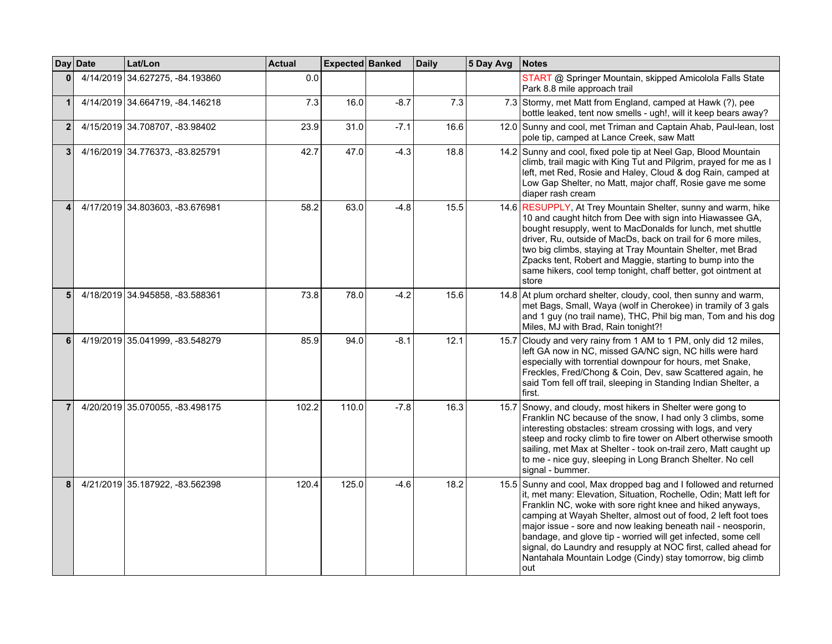|                | Day Date | Lat/Lon                         | <b>Actual</b> | Expected Banked |        | <b>Daily</b> | 5 Day Avg | Notes                                                                                                                                                                                                                                                                                                                                                                                                                                                                                                                                       |
|----------------|----------|---------------------------------|---------------|-----------------|--------|--------------|-----------|---------------------------------------------------------------------------------------------------------------------------------------------------------------------------------------------------------------------------------------------------------------------------------------------------------------------------------------------------------------------------------------------------------------------------------------------------------------------------------------------------------------------------------------------|
| $\bf{0}$       |          | 4/14/2019 34.627275, -84.193860 | 0.0           |                 |        |              |           | START @ Springer Mountain, skipped Amicolola Falls State<br>Park 8.8 mile approach trail                                                                                                                                                                                                                                                                                                                                                                                                                                                    |
| $\mathbf{1}$   |          | 4/14/2019 34.664719, -84.146218 | 7.3           | 16.0            | $-8.7$ | 7.3          |           | 7.3 Stormy, met Matt from England, camped at Hawk (?), pee<br>bottle leaked, tent now smells - ugh!, will it keep bears away?                                                                                                                                                                                                                                                                                                                                                                                                               |
| $\mathbf{2}$   |          | 4/15/2019 34.708707, -83.98402  | 23.9          | 31.0            | $-7.1$ | 16.6         |           | 12.0 Sunny and cool, met Triman and Captain Ahab, Paul-lean, lost<br>pole tip, camped at Lance Creek, saw Matt                                                                                                                                                                                                                                                                                                                                                                                                                              |
| 3              |          | 4/16/2019 34.776373, -83.825791 | 42.7          | 47.0            | $-4.3$ | 18.8         |           | 14.2 Sunny and cool, fixed pole tip at Neel Gap, Blood Mountain<br>climb, trail magic with King Tut and Pilgrim, prayed for me as I<br>left, met Red, Rosie and Haley, Cloud & dog Rain, camped at<br>Low Gap Shelter, no Matt, major chaff, Rosie gave me some<br>diaper rash cream                                                                                                                                                                                                                                                        |
| 4              |          | 4/17/2019 34.803603, -83.676981 | 58.2          | 63.0            | $-4.8$ | 15.5         |           | 14.6 RESUPPLY, At Trey Mountain Shelter, sunny and warm, hike<br>10 and caught hitch from Dee with sign into Hiawassee GA,<br>bought resupply, went to MacDonalds for lunch, met shuttle<br>driver, Ru, outside of MacDs, back on trail for 6 more miles,<br>two big climbs, staying at Tray Mountain Shelter, met Brad<br>Zpacks tent, Robert and Maggie, starting to bump into the<br>same hikers, cool temp tonight, chaff better, got ointment at<br>store                                                                              |
| 5 <sup>5</sup> |          | 4/18/2019 34.945858, -83.588361 | 73.8          | 78.0            | $-4.2$ | 15.6         |           | 14.8 At plum orchard shelter, cloudy, cool, then sunny and warm,<br>met Bags, Small, Waya (wolf in Cherokee) in tramily of 3 gals<br>and 1 guy (no trail name), THC, Phil big man, Tom and his dog<br>Miles, MJ with Brad, Rain tonight?!                                                                                                                                                                                                                                                                                                   |
| 6              |          | 4/19/2019 35.041999, -83.548279 | 85.9          | 94.0            | $-8.1$ | 12.1         |           | 15.7 Cloudy and very rainy from 1 AM to 1 PM, only did 12 miles,<br>left GA now in NC, missed GA/NC sign, NC hills were hard<br>especially with torrential downpour for hours, met Snake,<br>Freckles, Fred/Chong & Coin, Dev, saw Scattered again, he<br>said Tom fell off trail, sleeping in Standing Indian Shelter, a<br>first.                                                                                                                                                                                                         |
| $\overline{7}$ |          | 4/20/2019 35.070055, -83.498175 | 102.2         | 110.0           | $-7.8$ | 16.3         |           | 15.7 Snowy, and cloudy, most hikers in Shelter were gong to<br>Franklin NC because of the snow, I had only 3 climbs, some<br>interesting obstacles: stream crossing with logs, and very<br>steep and rocky climb to fire tower on Albert otherwise smooth<br>sailing, met Max at Shelter - took on-trail zero, Matt caught up<br>to me - nice guy, sleeping in Long Branch Shelter. No cell<br>signal - bummer.                                                                                                                             |
| 8              |          | 4/21/2019 35.187922, -83.562398 | 120.4         | 125.0           | $-4.6$ | 18.2         |           | 15.5 Sunny and cool, Max dropped bag and I followed and returned<br>it, met many: Elevation, Situation, Rochelle, Odin; Matt left for<br>Franklin NC, woke with sore right knee and hiked anyways,<br>camping at Wayah Shelter, almost out of food, 2 left foot toes<br>major issue - sore and now leaking beneath nail - neosporin,<br>bandage, and glove tip - worried will get infected, some cell<br>signal, do Laundry and resupply at NOC first, called ahead for<br>Nantahala Mountain Lodge (Cindy) stay tomorrow, big climb<br>out |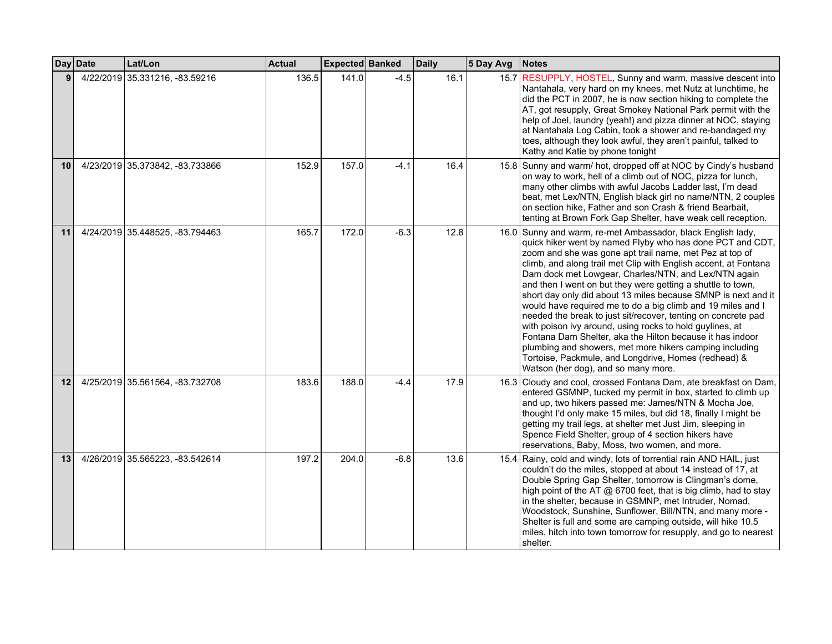|    | Day Date  | Lat/Lon                         | <b>Actual</b> | Expected Banked |        | <b>Daily</b> | 5 Day Avg | <b>Notes</b>                                                                                                                                                                                                                                                                                                                                                                                                                                                                                                                                                                                                                                                                                                                                                                                                                                                      |
|----|-----------|---------------------------------|---------------|-----------------|--------|--------------|-----------|-------------------------------------------------------------------------------------------------------------------------------------------------------------------------------------------------------------------------------------------------------------------------------------------------------------------------------------------------------------------------------------------------------------------------------------------------------------------------------------------------------------------------------------------------------------------------------------------------------------------------------------------------------------------------------------------------------------------------------------------------------------------------------------------------------------------------------------------------------------------|
|    | 4/22/2019 | 35.331216, -83.59216            | 136.5         | 141.0           | $-4.5$ | 16.1         | 15.7      | RESUPPLY, HOSTEL, Sunny and warm, massive descent into<br>Nantahala, very hard on my knees, met Nutz at lunchtime, he<br>did the PCT in 2007, he is now section hiking to complete the<br>AT, got resupply, Great Smokey National Park permit with the<br>help of Joel, laundry (yeah!) and pizza dinner at NOC, staying<br>at Nantahala Log Cabin, took a shower and re-bandaged my<br>toes, although they look awful, they aren't painful, talked to<br>Kathy and Katie by phone tonight                                                                                                                                                                                                                                                                                                                                                                        |
| 10 |           | 4/23/2019 35.373842, -83.733866 | 152.9         | 157.0           | $-4.1$ | 16.4         |           | 15.8 Sunny and warm/ hot, dropped off at NOC by Cindy's husband<br>on way to work, hell of a climb out of NOC, pizza for lunch,<br>many other climbs with awful Jacobs Ladder last, I'm dead<br>beat, met Lex/NTN, English black girl no name/NTN, 2 couples<br>on section hike, Father and son Crash & friend Bearbait,<br>tenting at Brown Fork Gap Shelter, have weak cell reception.                                                                                                                                                                                                                                                                                                                                                                                                                                                                          |
| 11 |           | 4/24/2019 35.448525, -83.794463 | 165.7         | 172.0           | $-6.3$ | 12.8         |           | 16.0 Sunny and warm, re-met Ambassador, black English lady,<br>quick hiker went by named Flyby who has done PCT and CDT,<br>zoom and she was gone apt trail name, met Pez at top of<br>climb, and along trail met Clip with English accent, at Fontana<br>Dam dock met Lowgear, Charles/NTN, and Lex/NTN again<br>and then I went on but they were getting a shuttle to town,<br>short day only did about 13 miles because SMNP is next and it<br>would have required me to do a big climb and 19 miles and I<br>needed the break to just sit/recover, tenting on concrete pad<br>with poison ivy around, using rocks to hold guylines, at<br>Fontana Dam Shelter, aka the Hilton because it has indoor<br>plumbing and showers, met more hikers camping including<br>Tortoise, Packmule, and Longdrive, Homes (redhead) &<br>Watson (her dog), and so many more. |
| 12 |           | 4/25/2019 35.561564, -83.732708 | 183.6         | 188.0           | $-4.4$ | 17.9         |           | 16.3 Cloudy and cool, crossed Fontana Dam, ate breakfast on Dam,<br>entered GSMNP, tucked my permit in box, started to climb up<br>and up, two hikers passed me: James/NTN & Mocha Joe,<br>thought I'd only make 15 miles, but did 18, finally I might be<br>getting my trail legs, at shelter met Just Jim, sleeping in<br>Spence Field Shelter, group of 4 section hikers have<br>reservations, Baby, Moss, two women, and more.                                                                                                                                                                                                                                                                                                                                                                                                                                |
| 13 |           | 4/26/2019 35.565223, -83.542614 | 197.2         | 204.0           | $-6.8$ | 13.6         |           | 15.4 Rainy, cold and windy, lots of torrential rain AND HAIL, just<br>couldn't do the miles, stopped at about 14 instead of 17, at<br>Double Spring Gap Shelter, tomorrow is Clingman's dome,<br>high point of the AT @ 6700 feet, that is big climb, had to stay<br>in the shelter, because in GSMNP, met Intruder, Nomad,<br>Woodstock, Sunshine, Sunflower, Bill/NTN, and many more -<br>Shelter is full and some are camping outside, will hike 10.5<br>miles, hitch into town tomorrow for resupply, and go to nearest<br>shelter.                                                                                                                                                                                                                                                                                                                           |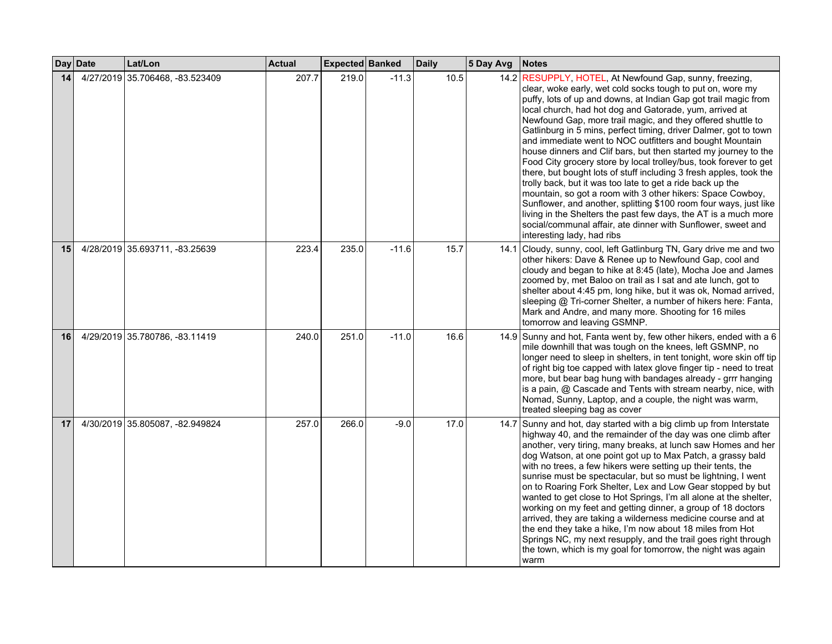|                 | Day Date | Lat/Lon                         | Actual | Expected Banked |         | <b>Daily</b> | 5 Day Avg | <b>Notes</b>                                                                                                                                                                                                                                                                                                                                                                                                                                                                                                                                                                                                                                                                                                                                                                                                                                                                                                                                                                                                                       |
|-----------------|----------|---------------------------------|--------|-----------------|---------|--------------|-----------|------------------------------------------------------------------------------------------------------------------------------------------------------------------------------------------------------------------------------------------------------------------------------------------------------------------------------------------------------------------------------------------------------------------------------------------------------------------------------------------------------------------------------------------------------------------------------------------------------------------------------------------------------------------------------------------------------------------------------------------------------------------------------------------------------------------------------------------------------------------------------------------------------------------------------------------------------------------------------------------------------------------------------------|
| 14              |          | 4/27/2019 35.706468, -83.523409 | 207.7  | 219.0           | $-11.3$ | 10.5         |           | 14.2 RESUPPLY, HOTEL, At Newfound Gap, sunny, freezing,<br>clear, woke early, wet cold socks tough to put on, wore my<br>puffy, lots of up and downs, at Indian Gap got trail magic from<br>local church, had hot dog and Gatorade, yum, arrived at<br>Newfound Gap, more trail magic, and they offered shuttle to<br>Gatlinburg in 5 mins, perfect timing, driver Dalmer, got to town<br>and immediate went to NOC outfitters and bought Mountain<br>house dinners and Clif bars, but then started my journey to the<br>Food City grocery store by local trolley/bus, took forever to get<br>there, but bought lots of stuff including 3 fresh apples, took the<br>trolly back, but it was too late to get a ride back up the<br>mountain, so got a room with 3 other hikers: Space Cowboy,<br>Sunflower, and another, splitting \$100 room four ways, just like<br>living in the Shelters the past few days, the AT is a much more<br>social/communal affair, ate dinner with Sunflower, sweet and<br>interesting lady, had ribs |
| 15              |          | 4/28/2019 35.693711, -83.25639  | 223.4  | 235.0           | $-11.6$ | 15.7         |           | 14.1 Cloudy, sunny, cool, left Gatlinburg TN, Gary drive me and two<br>other hikers: Dave & Renee up to Newfound Gap, cool and<br>cloudy and began to hike at 8:45 (late), Mocha Joe and James<br>zoomed by, met Baloo on trail as I sat and ate lunch, got to<br>shelter about 4:45 pm, long hike, but it was ok, Nomad arrived,<br>sleeping @ Tri-corner Shelter, a number of hikers here: Fanta,<br>Mark and Andre, and many more. Shooting for 16 miles<br>tomorrow and leaving GSMNP.                                                                                                                                                                                                                                                                                                                                                                                                                                                                                                                                         |
| 16 <sup>1</sup> |          | 4/29/2019 35.780786, -83.11419  | 240.0  | 251.0           | $-11.0$ | 16.6         |           | 14.9 Sunny and hot, Fanta went by, few other hikers, ended with a 6<br>mile downhill that was tough on the knees, left GSMNP, no<br>longer need to sleep in shelters, in tent tonight, wore skin off tip<br>of right big toe capped with latex glove finger tip - need to treat<br>more, but bear bag hung with bandages already - grrr hanging<br>is a pain, @ Cascade and Tents with stream nearby, nice, with<br>Nomad, Sunny, Laptop, and a couple, the night was warm,<br>treated sleeping bag as cover                                                                                                                                                                                                                                                                                                                                                                                                                                                                                                                       |
| 17              |          | 4/30/2019 35.805087, -82.949824 | 257.0  | 266.0           | $-9.0$  | 17.0         |           | 14.7 Sunny and hot, day started with a big climb up from Interstate<br>highway 40, and the remainder of the day was one climb after<br>another, very tiring, many breaks, at lunch saw Homes and her<br>dog Watson, at one point got up to Max Patch, a grassy bald<br>with no trees, a few hikers were setting up their tents, the<br>sunrise must be spectacular, but so must be lightning, I went<br>on to Roaring Fork Shelter, Lex and Low Gear stopped by but<br>wanted to get close to Hot Springs, I'm all alone at the shelter,<br>working on my feet and getting dinner, a group of 18 doctors<br>arrived, they are taking a wilderness medicine course and at<br>the end they take a hike, I'm now about 18 miles from Hot<br>Springs NC, my next resupply, and the trail goes right through<br>the town, which is my goal for tomorrow, the night was again<br>warm                                                                                                                                                    |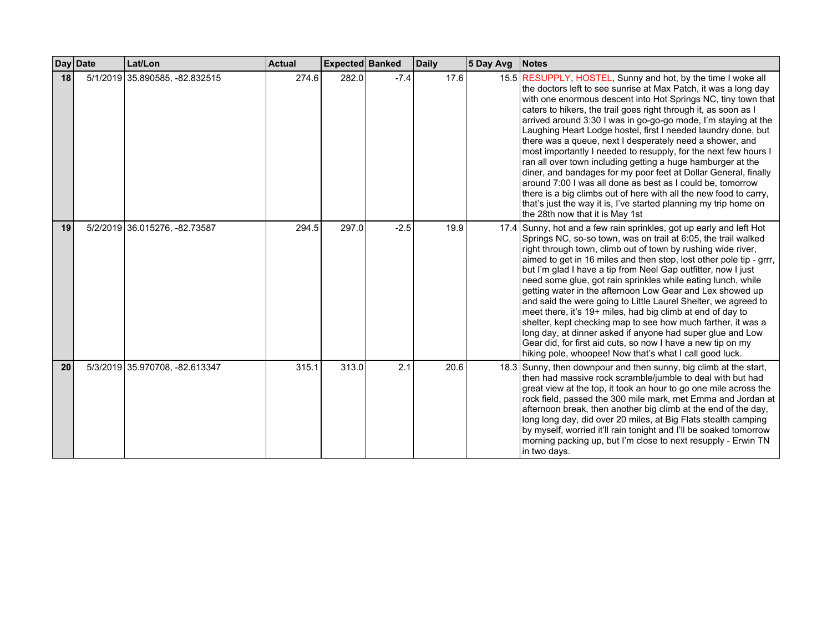|    | Day Date | Lat/Lon                        | <b>Actual</b> | Expected Banked |        | <b>Daily</b> | 5 Day Avg | <b>Notes</b>                                                                                                                                                                                                                                                                                                                                                                                                                                                                                                                                                                                                                                                                                                                                                                                                                                                                                                      |
|----|----------|--------------------------------|---------------|-----------------|--------|--------------|-----------|-------------------------------------------------------------------------------------------------------------------------------------------------------------------------------------------------------------------------------------------------------------------------------------------------------------------------------------------------------------------------------------------------------------------------------------------------------------------------------------------------------------------------------------------------------------------------------------------------------------------------------------------------------------------------------------------------------------------------------------------------------------------------------------------------------------------------------------------------------------------------------------------------------------------|
| 18 |          | 5/1/2019 35.890585, -82.832515 | 274.6         | 282.0           | $-7.4$ | 17.6         |           | 15.5 RESUPPLY, HOSTEL, Sunny and hot, by the time I woke all<br>the doctors left to see sunrise at Max Patch, it was a long day<br>with one enormous descent into Hot Springs NC, tiny town that<br>caters to hikers, the trail goes right through it, as soon as I<br>arrived around 3:30 I was in go-go-go mode, I'm staying at the<br>Laughing Heart Lodge hostel, first I needed laundry done, but<br>there was a queue, next I desperately need a shower, and<br>most importantly I needed to resupply, for the next few hours I<br>ran all over town including getting a huge hamburger at the<br>diner, and bandages for my poor feet at Dollar General, finally<br>around 7:00 I was all done as best as I could be, tomorrow<br>there is a big climbs out of here with all the new food to carry,<br>that's just the way it is, I've started planning my trip home on<br>the 28th now that it is May 1st |
| 19 |          | 5/2/2019 36.015276, -82.73587  | 294.5         | 297.0           | $-2.5$ | 19.9         |           | 17.4 Sunny, hot and a few rain sprinkles, got up early and left Hot<br>Springs NC, so-so town, was on trail at 6:05, the trail walked<br>right through town, climb out of town by rushing wide river,<br>aimed to get in 16 miles and then stop, lost other pole tip - grrr,<br>but I'm glad I have a tip from Neel Gap outfitter, now I just<br>need some glue, got rain sprinkles while eating lunch, while<br>getting water in the afternoon Low Gear and Lex showed up<br>and said the were going to Little Laurel Shelter, we agreed to<br>meet there, it's 19+ miles, had big climb at end of day to<br>shelter, kept checking map to see how much farther, it was a<br>long day, at dinner asked if anyone had super glue and Low<br>Gear did, for first aid cuts, so now I have a new tip on my<br>hiking pole, whoopee! Now that's what I call good luck.                                                |
| 20 |          | 5/3/2019 35.970708, -82.613347 | 315.1         | 313.0           | 2.1    | 20.6         |           | 18.3 Sunny, then downpour and then sunny, big climb at the start,<br>then had massive rock scramble/jumble to deal with but had<br>great view at the top, it took an hour to go one mile across the<br>rock field, passed the 300 mile mark, met Emma and Jordan at<br>afternoon break, then another big climb at the end of the day,<br>long long day, did over 20 miles, at Big Flats stealth camping<br>by myself, worried it'll rain tonight and I'll be soaked tomorrow<br>morning packing up, but I'm close to next resupply - Erwin TN<br>in two days.                                                                                                                                                                                                                                                                                                                                                     |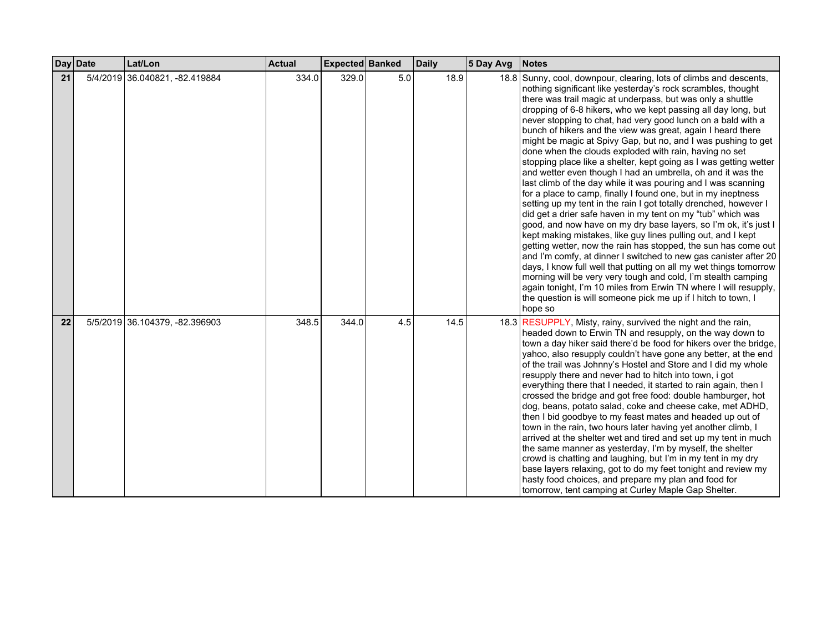|    | Day Date | Lat/Lon                        | <b>Actual</b> | Expected Banked |     | <b>Daily</b> | 5 Day Avg | <b>Notes</b>                                                                                                                                                                                                                                                                                                                                                                                                                                                                                                                                                                                                                                                                                                                                                                                                                                                                                                                                                                                                                                                                                                                                                                                                                                                                                                                                                                                                                                                                                         |
|----|----------|--------------------------------|---------------|-----------------|-----|--------------|-----------|------------------------------------------------------------------------------------------------------------------------------------------------------------------------------------------------------------------------------------------------------------------------------------------------------------------------------------------------------------------------------------------------------------------------------------------------------------------------------------------------------------------------------------------------------------------------------------------------------------------------------------------------------------------------------------------------------------------------------------------------------------------------------------------------------------------------------------------------------------------------------------------------------------------------------------------------------------------------------------------------------------------------------------------------------------------------------------------------------------------------------------------------------------------------------------------------------------------------------------------------------------------------------------------------------------------------------------------------------------------------------------------------------------------------------------------------------------------------------------------------------|
| 21 |          | 5/4/2019 36.040821, -82.419884 | 334.0         | 329.0           | 5.0 | 18.9         |           | 18.8 Sunny, cool, downpour, clearing, lots of climbs and descents,<br>nothing significant like yesterday's rock scrambles, thought<br>there was trail magic at underpass, but was only a shuttle<br>dropping of 6-8 hikers, who we kept passing all day long, but<br>never stopping to chat, had very good lunch on a bald with a<br>bunch of hikers and the view was great, again I heard there<br>might be magic at Spivy Gap, but no, and I was pushing to get<br>done when the clouds exploded with rain, having no set<br>stopping place like a shelter, kept going as I was getting wetter<br>and wetter even though I had an umbrella, oh and it was the<br>last climb of the day while it was pouring and I was scanning<br>for a place to camp, finally I found one, but in my ineptness<br>setting up my tent in the rain I got totally drenched, however I<br>did get a drier safe haven in my tent on my "tub" which was<br>good, and now have on my dry base layers, so I'm ok, it's just I<br>kept making mistakes, like guy lines pulling out, and I kept<br>getting wetter, now the rain has stopped, the sun has come out<br>and I'm comfy, at dinner I switched to new gas canister after 20<br>days, I know full well that putting on all my wet things tomorrow<br>morning will be very very tough and cold, I'm stealth camping<br>again tonight, I'm 10 miles from Erwin TN where I will resupply,<br>the question is will someone pick me up if I hitch to town, I<br>hope so |
| 22 |          | 5/5/2019 36.104379, -82.396903 | 348.5         | 344.0           | 4.5 | 14.5         |           | 18.3 RESUPPLY, Misty, rainy, survived the night and the rain,<br>headed down to Erwin TN and resupply, on the way down to<br>town a day hiker said there'd be food for hikers over the bridge,<br>yahoo, also resupply couldn't have gone any better, at the end<br>of the trail was Johnny's Hostel and Store and I did my whole<br>resupply there and never had to hitch into town, i got<br>everything there that I needed, it started to rain again, then I<br>crossed the bridge and got free food: double hamburger, hot<br>dog, beans, potato salad, coke and cheese cake, met ADHD,<br>then I bid goodbye to my feast mates and headed up out of<br>town in the rain, two hours later having yet another climb, I<br>arrived at the shelter wet and tired and set up my tent in much<br>the same manner as yesterday, I'm by myself, the shelter<br>crowd is chatting and laughing, but I'm in my tent in my dry<br>base layers relaxing, got to do my feet tonight and review my<br>hasty food choices, and prepare my plan and food for<br>tomorrow, tent camping at Curley Maple Gap Shelter.                                                                                                                                                                                                                                                                                                                                                                                             |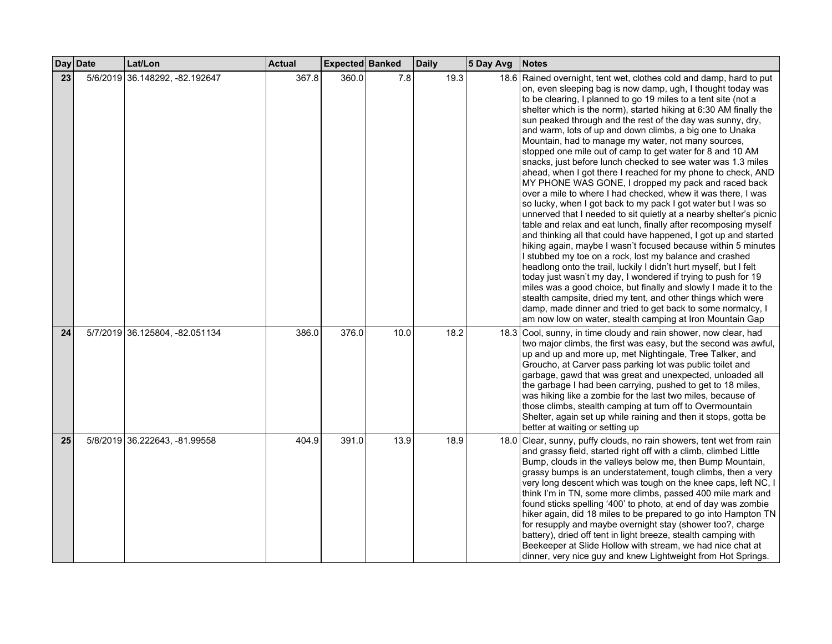|    | Day Date | Lat/Lon                        | <b>Actual</b> | Expected Banked |      | <b>Daily</b> | 5 Day Avg | <b>Notes</b>                                                                                                                                                                                                                                                                                                                                                                                                                                                                                                                                                                                                                                                                                                                                                                                                                                                                                                                                                                                                                                                                                                                                                                                                                                                                                                                                                                                                                                                                                                                                                                                  |
|----|----------|--------------------------------|---------------|-----------------|------|--------------|-----------|-----------------------------------------------------------------------------------------------------------------------------------------------------------------------------------------------------------------------------------------------------------------------------------------------------------------------------------------------------------------------------------------------------------------------------------------------------------------------------------------------------------------------------------------------------------------------------------------------------------------------------------------------------------------------------------------------------------------------------------------------------------------------------------------------------------------------------------------------------------------------------------------------------------------------------------------------------------------------------------------------------------------------------------------------------------------------------------------------------------------------------------------------------------------------------------------------------------------------------------------------------------------------------------------------------------------------------------------------------------------------------------------------------------------------------------------------------------------------------------------------------------------------------------------------------------------------------------------------|
| 23 | 5/6/2019 | 36.148292, -82.192647          | 367.8         | 360.0           | 7.8  | 19.3         |           | 18.6 Rained overnight, tent wet, clothes cold and damp, hard to put<br>on, even sleeping bag is now damp, ugh, I thought today was<br>to be clearing, I planned to go 19 miles to a tent site (not a<br>shelter which is the norm), started hiking at 6:30 AM finally the<br>sun peaked through and the rest of the day was sunny, dry,<br>and warm, lots of up and down climbs, a big one to Unaka<br>Mountain, had to manage my water, not many sources,<br>stopped one mile out of camp to get water for 8 and 10 AM<br>snacks, just before lunch checked to see water was 1.3 miles<br>ahead, when I got there I reached for my phone to check, AND<br>MY PHONE WAS GONE, I dropped my pack and raced back<br>over a mile to where I had checked, whew it was there, I was<br>so lucky, when I got back to my pack I got water but I was so<br>unnerved that I needed to sit quietly at a nearby shelter's picnic<br>table and relax and eat lunch, finally after recomposing myself<br>and thinking all that could have happened, I got up and started<br>hiking again, maybe I wasn't focused because within 5 minutes<br>I stubbed my toe on a rock, lost my balance and crashed<br>headlong onto the trail, luckily I didn't hurt myself, but I felt<br>today just wasn't my day, I wondered if trying to push for 19<br>miles was a good choice, but finally and slowly I made it to the<br>stealth campsite, dried my tent, and other things which were<br>damp, made dinner and tried to get back to some normalcy, I<br>am now low on water, stealth camping at Iron Mountain Gap |
| 24 |          | 5/7/2019 36.125804, -82.051134 | 386.0         | 376.0           | 10.0 | 18.2         |           | 18.3 Cool, sunny, in time cloudy and rain shower, now clear, had<br>two major climbs, the first was easy, but the second was awful,<br>up and up and more up, met Nightingale, Tree Talker, and<br>Groucho, at Carver pass parking lot was public toilet and<br>garbage, gawd that was great and unexpected, unloaded all<br>the garbage I had been carrying, pushed to get to 18 miles,<br>was hiking like a zombie for the last two miles, because of<br>those climbs, stealth camping at turn off to Overmountain<br>Shelter, again set up while raining and then it stops, gotta be<br>better at waiting or setting up                                                                                                                                                                                                                                                                                                                                                                                                                                                                                                                                                                                                                                                                                                                                                                                                                                                                                                                                                                    |
| 25 |          | 5/8/2019 36.222643, -81.99558  | 404.9         | 391.0           | 13.9 | 18.9         |           | 18.0 Clear, sunny, puffy clouds, no rain showers, tent wet from rain<br>and grassy field, started right off with a climb, climbed Little<br>Bump, clouds in the valleys below me, then Bump Mountain,<br>grassy bumps is an understatement, tough climbs, then a very<br>very long descent which was tough on the knee caps, left NC, I<br>think I'm in TN, some more climbs, passed 400 mile mark and<br>found sticks spelling '400' to photo, at end of day was zombie<br>hiker again, did 18 miles to be prepared to go into Hampton TN<br>for resupply and maybe overnight stay (shower too?, charge<br>battery), dried off tent in light breeze, stealth camping with<br>Beekeeper at Slide Hollow with stream, we had nice chat at<br>dinner, very nice guy and knew Lightweight from Hot Springs.                                                                                                                                                                                                                                                                                                                                                                                                                                                                                                                                                                                                                                                                                                                                                                                      |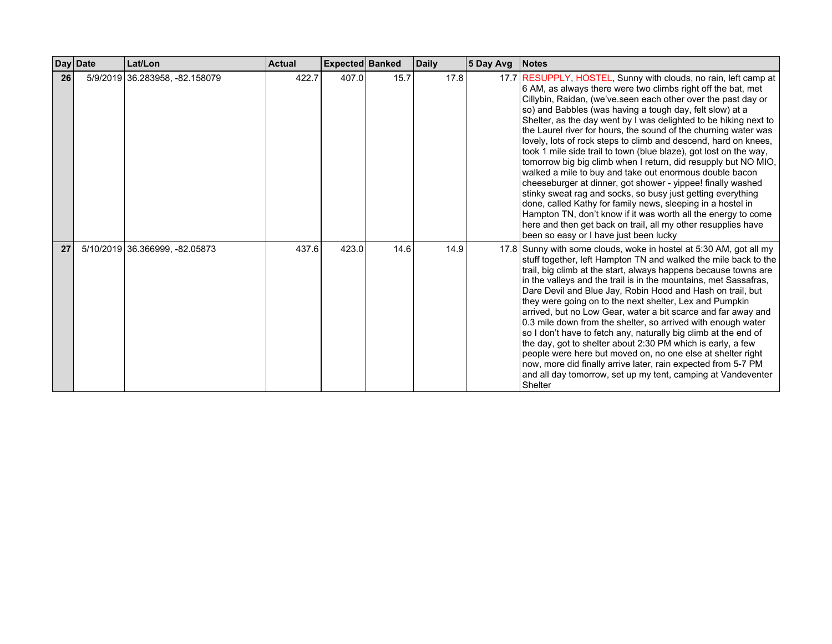|    | Day Date | Lat/Lon                        | <b>Actual</b> | Expected Banked |      | <b>Daily</b> | 5 Day Avg | <b>Notes</b>                                                                                                                                                                                                                                                                                                                                                                                                                                                                                                                                                                                                                                                                                                                                                                                                                                                                                                                                                                                                                                      |
|----|----------|--------------------------------|---------------|-----------------|------|--------------|-----------|---------------------------------------------------------------------------------------------------------------------------------------------------------------------------------------------------------------------------------------------------------------------------------------------------------------------------------------------------------------------------------------------------------------------------------------------------------------------------------------------------------------------------------------------------------------------------------------------------------------------------------------------------------------------------------------------------------------------------------------------------------------------------------------------------------------------------------------------------------------------------------------------------------------------------------------------------------------------------------------------------------------------------------------------------|
| 26 |          | 5/9/2019 36.283958, -82.158079 | 422.7         | 407.0           | 15.7 | 17.8         |           | 17.7 RESUPPLY, HOSTEL, Sunny with clouds, no rain, left camp at<br>6 AM, as always there were two climbs right off the bat, met<br>Cillybin, Raidan, (we've seen each other over the past day or<br>so) and Babbles (was having a tough day, felt slow) at a<br>Shelter, as the day went by I was delighted to be hiking next to<br>the Laurel river for hours, the sound of the churning water was<br>lovely, lots of rock steps to climb and descend, hard on knees,<br>took 1 mile side trail to town (blue blaze), got lost on the way,<br>tomorrow big big climb when I return, did resupply but NO MIO,<br>walked a mile to buy and take out enormous double bacon<br>cheeseburger at dinner, got shower - yippee! finally washed<br>stinky sweat rag and socks, so busy just getting everything<br>done, called Kathy for family news, sleeping in a hostel in<br>Hampton TN, don't know if it was worth all the energy to come<br>here and then get back on trail, all my other resupplies have<br>been so easy or I have just been lucky |
| 27 |          | 5/10/2019 36.366999, -82.05873 | 437.6         | 423.0           | 14.6 | 14.9         |           | 17.8 Sunny with some clouds, woke in hostel at 5:30 AM, got all my<br>stuff together, left Hampton TN and walked the mile back to the<br>trail, big climb at the start, always happens because towns are<br>in the valleys and the trail is in the mountains, met Sassafras,<br>Dare Devil and Blue Jay, Robin Hood and Hash on trail, but<br>they were going on to the next shelter, Lex and Pumpkin<br>arrived, but no Low Gear, water a bit scarce and far away and<br>0.3 mile down from the shelter, so arrived with enough water<br>so I don't have to fetch any, naturally big climb at the end of<br>the day, got to shelter about 2:30 PM which is early, a few<br>people were here but moved on, no one else at shelter right<br>now, more did finally arrive later, rain expected from 5-7 PM<br>and all day tomorrow, set up my tent, camping at Vandeventer<br>Shelter                                                                                                                                                               |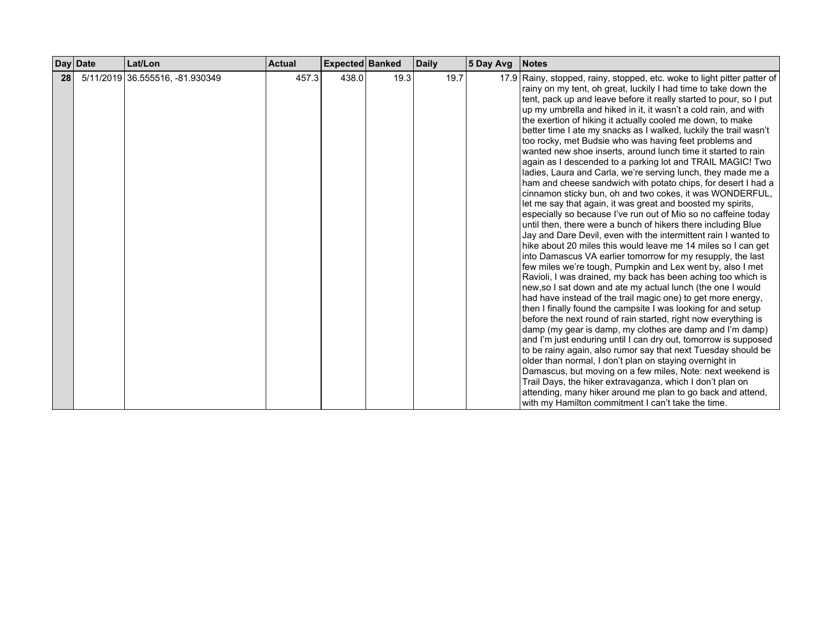|    | Day Date | Lat/Lon                         | <b>Actual</b> | Expected Banked |      | <b>Daily</b> | 5 Day Avg | <b>Notes</b>                                                                                                                                                                                                                                                                                                                                                                                                                                                                                                                                                                                                                                                                                                                                                                                                                                                                                                                                                                                                                                                                                                                                                                                                                                                                                                                                                                                                                                                                                                                                                                                                                                                                                                                                                                                                                                                                                                                                                                                                                                                            |
|----|----------|---------------------------------|---------------|-----------------|------|--------------|-----------|-------------------------------------------------------------------------------------------------------------------------------------------------------------------------------------------------------------------------------------------------------------------------------------------------------------------------------------------------------------------------------------------------------------------------------------------------------------------------------------------------------------------------------------------------------------------------------------------------------------------------------------------------------------------------------------------------------------------------------------------------------------------------------------------------------------------------------------------------------------------------------------------------------------------------------------------------------------------------------------------------------------------------------------------------------------------------------------------------------------------------------------------------------------------------------------------------------------------------------------------------------------------------------------------------------------------------------------------------------------------------------------------------------------------------------------------------------------------------------------------------------------------------------------------------------------------------------------------------------------------------------------------------------------------------------------------------------------------------------------------------------------------------------------------------------------------------------------------------------------------------------------------------------------------------------------------------------------------------------------------------------------------------------------------------------------------------|
| 28 |          | 5/11/2019 36.555516, -81.930349 | 457.3         | 438.0           | 19.3 | 19.7         |           | 17.9 Rainy, stopped, rainy, stopped, etc. woke to light pitter patter of<br>rainy on my tent, oh great, luckily I had time to take down the<br>tent, pack up and leave before it really started to pour, so I put<br>up my umbrella and hiked in it, it wasn't a cold rain, and with<br>the exertion of hiking it actually cooled me down, to make<br>better time I ate my snacks as I walked, luckily the trail wasn't<br>too rocky, met Budsie who was having feet problems and<br>wanted new shoe inserts, around lunch time it started to rain<br>again as I descended to a parking lot and TRAIL MAGIC! Two<br>ladies, Laura and Carla, we're serving lunch, they made me a<br>ham and cheese sandwich with potato chips, for desert I had a<br>cinnamon sticky bun, oh and two cokes, it was WONDERFUL,<br>let me say that again, it was great and boosted my spirits,<br>especially so because I've run out of Mio so no caffeine today<br>until then, there were a bunch of hikers there including Blue<br>Jay and Dare Devil, even with the intermittent rain I wanted to<br>hike about 20 miles this would leave me 14 miles so I can get<br>into Damascus VA earlier tomorrow for my resupply, the last<br>few miles we're tough, Pumpkin and Lex went by, also I met<br>Ravioli, I was drained, my back has been aching too which is<br>new, so I sat down and ate my actual lunch (the one I would<br>had have instead of the trail magic one) to get more energy,<br>then I finally found the campsite I was looking for and setup<br>before the next round of rain started, right now everything is<br>damp (my gear is damp, my clothes are damp and I'm damp)<br>and I'm just enduring until I can dry out, tomorrow is supposed<br>to be rainy again, also rumor say that next Tuesday should be<br>older than normal, I don't plan on staying overnight in<br>Damascus, but moving on a few miles, Note: next weekend is<br>Trail Days, the hiker extravaganza, which I don't plan on<br>attending, many hiker around me plan to go back and attend, |
|    |          |                                 |               |                 |      |              |           | with my Hamilton commitment I can't take the time.                                                                                                                                                                                                                                                                                                                                                                                                                                                                                                                                                                                                                                                                                                                                                                                                                                                                                                                                                                                                                                                                                                                                                                                                                                                                                                                                                                                                                                                                                                                                                                                                                                                                                                                                                                                                                                                                                                                                                                                                                      |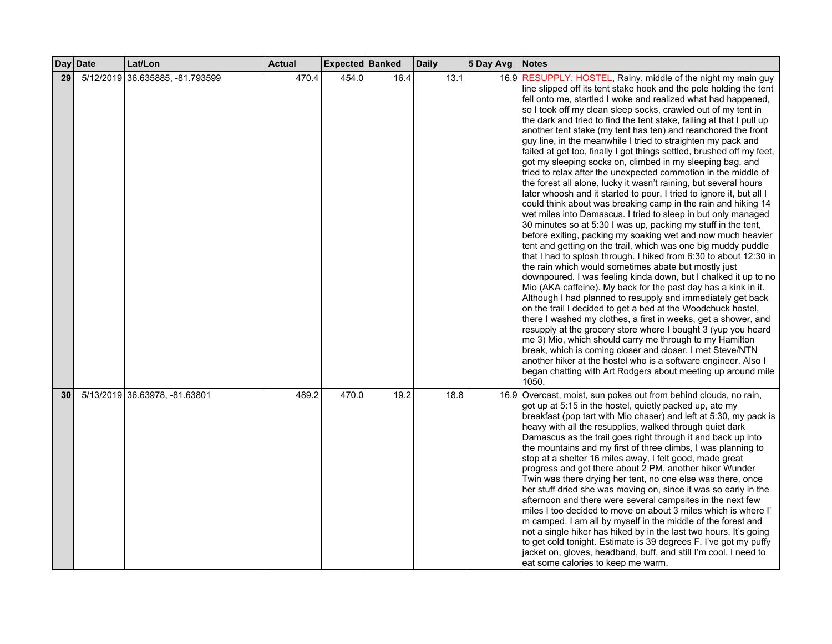|    | Day Date | Lat/Lon                         | <b>Actual</b> | <b>Expected Banked</b> |      | <b>Daily</b> | 5 Day Avg | Notes                                                                                                                                                                                                                                                                                                                                                                                                                                                                                                                                                                                                                                                                                                                                                                                                                                                                                                                                                                                                                                                                                                                                                                                                                                                                                                                                                                                                                                                                                                                                                                                                                                                                                                                                                                                                                                                                                                                                                                        |
|----|----------|---------------------------------|---------------|------------------------|------|--------------|-----------|------------------------------------------------------------------------------------------------------------------------------------------------------------------------------------------------------------------------------------------------------------------------------------------------------------------------------------------------------------------------------------------------------------------------------------------------------------------------------------------------------------------------------------------------------------------------------------------------------------------------------------------------------------------------------------------------------------------------------------------------------------------------------------------------------------------------------------------------------------------------------------------------------------------------------------------------------------------------------------------------------------------------------------------------------------------------------------------------------------------------------------------------------------------------------------------------------------------------------------------------------------------------------------------------------------------------------------------------------------------------------------------------------------------------------------------------------------------------------------------------------------------------------------------------------------------------------------------------------------------------------------------------------------------------------------------------------------------------------------------------------------------------------------------------------------------------------------------------------------------------------------------------------------------------------------------------------------------------------|
| 29 |          | 5/12/2019 36.635885, -81.793599 | 470.4         | 454.0                  | 16.4 | 13.1         |           | 16.9 RESUPPLY, HOSTEL, Rainy, middle of the night my main guy<br>line slipped off its tent stake hook and the pole holding the tent<br>fell onto me, startled I woke and realized what had happened.<br>so I took off my clean sleep socks, crawled out of my tent in<br>the dark and tried to find the tent stake, failing at that I pull up<br>another tent stake (my tent has ten) and reanchored the front<br>guy line, in the meanwhile I tried to straighten my pack and<br>failed at get too, finally I got things settled, brushed off my feet,<br>got my sleeping socks on, climbed in my sleeping bag, and<br>tried to relax after the unexpected commotion in the middle of<br>the forest all alone, lucky it wasn't raining, but several hours<br>later whoosh and it started to pour, I tried to ignore it, but all I<br>could think about was breaking camp in the rain and hiking 14<br>wet miles into Damascus. I tried to sleep in but only managed<br>30 minutes so at 5:30 I was up, packing my stuff in the tent,<br>before exiting, packing my soaking wet and now much heavier<br>tent and getting on the trail, which was one big muddy puddle<br>that I had to splosh through. I hiked from 6:30 to about 12:30 in<br>the rain which would sometimes abate but mostly just<br>downpoured. I was feeling kinda down, but I chalked it up to no<br>Mio (AKA caffeine). My back for the past day has a kink in it.<br>Although I had planned to resupply and immediately get back<br>on the trail I decided to get a bed at the Woodchuck hostel,<br>there I washed my clothes, a first in weeks, get a shower, and<br>resupply at the grocery store where I bought 3 (yup you heard<br>me 3) Mio, which should carry me through to my Hamilton<br>break, which is coming closer and closer. I met Steve/NTN<br>another hiker at the hostel who is a software engineer. Also I<br>began chatting with Art Rodgers about meeting up around mile<br>1050. |
| 30 |          | 5/13/2019 36.63978, -81.63801   | 489.2         | 470.0                  | 19.2 | 18.8         |           | 16.9 Overcast, moist, sun pokes out from behind clouds, no rain,<br>got up at 5:15 in the hostel, quietly packed up, ate my<br>breakfast (pop tart with Mio chaser) and left at 5:30, my pack is<br>heavy with all the resupplies, walked through quiet dark<br>Damascus as the trail goes right through it and back up into<br>the mountains and my first of three climbs, I was planning to<br>stop at a shelter 16 miles away, I felt good, made great<br>progress and got there about 2 PM, another hiker Wunder<br>Twin was there drying her tent, no one else was there, once<br>her stuff dried she was moving on, since it was so early in the<br>afternoon and there were several campsites in the next few<br>miles I too decided to move on about 3 miles which is where I'<br>m camped. I am all by myself in the middle of the forest and<br>not a single hiker has hiked by in the last two hours. It's going<br>to get cold tonight. Estimate is 39 degrees F. I've got my puffy<br>jacket on, gloves, headband, buff, and still I'm cool. I need to<br>eat some calories to keep me warm.                                                                                                                                                                                                                                                                                                                                                                                                                                                                                                                                                                                                                                                                                                                                                                                                                                                                    |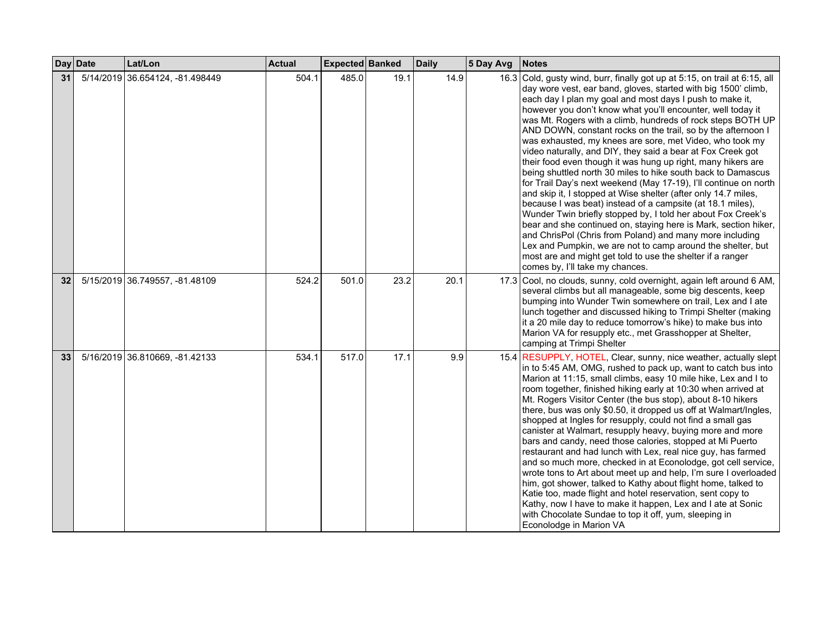|    | Day Date | Lat/Lon                         | <b>Actual</b> | Expected Banked |      | <b>Daily</b> | 5 Day Avg | <b>Notes</b>                                                                                                                                                                                                                                                                                                                                                                                                                                                                                                                                                                                                                                                                                                                                                                                                                                                                                                                                                                                                                                                                                                                                                                                                                         |
|----|----------|---------------------------------|---------------|-----------------|------|--------------|-----------|--------------------------------------------------------------------------------------------------------------------------------------------------------------------------------------------------------------------------------------------------------------------------------------------------------------------------------------------------------------------------------------------------------------------------------------------------------------------------------------------------------------------------------------------------------------------------------------------------------------------------------------------------------------------------------------------------------------------------------------------------------------------------------------------------------------------------------------------------------------------------------------------------------------------------------------------------------------------------------------------------------------------------------------------------------------------------------------------------------------------------------------------------------------------------------------------------------------------------------------|
| 31 |          | 5/14/2019 36.654124, -81.498449 | 504.1         | 485.0           | 19.1 | 14.9         |           | 16.3 Cold, gusty wind, burr, finally got up at 5:15, on trail at 6:15, all<br>day wore vest, ear band, gloves, started with big 1500' climb,<br>each day I plan my goal and most days I push to make it,<br>however you don't know what you'll encounter, well today it<br>was Mt. Rogers with a climb, hundreds of rock steps BOTH UP<br>AND DOWN, constant rocks on the trail, so by the afternoon I<br>was exhausted, my knees are sore, met Video, who took my<br>video naturally, and DIY, they said a bear at Fox Creek got<br>their food even though it was hung up right, many hikers are<br>being shuttled north 30 miles to hike south back to Damascus<br>for Trail Day's next weekend (May 17-19), I'll continue on north<br>and skip it, I stopped at Wise shelter (after only 14.7 miles,<br>because I was beat) instead of a campsite (at 18.1 miles),<br>Wunder Twin briefly stopped by, I told her about Fox Creek's<br>bear and she continued on, staying here is Mark, section hiker,<br>and ChrisPol (Chris from Poland) and many more including<br>Lex and Pumpkin, we are not to camp around the shelter, but<br>most are and might get told to use the shelter if a ranger<br>comes by, I'll take my chances. |
| 32 |          | 5/15/2019 36.749557, -81.48109  | 524.2         | 501.0           | 23.2 | 20.1         |           | 17.3 Cool, no clouds, sunny, cold overnight, again left around 6 AM,<br>several climbs but all manageable, some big descents, keep<br>bumping into Wunder Twin somewhere on trail, Lex and I ate<br>lunch together and discussed hiking to Trimpi Shelter (making<br>it a 20 mile day to reduce tomorrow's hike) to make bus into<br>Marion VA for resupply etc., met Grasshopper at Shelter,<br>camping at Trimpi Shelter                                                                                                                                                                                                                                                                                                                                                                                                                                                                                                                                                                                                                                                                                                                                                                                                           |
| 33 |          | 5/16/2019 36.810669, -81.42133  | 534.1         | 517.0           | 17.1 | 9.9          |           | 15.4 RESUPPLY, HOTEL, Clear, sunny, nice weather, actually slept<br>in to 5:45 AM, OMG, rushed to pack up, want to catch bus into<br>Marion at 11:15, small climbs, easy 10 mile hike, Lex and I to<br>room together, finished hiking early at 10:30 when arrived at<br>Mt. Rogers Visitor Center (the bus stop), about 8-10 hikers<br>there, bus was only \$0.50, it dropped us off at Walmart/Ingles,<br>shopped at Ingles for resupply, could not find a small gas<br>canister at Walmart, resupply heavy, buying more and more<br>bars and candy, need those calories, stopped at Mi Puerto<br>restaurant and had lunch with Lex, real nice guy, has farmed<br>and so much more, checked in at Econolodge, got cell service,<br>wrote tons to Art about meet up and help, I'm sure I overloaded<br>him, got shower, talked to Kathy about flight home, talked to<br>Katie too, made flight and hotel reservation, sent copy to<br>Kathy, now I have to make it happen, Lex and I ate at Sonic<br>with Chocolate Sundae to top it off, yum, sleeping in<br>Econolodge in Marion VA                                                                                                                                                |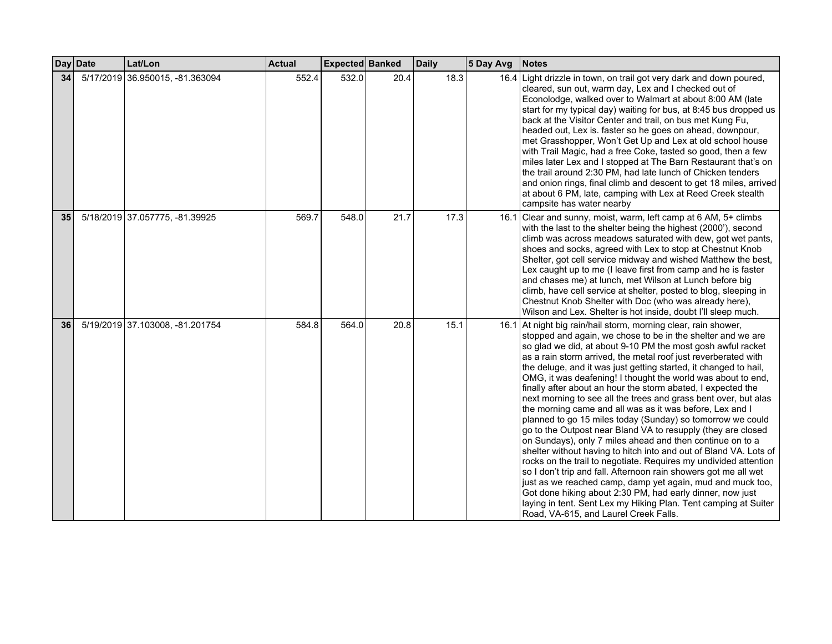|    | Day Date | Lat/Lon                         | <b>Actual</b> | Expected Banked |      | <b>Daily</b> | 5 Day Avg | Notes                                                                                                                                                                                                                                                                                                                                                                                                                                                                                                                                                                                                                                                                                                                                                                                                                                                                                                                                                                                                                                                                                                                                                                                                                                           |
|----|----------|---------------------------------|---------------|-----------------|------|--------------|-----------|-------------------------------------------------------------------------------------------------------------------------------------------------------------------------------------------------------------------------------------------------------------------------------------------------------------------------------------------------------------------------------------------------------------------------------------------------------------------------------------------------------------------------------------------------------------------------------------------------------------------------------------------------------------------------------------------------------------------------------------------------------------------------------------------------------------------------------------------------------------------------------------------------------------------------------------------------------------------------------------------------------------------------------------------------------------------------------------------------------------------------------------------------------------------------------------------------------------------------------------------------|
| 34 |          | 5/17/2019 36.950015, -81.363094 | 552.4         | 532.0           | 20.4 | 18.3         |           | 16.4 Light drizzle in town, on trail got very dark and down poured,<br>cleared, sun out, warm day, Lex and I checked out of<br>Econolodge, walked over to Walmart at about 8:00 AM (late<br>start for my typical day) waiting for bus, at 8:45 bus dropped us<br>back at the Visitor Center and trail, on bus met Kung Fu.<br>headed out, Lex is. faster so he goes on ahead, downpour,<br>met Grasshopper, Won't Get Up and Lex at old school house<br>with Trail Magic, had a free Coke, tasted so good, then a few<br>miles later Lex and I stopped at The Barn Restaurant that's on<br>the trail around 2:30 PM, had late lunch of Chicken tenders<br>and onion rings, final climb and descent to get 18 miles, arrived<br>at about 6 PM, late, camping with Lex at Reed Creek stealth<br>campsite has water nearby                                                                                                                                                                                                                                                                                                                                                                                                                         |
| 35 |          | 5/18/2019 37.057775, -81.39925  | 569.7         | 548.0           | 21.7 | 17.3         |           | 16.1 Clear and sunny, moist, warm, left camp at 6 AM, 5+ climbs<br>with the last to the shelter being the highest (2000'), second<br>climb was across meadows saturated with dew, got wet pants,<br>shoes and socks, agreed with Lex to stop at Chestnut Knob<br>Shelter, got cell service midway and wished Matthew the best,<br>Lex caught up to me (I leave first from camp and he is faster<br>and chases me) at lunch, met Wilson at Lunch before big<br>climb, have cell service at shelter, posted to blog, sleeping in<br>Chestnut Knob Shelter with Doc (who was already here),<br>Wilson and Lex. Shelter is hot inside, doubt I'll sleep much.                                                                                                                                                                                                                                                                                                                                                                                                                                                                                                                                                                                       |
| 36 |          | 5/19/2019 37.103008, -81.201754 | 584.8         | 564.0           | 20.8 | 15.1         |           | 16.1 At night big rain/hail storm, morning clear, rain shower,<br>stopped and again, we chose to be in the shelter and we are<br>so glad we did, at about 9-10 PM the most gosh awful racket<br>as a rain storm arrived, the metal roof just reverberated with<br>the deluge, and it was just getting started, it changed to hail,<br>OMG, it was deafening! I thought the world was about to end,<br>finally after about an hour the storm abated, I expected the<br>next morning to see all the trees and grass bent over, but alas<br>the morning came and all was as it was before, Lex and I<br>planned to go 15 miles today (Sunday) so tomorrow we could<br>go to the Outpost near Bland VA to resupply (they are closed<br>on Sundays), only 7 miles ahead and then continue on to a<br>shelter without having to hitch into and out of Bland VA. Lots of<br>rocks on the trail to negotiate. Requires my undivided attention<br>so I don't trip and fall. Afternoon rain showers got me all wet<br>just as we reached camp, damp yet again, mud and muck too,<br>Got done hiking about 2:30 PM, had early dinner, now just<br>laying in tent. Sent Lex my Hiking Plan. Tent camping at Suiter<br>Road, VA-615, and Laurel Creek Falls. |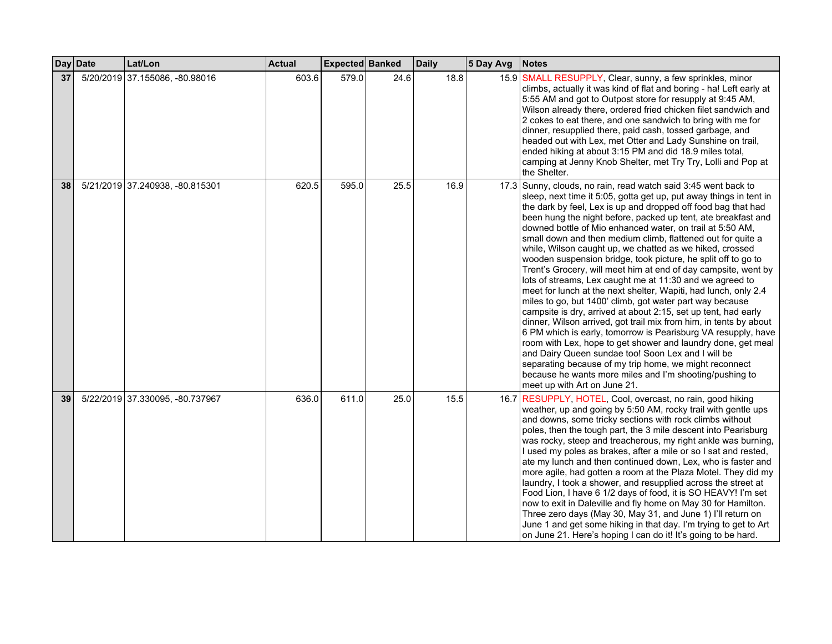|    | Day Date | Lat/Lon                         | <b>Actual</b> | Expected Banked |      | <b>Daily</b> | 5 Day Avg | <b>Notes</b>                                                                                                                                                                                                                                                                                                                                                                                                                                                                                                                                                                                                                                                                                                                                                                                                                                                                                                                                                                                                                                                                                                                                                                                                                                                                    |
|----|----------|---------------------------------|---------------|-----------------|------|--------------|-----------|---------------------------------------------------------------------------------------------------------------------------------------------------------------------------------------------------------------------------------------------------------------------------------------------------------------------------------------------------------------------------------------------------------------------------------------------------------------------------------------------------------------------------------------------------------------------------------------------------------------------------------------------------------------------------------------------------------------------------------------------------------------------------------------------------------------------------------------------------------------------------------------------------------------------------------------------------------------------------------------------------------------------------------------------------------------------------------------------------------------------------------------------------------------------------------------------------------------------------------------------------------------------------------|
| 37 |          | 5/20/2019 37.155086, -80.98016  | 603.6         | 579.0           | 24.6 | 18.8         |           | 15.9 SMALL RESUPPLY, Clear, sunny, a few sprinkles, minor<br>climbs, actually it was kind of flat and boring - ha! Left early at<br>5:55 AM and got to Outpost store for resupply at 9:45 AM,<br>Wilson already there, ordered fried chicken filet sandwich and<br>2 cokes to eat there, and one sandwich to bring with me for<br>dinner, resupplied there, paid cash, tossed garbage, and<br>headed out with Lex, met Otter and Lady Sunshine on trail,<br>ended hiking at about 3:15 PM and did 18.9 miles total,<br>camping at Jenny Knob Shelter, met Try Try, Lolli and Pop at<br>the Shelter.                                                                                                                                                                                                                                                                                                                                                                                                                                                                                                                                                                                                                                                                             |
| 38 |          | 5/21/2019 37.240938, -80.815301 | 620.5         | 595.0           | 25.5 | 16.9         |           | 17.3 Sunny, clouds, no rain, read watch said 3:45 went back to<br>sleep, next time it 5:05, gotta get up, put away things in tent in<br>the dark by feel, Lex is up and dropped off food bag that had<br>been hung the night before, packed up tent, ate breakfast and<br>downed bottle of Mio enhanced water, on trail at 5:50 AM,<br>small down and then medium climb, flattened out for quite a<br>while, Wilson caught up, we chatted as we hiked, crossed<br>wooden suspension bridge, took picture, he split off to go to<br>Trent's Grocery, will meet him at end of day campsite, went by<br>lots of streams, Lex caught me at 11:30 and we agreed to<br>meet for lunch at the next shelter, Wapiti, had lunch, only 2.4<br>miles to go, but 1400' climb, got water part way because<br>campsite is dry, arrived at about 2:15, set up tent, had early<br>dinner, Wilson arrived, got trail mix from him, in tents by about<br>6 PM which is early, tomorrow is Pearisburg VA resupply, have<br>room with Lex, hope to get shower and laundry done, get meal<br>and Dairy Queen sundae too! Soon Lex and I will be<br>separating because of my trip home, we might reconnect<br>because he wants more miles and I'm shooting/pushing to<br>meet up with Art on June 21. |
| 39 |          | 5/22/2019 37.330095, -80.737967 | 636.0         | 611.0           | 25.0 | 15.5         |           | 16.7 RESUPPLY, HOTEL, Cool, overcast, no rain, good hiking<br>weather, up and going by 5:50 AM, rocky trail with gentle ups<br>and downs, some tricky sections with rock climbs without<br>poles, then the tough part, the 3 mile descent into Pearisburg<br>was rocky, steep and treacherous, my right ankle was burning,<br>I used my poles as brakes, after a mile or so I sat and rested,<br>ate my lunch and then continued down, Lex, who is faster and<br>more agile, had gotten a room at the Plaza Motel. They did my<br>laundry, I took a shower, and resupplied across the street at<br>Food Lion, I have 6 1/2 days of food, it is SO HEAVY! I'm set<br>now to exit in Daleville and fly home on May 30 for Hamilton.<br>Three zero days (May 30, May 31, and June 1) I'll return on<br>June 1 and get some hiking in that day. I'm trying to get to Art<br>on June 21. Here's hoping I can do it! It's going to be hard.                                                                                                                                                                                                                                                                                                                                           |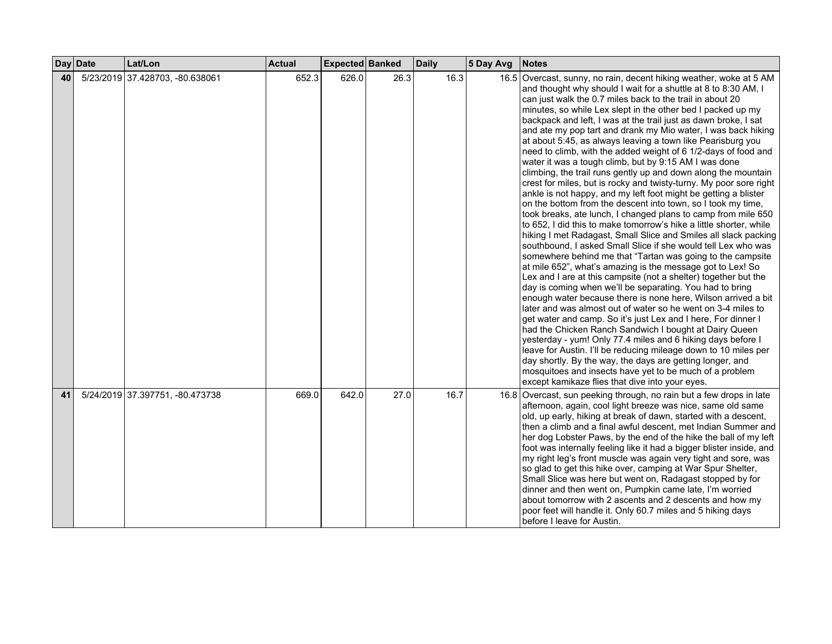|    | Day Date | Lat/Lon                         | <b>Actual</b> | Expected Banked |      | <b>Daily</b> | 5 Day Avg | <b>Notes</b>                                                                                                                                                                                                                                                                                                                                                                                                                                                                                                                                                                                                                                                                                                                                                                                                                                                                                                                                                                                                                                                                                                                                                                                                                                                                                                                                                                                                                                                                                                                                                                                                                                                                                                                                                                                                                                                                                                                                                                              |
|----|----------|---------------------------------|---------------|-----------------|------|--------------|-----------|-------------------------------------------------------------------------------------------------------------------------------------------------------------------------------------------------------------------------------------------------------------------------------------------------------------------------------------------------------------------------------------------------------------------------------------------------------------------------------------------------------------------------------------------------------------------------------------------------------------------------------------------------------------------------------------------------------------------------------------------------------------------------------------------------------------------------------------------------------------------------------------------------------------------------------------------------------------------------------------------------------------------------------------------------------------------------------------------------------------------------------------------------------------------------------------------------------------------------------------------------------------------------------------------------------------------------------------------------------------------------------------------------------------------------------------------------------------------------------------------------------------------------------------------------------------------------------------------------------------------------------------------------------------------------------------------------------------------------------------------------------------------------------------------------------------------------------------------------------------------------------------------------------------------------------------------------------------------------------------------|
| 40 |          | 5/23/2019 37.428703, -80.638061 | 652.3         | 626.0           | 26.3 | 16.3         |           | 16.5 Overcast, sunny, no rain, decent hiking weather, woke at 5 AM<br>and thought why should I wait for a shuttle at 8 to 8:30 AM, I<br>can just walk the 0.7 miles back to the trail in about 20<br>minutes, so while Lex slept in the other bed I packed up my<br>backpack and left, I was at the trail just as dawn broke, I sat<br>and ate my pop tart and drank my Mio water, I was back hiking<br>at about 5:45, as always leaving a town like Pearisburg you<br>need to climb, with the added weight of 6 1/2-days of food and<br>water it was a tough climb, but by 9:15 AM I was done<br>climbing, the trail runs gently up and down along the mountain<br>crest for miles, but is rocky and twisty-turny. My poor sore right<br>ankle is not happy, and my left foot might be getting a blister<br>on the bottom from the descent into town, so I took my time,<br>took breaks, ate lunch, I changed plans to camp from mile 650<br>to 652, I did this to make tomorrow's hike a little shorter, while<br>hiking I met Radagast, Small Slice and Smiles all slack packing<br>southbound, I asked Small Slice if she would tell Lex who was<br>somewhere behind me that "Tartan was going to the campsite"<br>at mile 652", what's amazing is the message got to Lex! So<br>Lex and I are at this campsite (not a shelter) together but the<br>day is coming when we'll be separating. You had to bring<br>enough water because there is none here, Wilson arrived a bit<br>later and was almost out of water so he went on 3-4 miles to<br>get water and camp. So it's just Lex and I here, For dinner I<br>had the Chicken Ranch Sandwich I bought at Dairy Queen<br>yesterday - yum! Only 77.4 miles and 6 hiking days before I<br>leave for Austin. I'll be reducing mileage down to 10 miles per<br>day shortly. By the way, the days are getting longer, and<br>mosquitoes and insects have yet to be much of a problem<br>except kamikaze flies that dive into your eyes. |
| 41 |          | 5/24/2019 37.397751, -80.473738 | 669.0         | 642.0           | 27.0 | 16.7         |           | 16.8 Overcast, sun peeking through, no rain but a few drops in late<br>afternoon, again, cool light breeze was nice, same old same<br>old, up early, hiking at break of dawn, started with a descent,<br>then a climb and a final awful descent, met Indian Summer and<br>her dog Lobster Paws, by the end of the hike the ball of my left<br>foot was internally feeling like it had a bigger blister inside, and<br>my right leg's front muscle was again very tight and sore, was<br>so glad to get this hike over, camping at War Spur Shelter,<br>Small Slice was here but went on, Radagast stopped by for<br>dinner and then went on, Pumpkin came late, I'm worried<br>about tomorrow with 2 ascents and 2 descents and how my<br>poor feet will handle it. Only 60.7 miles and 5 hiking days<br>before I leave for Austin.                                                                                                                                                                                                                                                                                                                                                                                                                                                                                                                                                                                                                                                                                                                                                                                                                                                                                                                                                                                                                                                                                                                                                       |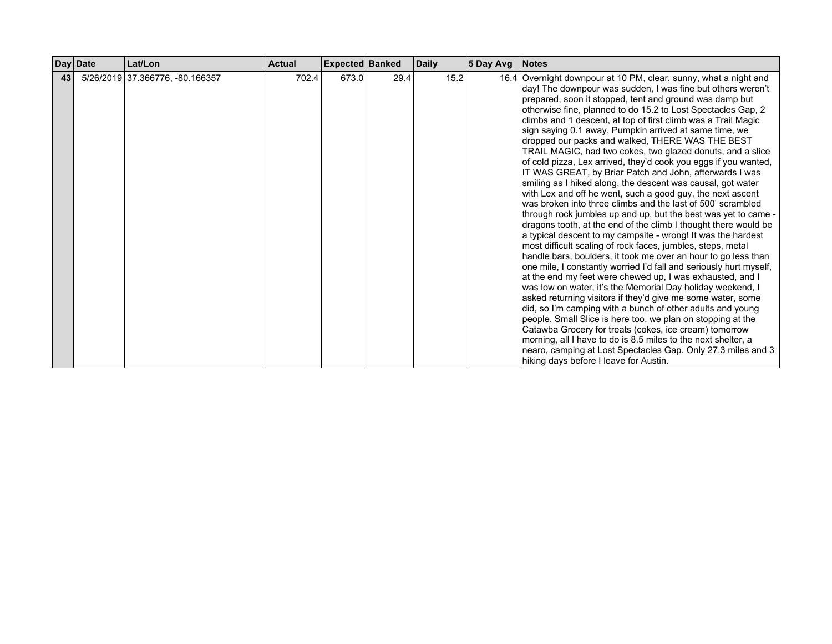|    | Day Date | Lat/Lon                         | <b>Actual</b> | <b>Expected Banked</b> |      | <b>Daily</b> | $ 5$ Day Avg | <b>Notes</b>                                                                                                                                                                                                                                                                                                                                                                                                                                                                                                                                                                                                                                                                                                                                                                                                                                                                                                                                                                                                                                                                                                                                                                                                                                                                                                                                                                                                                                                                                                                                                                                                                                                                                                                                                                                              |
|----|----------|---------------------------------|---------------|------------------------|------|--------------|--------------|-----------------------------------------------------------------------------------------------------------------------------------------------------------------------------------------------------------------------------------------------------------------------------------------------------------------------------------------------------------------------------------------------------------------------------------------------------------------------------------------------------------------------------------------------------------------------------------------------------------------------------------------------------------------------------------------------------------------------------------------------------------------------------------------------------------------------------------------------------------------------------------------------------------------------------------------------------------------------------------------------------------------------------------------------------------------------------------------------------------------------------------------------------------------------------------------------------------------------------------------------------------------------------------------------------------------------------------------------------------------------------------------------------------------------------------------------------------------------------------------------------------------------------------------------------------------------------------------------------------------------------------------------------------------------------------------------------------------------------------------------------------------------------------------------------------|
| 43 |          | 5/26/2019 37.366776, -80.166357 | 702.4         | 673.0                  | 29.4 | 15.2         |              | 16.4 Overnight downpour at 10 PM, clear, sunny, what a night and<br>day! The downpour was sudden, I was fine but others weren't<br>prepared, soon it stopped, tent and ground was damp but<br>otherwise fine, planned to do 15.2 to Lost Spectacles Gap, 2<br>climbs and 1 descent, at top of first climb was a Trail Magic<br>sign saying 0.1 away, Pumpkin arrived at same time, we<br>dropped our packs and walked, THERE WAS THE BEST<br>TRAIL MAGIC, had two cokes, two glazed donuts, and a slice<br>of cold pizza, Lex arrived, they'd cook you eggs if you wanted,<br>IT WAS GREAT, by Briar Patch and John, afterwards I was<br>smiling as I hiked along, the descent was causal, got water<br>with Lex and off he went, such a good guy, the next ascent<br>was broken into three climbs and the last of 500' scrambled<br>through rock jumbles up and up, but the best was yet to came -<br>dragons tooth, at the end of the climb I thought there would be<br>a typical descent to my campsite - wrong! It was the hardest<br>most difficult scaling of rock faces, jumbles, steps, metal<br>handle bars, boulders, it took me over an hour to go less than<br>one mile, I constantly worried I'd fall and seriously hurt myself,<br>at the end my feet were chewed up, I was exhausted, and I<br>was low on water, it's the Memorial Day holiday weekend, I<br>asked returning visitors if they'd give me some water, some<br>did, so I'm camping with a bunch of other adults and young<br>people, Small Slice is here too, we plan on stopping at the<br>Catawba Grocery for treats (cokes, ice cream) tomorrow<br>morning, all I have to do is 8.5 miles to the next shelter, a<br>nearo, camping at Lost Spectacles Gap. Only 27.3 miles and 3<br>hiking days before I leave for Austin. |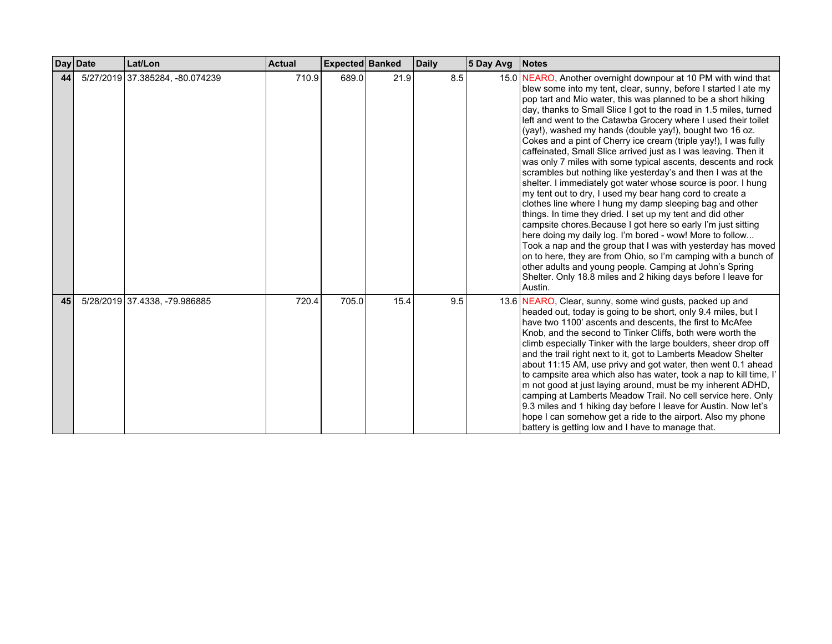|    | Day Date | Lat/Lon                         | <b>Actual</b> | Expected Banked |      | <b>Daily</b> | 5 Day Avg | <b>Notes</b>                                                                                                                                                                                                                                                                                                                                                                                                                                                                                                                                                                                                                                                                                                                                                                                                                                                                                                                                                                                                                                                                                                                                                                                                                                                                                                                                |
|----|----------|---------------------------------|---------------|-----------------|------|--------------|-----------|---------------------------------------------------------------------------------------------------------------------------------------------------------------------------------------------------------------------------------------------------------------------------------------------------------------------------------------------------------------------------------------------------------------------------------------------------------------------------------------------------------------------------------------------------------------------------------------------------------------------------------------------------------------------------------------------------------------------------------------------------------------------------------------------------------------------------------------------------------------------------------------------------------------------------------------------------------------------------------------------------------------------------------------------------------------------------------------------------------------------------------------------------------------------------------------------------------------------------------------------------------------------------------------------------------------------------------------------|
| 44 |          | 5/27/2019 37.385284, -80.074239 | 710.9         | 689.0           | 21.9 | 8.5          |           | 15.0   NEARO, Another overnight downpour at 10 PM with wind that<br>blew some into my tent, clear, sunny, before I started I ate my<br>pop tart and Mio water, this was planned to be a short hiking<br>day, thanks to Small Slice I got to the road in 1.5 miles, turned<br>left and went to the Catawba Grocery where I used their toilet<br>(yay!), washed my hands (double yay!), bought two 16 oz.<br>Cokes and a pint of Cherry ice cream (triple yay!), I was fully<br>caffeinated, Small Slice arrived just as I was leaving. Then it<br>was only 7 miles with some typical ascents, descents and rock<br>scrambles but nothing like yesterday's and then I was at the<br>shelter. I immediately got water whose source is poor. I hung<br>my tent out to dry, I used my bear hang cord to create a<br>clothes line where I hung my damp sleeping bag and other<br>things. In time they dried. I set up my tent and did other<br>campsite chores. Because I got here so early I'm just sitting<br>here doing my daily log. I'm bored - wow! More to follow<br>Took a nap and the group that I was with yesterday has moved<br>on to here, they are from Ohio, so I'm camping with a bunch of<br>other adults and young people. Camping at John's Spring<br>Shelter. Only 18.8 miles and 2 hiking days before I leave for<br>Austin. |
| 45 |          | 5/28/2019 37.4338, -79.986885   | 720.4         | 705.0           | 15.4 | 9.5          |           | 13.6 NEARO, Clear, sunny, some wind gusts, packed up and<br>headed out, today is going to be short, only 9.4 miles, but I<br>have two 1100' ascents and descents, the first to McAfee<br>Knob, and the second to Tinker Cliffs, both were worth the<br>climb especially Tinker with the large boulders, sheer drop off<br>and the trail right next to it, got to Lamberts Meadow Shelter<br>about 11:15 AM, use privy and got water, then went 0.1 ahead<br>to campsite area which also has water, took a nap to kill time, I'<br>m not good at just laying around, must be my inherent ADHD,<br>camping at Lamberts Meadow Trail. No cell service here. Only<br>9.3 miles and 1 hiking day before I leave for Austin. Now let's<br>hope I can somehow get a ride to the airport. Also my phone<br>battery is getting low and I have to manage that.                                                                                                                                                                                                                                                                                                                                                                                                                                                                                        |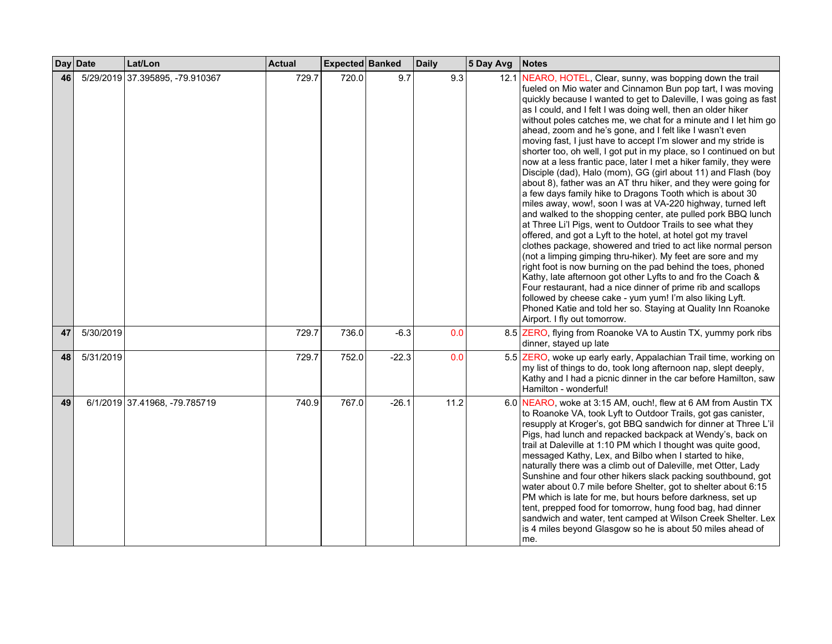|    | Day Date  | Lat/Lon                         | <b>Actual</b> | Expected Banked |         | <b>Daily</b> | 5 Day Avg | <b>Notes</b>                                                                                                                                                                                                                                                                                                                                                                                                                                                                                                                                                                                                                                                                                                                                                                                                                                                                                                                                                                                                                                                                                                                                                                                                                                                                                                                                                                                                                                                                                                                                                          |
|----|-----------|---------------------------------|---------------|-----------------|---------|--------------|-----------|-----------------------------------------------------------------------------------------------------------------------------------------------------------------------------------------------------------------------------------------------------------------------------------------------------------------------------------------------------------------------------------------------------------------------------------------------------------------------------------------------------------------------------------------------------------------------------------------------------------------------------------------------------------------------------------------------------------------------------------------------------------------------------------------------------------------------------------------------------------------------------------------------------------------------------------------------------------------------------------------------------------------------------------------------------------------------------------------------------------------------------------------------------------------------------------------------------------------------------------------------------------------------------------------------------------------------------------------------------------------------------------------------------------------------------------------------------------------------------------------------------------------------------------------------------------------------|
| 46 |           | 5/29/2019 37.395895, -79.910367 | 729.7         | 720.0           | 9.7     | 9.3          |           | 12.1 NEARO, HOTEL, Clear, sunny, was bopping down the trail<br>fueled on Mio water and Cinnamon Bun pop tart, I was moving<br>quickly because I wanted to get to Daleville, I was going as fast<br>as I could, and I felt I was doing well, then an older hiker<br>without poles catches me, we chat for a minute and I let him go<br>ahead, zoom and he's gone, and I felt like I wasn't even<br>moving fast, I just have to accept I'm slower and my stride is<br>shorter too, oh well, I got put in my place, so I continued on but<br>now at a less frantic pace, later I met a hiker family, they were<br>Disciple (dad), Halo (mom), GG (girl about 11) and Flash (boy<br>about 8), father was an AT thru hiker, and they were going for<br>a few days family hike to Dragons Tooth which is about 30<br>miles away, wow!, soon I was at VA-220 highway, turned left<br>and walked to the shopping center, ate pulled pork BBQ lunch<br>at Three Li'l Pigs, went to Outdoor Trails to see what they<br>offered, and got a Lyft to the hotel, at hotel got my travel<br>clothes package, showered and tried to act like normal person<br>(not a limping gimping thru-hiker). My feet are sore and my<br>right foot is now burning on the pad behind the toes, phoned<br>Kathy, late afternoon got other Lyfts to and fro the Coach &<br>Four restaurant, had a nice dinner of prime rib and scallops<br>followed by cheese cake - yum yum! I'm also liking Lyft.<br>Phoned Katie and told her so. Staying at Quality Inn Roanoke<br>Airport. I fly out tomorrow. |
| 47 | 5/30/2019 |                                 | 729.7         | 736.0           | $-6.3$  | 0.0          |           | 8.5 ZERO, flying from Roanoke VA to Austin TX, yummy pork ribs<br>dinner, stayed up late                                                                                                                                                                                                                                                                                                                                                                                                                                                                                                                                                                                                                                                                                                                                                                                                                                                                                                                                                                                                                                                                                                                                                                                                                                                                                                                                                                                                                                                                              |
| 48 | 5/31/2019 |                                 | 729.7         | 752.0           | $-22.3$ | 0.0          |           | 5.5 ZERO, woke up early early, Appalachian Trail time, working on<br>my list of things to do, took long afternoon nap, slept deeply,<br>Kathy and I had a picnic dinner in the car before Hamilton, saw<br>Hamilton - wonderful!                                                                                                                                                                                                                                                                                                                                                                                                                                                                                                                                                                                                                                                                                                                                                                                                                                                                                                                                                                                                                                                                                                                                                                                                                                                                                                                                      |
| 49 |           | 6/1/2019 37.41968, -79.785719   | 740.9         | 767.0           | $-26.1$ | 11.2         |           | 6.0 NEARO, woke at 3:15 AM, ouch!, flew at 6 AM from Austin TX<br>to Roanoke VA, took Lyft to Outdoor Trails, got gas canister,<br>resupply at Kroger's, got BBQ sandwich for dinner at Three L'il<br>Pigs, had lunch and repacked backpack at Wendy's, back on<br>trail at Daleville at 1:10 PM which I thought was quite good,<br>messaged Kathy, Lex, and Bilbo when I started to hike,<br>naturally there was a climb out of Daleville, met Otter, Lady<br>Sunshine and four other hikers slack packing southbound, got<br>water about 0.7 mile before Shelter, got to shelter about 6:15<br>PM which is late for me, but hours before darkness, set up<br>tent, prepped food for tomorrow, hung food bag, had dinner<br>sandwich and water, tent camped at Wilson Creek Shelter. Lex<br>is 4 miles beyond Glasgow so he is about 50 miles ahead of<br>me.                                                                                                                                                                                                                                                                                                                                                                                                                                                                                                                                                                                                                                                                                                        |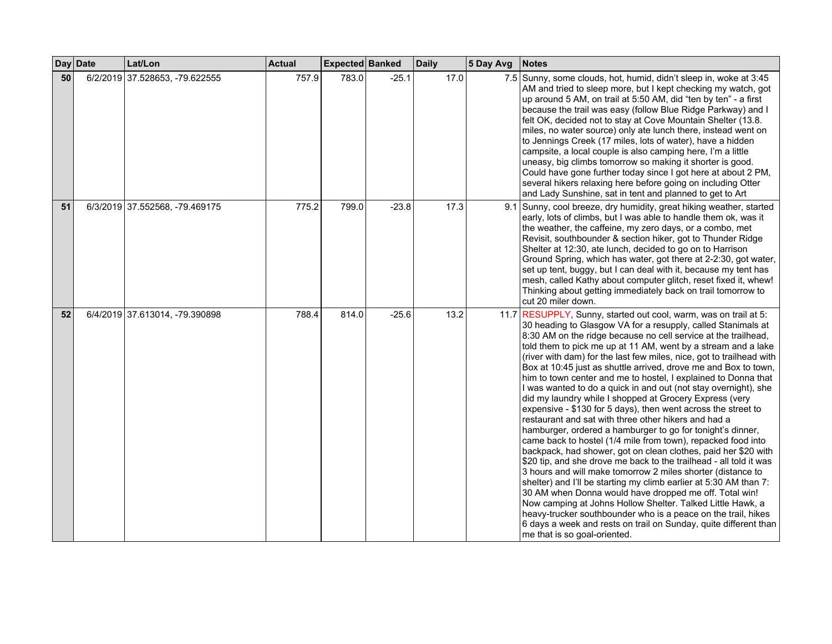|    | Day Date | Lat/Lon                        | <b>Actual</b> | Expected Banked |         | <b>Daily</b> | 5 Day Avg | <b>Notes</b>                                                                                                                                                                                                                                                                                                                                                                                                                                                                                                                                                                                                                                                                                                                                                                                                                                                                                                                                                                                                                                                                                                                                                                                                                                                                                                                                                                                                                                   |
|----|----------|--------------------------------|---------------|-----------------|---------|--------------|-----------|------------------------------------------------------------------------------------------------------------------------------------------------------------------------------------------------------------------------------------------------------------------------------------------------------------------------------------------------------------------------------------------------------------------------------------------------------------------------------------------------------------------------------------------------------------------------------------------------------------------------------------------------------------------------------------------------------------------------------------------------------------------------------------------------------------------------------------------------------------------------------------------------------------------------------------------------------------------------------------------------------------------------------------------------------------------------------------------------------------------------------------------------------------------------------------------------------------------------------------------------------------------------------------------------------------------------------------------------------------------------------------------------------------------------------------------------|
| 50 |          | 6/2/2019 37.528653, -79.622555 | 757.9         | 783.0           | $-25.1$ | 17.0         |           | 7.5 Sunny, some clouds, hot, humid, didn't sleep in, woke at 3:45<br>AM and tried to sleep more, but I kept checking my watch, got<br>up around 5 AM, on trail at 5:50 AM, did "ten by ten" - a first<br>because the trail was easy (follow Blue Ridge Parkway) and I<br>felt OK, decided not to stay at Cove Mountain Shelter (13.8.<br>miles, no water source) only ate lunch there, instead went on<br>to Jennings Creek (17 miles, lots of water), have a hidden<br>campsite, a local couple is also camping here, I'm a little<br>uneasy, big climbs tomorrow so making it shorter is good.<br>Could have gone further today since I got here at about 2 PM,<br>several hikers relaxing here before going on including Otter<br>and Lady Sunshine, sat in tent and planned to get to Art                                                                                                                                                                                                                                                                                                                                                                                                                                                                                                                                                                                                                                                  |
| 51 |          | 6/3/2019 37.552568, -79.469175 | 775.2         | 799.0           | $-23.8$ | 17.3         |           | 9.1 Sunny, cool breeze, dry humidity, great hiking weather, started<br>early, lots of climbs, but I was able to handle them ok, was it<br>the weather, the caffeine, my zero days, or a combo, met<br>Revisit, southbounder & section hiker, got to Thunder Ridge<br>Shelter at 12:30, ate lunch, decided to go on to Harrison<br>Ground Spring, which has water, got there at 2-2:30, got water,<br>set up tent, buggy, but I can deal with it, because my tent has<br>mesh, called Kathy about computer glitch, reset fixed it, whew!<br>Thinking about getting immediately back on trail tomorrow to<br>cut 20 miler down.                                                                                                                                                                                                                                                                                                                                                                                                                                                                                                                                                                                                                                                                                                                                                                                                                  |
| 52 |          | 6/4/2019 37.613014, -79.390898 | 788.4         | 814.0           | $-25.6$ | 13.2         |           | 11.7 RESUPPLY, Sunny, started out cool, warm, was on trail at 5:<br>30 heading to Glasgow VA for a resupply, called Stanimals at<br>8:30 AM on the ridge because no cell service at the trailhead,<br>told them to pick me up at 11 AM, went by a stream and a lake<br>(river with dam) for the last few miles, nice, got to trailhead with<br>Box at 10:45 just as shuttle arrived, drove me and Box to town,<br>him to town center and me to hostel, I explained to Donna that<br>I was wanted to do a quick in and out (not stay overnight), she<br>did my laundry while I shopped at Grocery Express (very<br>expensive - \$130 for 5 days), then went across the street to<br>restaurant and sat with three other hikers and had a<br>hamburger, ordered a hamburger to go for tonight's dinner,<br>came back to hostel (1/4 mile from town), repacked food into<br>backpack, had shower, got on clean clothes, paid her \$20 with<br>\$20 tip, and she drove me back to the trailhead - all told it was<br>3 hours and will make tomorrow 2 miles shorter (distance to<br>shelter) and I'll be starting my climb earlier at 5:30 AM than 7:<br>30 AM when Donna would have dropped me off. Total win!<br>Now camping at Johns Hollow Shelter. Talked Little Hawk, a<br>heavy-trucker southbounder who is a peace on the trail, hikes<br>6 days a week and rests on trail on Sunday, quite different than<br>me that is so goal-oriented. |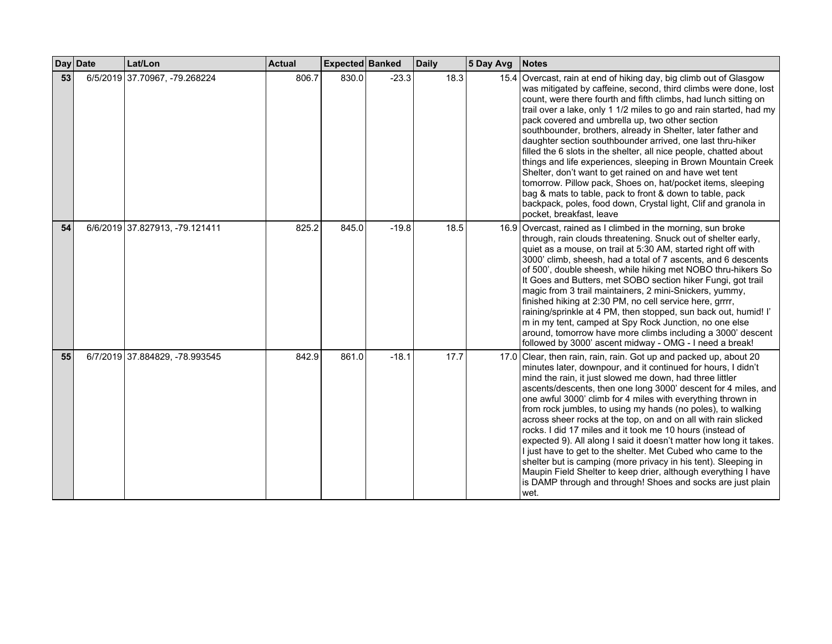|    | Day Date | Lat/Lon                        | <b>Actual</b> | <b>Expected Banked</b> |         | <b>Daily</b> | 5 Day Avg | <b>Notes</b>                                                                                                                                                                                                                                                                                                                                                                                                                                                                                                                                                                                                                                                                                                                                                                                                                                                                             |
|----|----------|--------------------------------|---------------|------------------------|---------|--------------|-----------|------------------------------------------------------------------------------------------------------------------------------------------------------------------------------------------------------------------------------------------------------------------------------------------------------------------------------------------------------------------------------------------------------------------------------------------------------------------------------------------------------------------------------------------------------------------------------------------------------------------------------------------------------------------------------------------------------------------------------------------------------------------------------------------------------------------------------------------------------------------------------------------|
| 53 |          | 6/5/2019 37.70967, -79.268224  | 806.7         | 830.0                  | $-23.3$ | 18.3         |           | 15.4 Overcast, rain at end of hiking day, big climb out of Glasgow<br>was mitigated by caffeine, second, third climbs were done, lost<br>count, were there fourth and fifth climbs, had lunch sitting on<br>trail over a lake, only 1 1/2 miles to go and rain started, had my<br>pack covered and umbrella up, two other section<br>southbounder, brothers, already in Shelter, later father and<br>daughter section southbounder arrived, one last thru-hiker<br>filled the 6 slots in the shelter, all nice people, chatted about<br>things and life experiences, sleeping in Brown Mountain Creek<br>Shelter, don't want to get rained on and have wet tent<br>tomorrow. Pillow pack, Shoes on, hat/pocket items, sleeping<br>bag & mats to table, pack to front & down to table, pack<br>backpack, poles, food down, Crystal light, Clif and granola in<br>pocket, breakfast, leave |
| 54 |          | 6/6/2019 37.827913, -79.121411 | 825.2         | 845.0                  | $-19.8$ | 18.5         |           | 16.9 Overcast, rained as I climbed in the morning, sun broke<br>through, rain clouds threatening. Snuck out of shelter early,<br>quiet as a mouse, on trail at 5:30 AM, started right off with<br>3000' climb, sheesh, had a total of 7 ascents, and 6 descents<br>of 500', double sheesh, while hiking met NOBO thru-hikers So<br>It Goes and Butters, met SOBO section hiker Fungi, got trail<br>magic from 3 trail maintainers, 2 mini-Snickers, yummy,<br>finished hiking at 2:30 PM, no cell service here, grrrr,<br>raining/sprinkle at 4 PM, then stopped, sun back out, humid! I'<br>m in my tent, camped at Spy Rock Junction, no one else<br>around, tomorrow have more climbs including a 3000' descent<br>followed by 3000' ascent midway - OMG - I need a break!                                                                                                            |
| 55 |          | 6/7/2019 37.884829, -78.993545 | 842.9         | 861.0                  | $-18.1$ | 17.7         |           | 17.0 Clear, then rain, rain, rain. Got up and packed up, about 20<br>minutes later, downpour, and it continued for hours, I didn't<br>mind the rain, it just slowed me down, had three littler<br>ascents/descents, then one long 3000' descent for 4 miles, and<br>one awful 3000' climb for 4 miles with everything thrown in<br>from rock jumbles, to using my hands (no poles), to walking<br>across sheer rocks at the top, on and on all with rain slicked<br>rocks. I did 17 miles and it took me 10 hours (instead of<br>expected 9). All along I said it doesn't matter how long it takes.<br>I just have to get to the shelter. Met Cubed who came to the<br>shelter but is camping (more privacy in his tent). Sleeping in<br>Maupin Field Shelter to keep drier, although everything I have<br>is DAMP through and through! Shoes and socks are just plain<br>wet.           |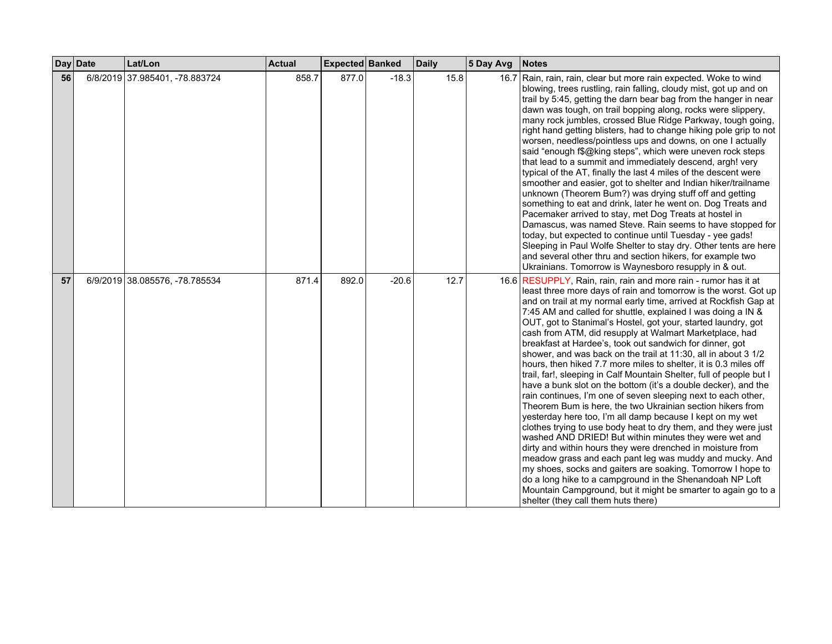|    | Day Date | Lat/Lon                        | <b>Actual</b> | Expected Banked |         | <b>Daily</b> | 5 Day Avg | <b>Notes</b>                                                                                                                                                                                                                                                                                                                                                                                                                                                                                                                                                                                                                                                                                                                                                                                                                                                                                                                                                                                                                                                                                                                                                                                                                                                                                                                                                                                                                        |
|----|----------|--------------------------------|---------------|-----------------|---------|--------------|-----------|-------------------------------------------------------------------------------------------------------------------------------------------------------------------------------------------------------------------------------------------------------------------------------------------------------------------------------------------------------------------------------------------------------------------------------------------------------------------------------------------------------------------------------------------------------------------------------------------------------------------------------------------------------------------------------------------------------------------------------------------------------------------------------------------------------------------------------------------------------------------------------------------------------------------------------------------------------------------------------------------------------------------------------------------------------------------------------------------------------------------------------------------------------------------------------------------------------------------------------------------------------------------------------------------------------------------------------------------------------------------------------------------------------------------------------------|
| 56 |          | 6/8/2019 37.985401, -78.883724 | 858.7         | 877.0           | $-18.3$ | 15.8         |           | 16.7 Rain, rain, rain, clear but more rain expected. Woke to wind<br>blowing, trees rustling, rain falling, cloudy mist, got up and on<br>trail by 5:45, getting the darn bear bag from the hanger in near<br>dawn was tough, on trail bopping along, rocks were slippery,<br>many rock jumbles, crossed Blue Ridge Parkway, tough going,<br>right hand getting blisters, had to change hiking pole grip to not<br>worsen, needless/pointless ups and downs, on one I actually<br>said "enough f\$@king steps", which were uneven rock steps<br>that lead to a summit and immediately descend, argh! very<br>typical of the AT, finally the last 4 miles of the descent were<br>smoother and easier, got to shelter and Indian hiker/trailname<br>unknown (Theorem Bum?) was drying stuff off and getting<br>something to eat and drink, later he went on. Dog Treats and<br>Pacemaker arrived to stay, met Dog Treats at hostel in<br>Damascus, was named Steve. Rain seems to have stopped for<br>today, but expected to continue until Tuesday - yee gads!<br>Sleeping in Paul Wolfe Shelter to stay dry. Other tents are here<br>and several other thru and section hikers, for example two<br>Ukrainians. Tomorrow is Waynesboro resupply in & out.                                                                                                                                                                            |
| 57 |          | 6/9/2019 38.085576, -78.785534 | 871.4         | 892.0           | $-20.6$ | 12.7         |           | 16.6 RESUPPLY, Rain, rain, rain and more rain - rumor has it at<br>least three more days of rain and tomorrow is the worst. Got up<br>and on trail at my normal early time, arrived at Rockfish Gap at<br>7:45 AM and called for shuttle, explained I was doing a IN &<br>OUT, got to Stanimal's Hostel, got your, started laundry, got<br>cash from ATM, did resupply at Walmart Marketplace, had<br>breakfast at Hardee's, took out sandwich for dinner, got<br>shower, and was back on the trail at 11:30, all in about 3 1/2<br>hours, then hiked 7.7 more miles to shelter, it is 0.3 miles off<br>trail, far!, sleeping in Calf Mountain Shelter, full of people but I<br>have a bunk slot on the bottom (it's a double decker), and the<br>rain continues, I'm one of seven sleeping next to each other,<br>Theorem Bum is here, the two Ukrainian section hikers from<br>yesterday here too, I'm all damp because I kept on my wet<br>clothes trying to use body heat to dry them, and they were just<br>washed AND DRIED! But within minutes they were wet and<br>dirty and within hours they were drenched in moisture from<br>meadow grass and each pant leg was muddy and mucky. And<br>my shoes, socks and gaiters are soaking. Tomorrow I hope to<br>do a long hike to a campground in the Shenandoah NP Loft<br>Mountain Campground, but it might be smarter to again go to a<br>shelter (they call them huts there) |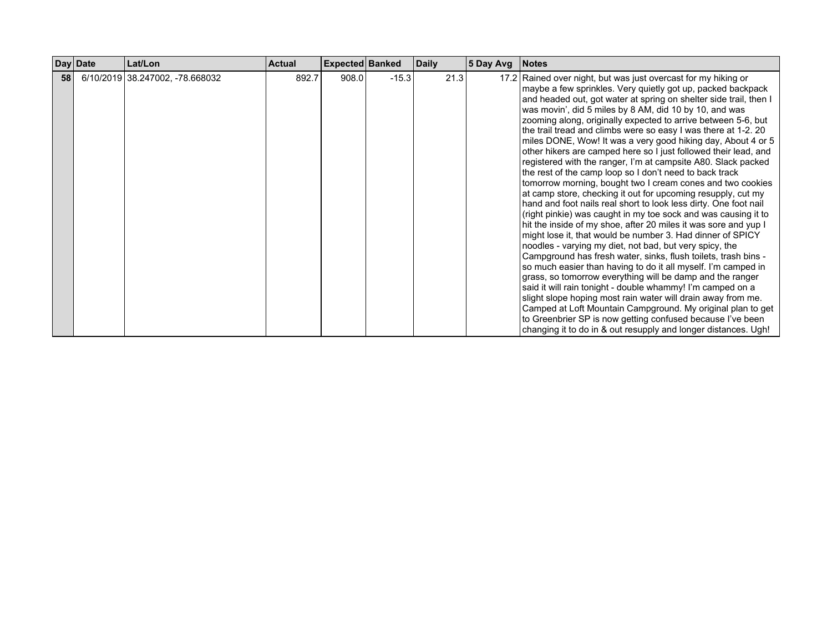|    | Day Date | Lat/Lon                         | <b>Actual</b> | <b>Expected Banked</b> |         | <b>Daily</b> | 5 Day Avg | Notes                                                                                                                                                                                                                                                                                                                                                                                                                                                                                                                                                                                                                                                                                                                                                                                                                                                                                                                                                                                                                                                                                                                                                                                                                                                            |
|----|----------|---------------------------------|---------------|------------------------|---------|--------------|-----------|------------------------------------------------------------------------------------------------------------------------------------------------------------------------------------------------------------------------------------------------------------------------------------------------------------------------------------------------------------------------------------------------------------------------------------------------------------------------------------------------------------------------------------------------------------------------------------------------------------------------------------------------------------------------------------------------------------------------------------------------------------------------------------------------------------------------------------------------------------------------------------------------------------------------------------------------------------------------------------------------------------------------------------------------------------------------------------------------------------------------------------------------------------------------------------------------------------------------------------------------------------------|
| 58 |          | 6/10/2019 38.247002, -78.668032 | 892.7         | 908.0                  | $-15.3$ | 21.3         |           | 17.2 Rained over night, but was just overcast for my hiking or<br>maybe a few sprinkles. Very quietly got up, packed backpack<br>and headed out, got water at spring on shelter side trail, then I<br>was movin', did 5 miles by 8 AM, did 10 by 10, and was<br>zooming along, originally expected to arrive between 5-6, but<br>the trail tread and climbs were so easy I was there at 1-2.20<br>miles DONE, Wow! It was a very good hiking day, About 4 or 5<br>other hikers are camped here so I just followed their lead, and<br>registered with the ranger, I'm at campsite A80. Slack packed<br>the rest of the camp loop so I don't need to back track<br>tomorrow morning, bought two I cream cones and two cookies<br>at camp store, checking it out for upcoming resupply, cut my<br>hand and foot nails real short to look less dirty. One foot nail<br>(right pinkie) was caught in my toe sock and was causing it to<br>hit the inside of my shoe, after 20 miles it was sore and yup I<br>might lose it, that would be number 3. Had dinner of SPICY<br>noodles - varying my diet, not bad, but very spicy, the<br>Campground has fresh water, sinks, flush toilets, trash bins -<br>so much easier than having to do it all myself. I'm camped in |
|    |          |                                 |               |                        |         |              |           | grass, so tomorrow everything will be damp and the ranger<br>said it will rain tonight - double whammy! I'm camped on a<br>slight slope hoping most rain water will drain away from me.<br>Camped at Loft Mountain Campground. My original plan to get<br>to Greenbrier SP is now getting confused because I've been<br>changing it to do in & out resupply and longer distances. Ugh!                                                                                                                                                                                                                                                                                                                                                                                                                                                                                                                                                                                                                                                                                                                                                                                                                                                                           |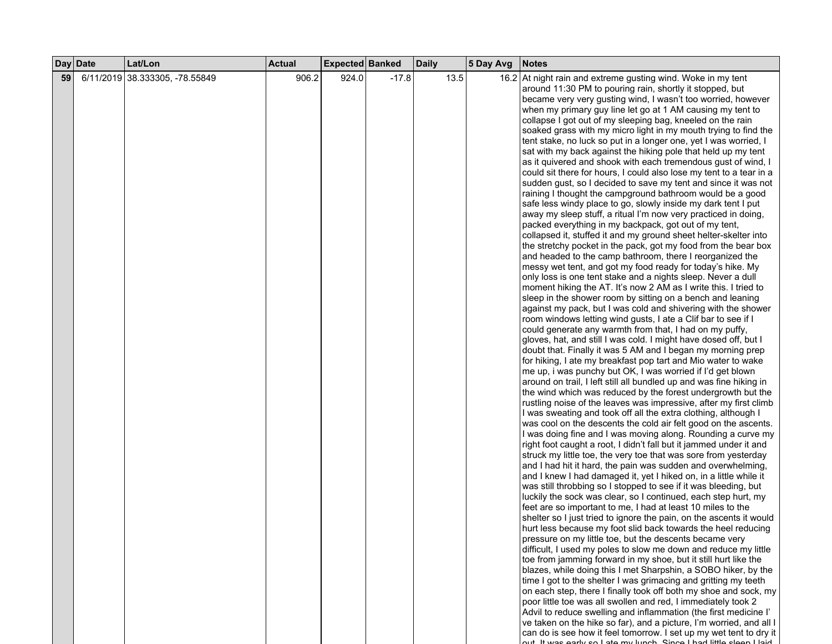|    | Day Date | Lat/Lon                        | <b>Actual</b> | Expected Banked |         | <b>Daily</b> | 5 Day Avg | <b>Notes</b>                                                        |
|----|----------|--------------------------------|---------------|-----------------|---------|--------------|-----------|---------------------------------------------------------------------|
| 59 |          | 6/11/2019 38.333305, -78.55849 | 906.2         | 924.0           | $-17.8$ | 13.5         |           | 16.2 At night rain and extreme gusting wind. Woke in my tent        |
|    |          |                                |               |                 |         |              |           | around 11:30 PM to pouring rain, shortly it stopped, but            |
|    |          |                                |               |                 |         |              |           | became very very gusting wind, I wasn't too worried, however        |
|    |          |                                |               |                 |         |              |           | when my primary guy line let go at 1 AM causing my tent to          |
|    |          |                                |               |                 |         |              |           | collapse I got out of my sleeping bag, kneeled on the rain          |
|    |          |                                |               |                 |         |              |           | soaked grass with my micro light in my mouth trying to find the     |
|    |          |                                |               |                 |         |              |           | tent stake, no luck so put in a longer one, yet I was worried, I    |
|    |          |                                |               |                 |         |              |           | sat with my back against the hiking pole that held up my tent       |
|    |          |                                |               |                 |         |              |           | as it quivered and shook with each tremendous gust of wind, I       |
|    |          |                                |               |                 |         |              |           | could sit there for hours, I could also lose my tent to a tear in a |
|    |          |                                |               |                 |         |              |           | sudden gust, so I decided to save my tent and since it was not      |
|    |          |                                |               |                 |         |              |           | raining I thought the campground bathroom would be a good           |
|    |          |                                |               |                 |         |              |           | safe less windy place to go, slowly inside my dark tent I put       |
|    |          |                                |               |                 |         |              |           | away my sleep stuff, a ritual I'm now very practiced in doing,      |
|    |          |                                |               |                 |         |              |           | packed everything in my backpack, got out of my tent,               |
|    |          |                                |               |                 |         |              |           | collapsed it, stuffed it and my ground sheet helter-skelter into    |
|    |          |                                |               |                 |         |              |           | the stretchy pocket in the pack, got my food from the bear box      |
|    |          |                                |               |                 |         |              |           | and headed to the camp bathroom, there I reorganized the            |
|    |          |                                |               |                 |         |              |           | messy wet tent, and got my food ready for today's hike. My          |
|    |          |                                |               |                 |         |              |           | only loss is one tent stake and a nights sleep. Never a dull        |
|    |          |                                |               |                 |         |              |           | moment hiking the AT. It's now 2 AM as I write this. I tried to     |
|    |          |                                |               |                 |         |              |           | sleep in the shower room by sitting on a bench and leaning          |
|    |          |                                |               |                 |         |              |           | against my pack, but I was cold and shivering with the shower       |
|    |          |                                |               |                 |         |              |           | room windows letting wind gusts, I ate a Clif bar to see if I       |
|    |          |                                |               |                 |         |              |           | could generate any warmth from that, I had on my puffy,             |
|    |          |                                |               |                 |         |              |           | gloves, hat, and still I was cold. I might have dosed off, but I    |
|    |          |                                |               |                 |         |              |           | doubt that. Finally it was 5 AM and I began my morning prep         |
|    |          |                                |               |                 |         |              |           | for hiking, I ate my breakfast pop tart and Mio water to wake       |
|    |          |                                |               |                 |         |              |           | me up, i was punchy but OK, I was worried if I'd get blown          |
|    |          |                                |               |                 |         |              |           | around on trail, I left still all bundled up and was fine hiking in |
|    |          |                                |               |                 |         |              |           | the wind which was reduced by the forest undergrowth but the        |
|    |          |                                |               |                 |         |              |           | rustling noise of the leaves was impressive, after my first climb   |
|    |          |                                |               |                 |         |              |           | I was sweating and took off all the extra clothing, although I      |
|    |          |                                |               |                 |         |              |           | was cool on the descents the cold air felt good on the ascents.     |
|    |          |                                |               |                 |         |              |           | I was doing fine and I was moving along. Rounding a curve my        |
|    |          |                                |               |                 |         |              |           | right foot caught a root, I didn't fall but it jammed under it and  |
|    |          |                                |               |                 |         |              |           | struck my little toe, the very toe that was sore from yesterday     |
|    |          |                                |               |                 |         |              |           | and I had hit it hard, the pain was sudden and overwhelming,        |
|    |          |                                |               |                 |         |              |           | and I knew I had damaged it, yet I hiked on, in a little while it   |
|    |          |                                |               |                 |         |              |           | was still throbbing so I stopped to see if it was bleeding, but     |
|    |          |                                |               |                 |         |              |           | luckily the sock was clear, so I continued, each step hurt, my      |
|    |          |                                |               |                 |         |              |           | feet are so important to me, I had at least 10 miles to the         |
|    |          |                                |               |                 |         |              |           | shelter so I just tried to ignore the pain, on the ascents it would |
|    |          |                                |               |                 |         |              |           | hurt less because my foot slid back towards the heel reducing       |
|    |          |                                |               |                 |         |              |           | pressure on my little toe, but the descents became very             |
|    |          |                                |               |                 |         |              |           | difficult, I used my poles to slow me down and reduce my little     |
|    |          |                                |               |                 |         |              |           | toe from jamming forward in my shoe, but it still hurt like the     |
|    |          |                                |               |                 |         |              |           | blazes, while doing this I met Sharpshin, a SOBO hiker, by the      |
|    |          |                                |               |                 |         |              |           | time I got to the shelter I was grimacing and gritting my teeth     |
|    |          |                                |               |                 |         |              |           | on each step, there I finally took off both my shoe and sock, my    |
|    |          |                                |               |                 |         |              |           | poor little toe was all swollen and red, I immediately took 2       |
|    |          |                                |               |                 |         |              |           | Advil to reduce swelling and inflammation (the first medicine I'    |
|    |          |                                |               |                 |         |              |           | ve taken on the hike so far), and a picture, I'm worried, and all I |
|    |          |                                |               |                 |         |              |           | can do is see how it feel tomorrow. I set up my wet tent to dry it  |
|    |          |                                |               |                 |         |              |           | ut It was oarly so Late my lungh. Since Lhad little sleep Llaid     |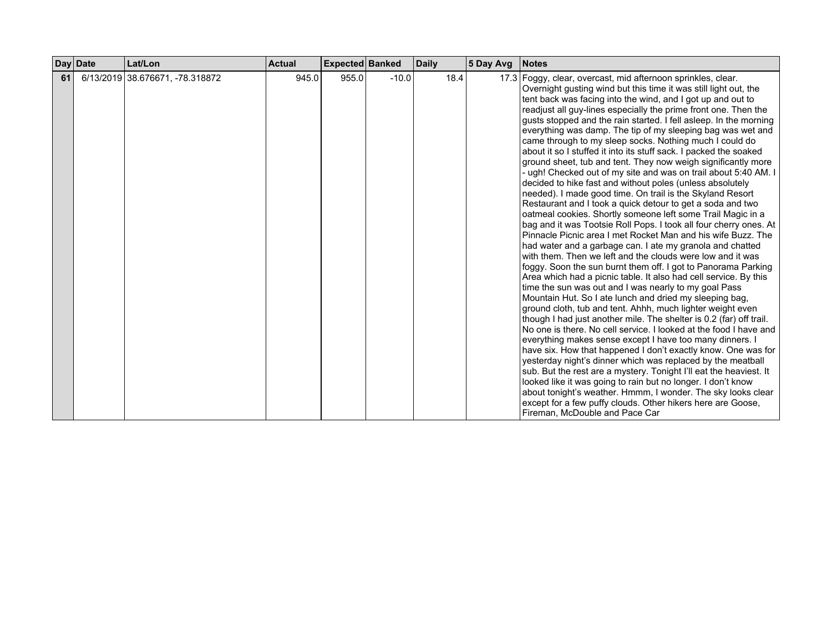|    | Day Date | Lat/Lon                         | <b>Actual</b> | <b>Expected Banked</b> |         | <b>Daily</b> | 5 Day Avg | <b>Notes</b>                                                                                                                                                                                                                                                                                                                                                                                                                                                                                                                                                                                                                                                                                                                                                                                                                                                                                                                                                                                                                                                                                                                                                                                                                                                                                                                                                                                                                                                                                                                                                                                                                                                                                                                                                                                                                                                                                                                                                                                                                                                                                                                          |
|----|----------|---------------------------------|---------------|------------------------|---------|--------------|-----------|---------------------------------------------------------------------------------------------------------------------------------------------------------------------------------------------------------------------------------------------------------------------------------------------------------------------------------------------------------------------------------------------------------------------------------------------------------------------------------------------------------------------------------------------------------------------------------------------------------------------------------------------------------------------------------------------------------------------------------------------------------------------------------------------------------------------------------------------------------------------------------------------------------------------------------------------------------------------------------------------------------------------------------------------------------------------------------------------------------------------------------------------------------------------------------------------------------------------------------------------------------------------------------------------------------------------------------------------------------------------------------------------------------------------------------------------------------------------------------------------------------------------------------------------------------------------------------------------------------------------------------------------------------------------------------------------------------------------------------------------------------------------------------------------------------------------------------------------------------------------------------------------------------------------------------------------------------------------------------------------------------------------------------------------------------------------------------------------------------------------------------------|
| 61 |          | 6/13/2019 38.676671, -78.318872 | 945.0         | 955.0                  | $-10.0$ | 18.4         |           | 17.3 Foggy, clear, overcast, mid afternoon sprinkles, clear.<br>Overnight gusting wind but this time it was still light out, the<br>tent back was facing into the wind, and I got up and out to<br>readjust all guy-lines especially the prime front one. Then the<br>gusts stopped and the rain started. I fell asleep. In the morning<br>everything was damp. The tip of my sleeping bag was wet and<br>came through to my sleep socks. Nothing much I could do<br>about it so I stuffed it into its stuff sack. I packed the soaked<br>ground sheet, tub and tent. They now weigh significantly more<br>- ugh! Checked out of my site and was on trail about 5:40 AM. I<br>decided to hike fast and without poles (unless absolutely<br>needed). I made good time. On trail is the Skyland Resort<br>Restaurant and I took a quick detour to get a soda and two<br>oatmeal cookies. Shortly someone left some Trail Magic in a<br>bag and it was Tootsie Roll Pops. I took all four cherry ones. At<br>Pinnacle Picnic area I met Rocket Man and his wife Buzz. The<br>had water and a garbage can. I ate my granola and chatted<br>with them. Then we left and the clouds were low and it was<br>foggy. Soon the sun burnt them off. I got to Panorama Parking<br>Area which had a picnic table. It also had cell service. By this<br>time the sun was out and I was nearly to my goal Pass<br>Mountain Hut. So I ate lunch and dried my sleeping bag,<br>ground cloth, tub and tent. Ahhh, much lighter weight even<br>though I had just another mile. The shelter is 0.2 (far) off trail.<br>No one is there. No cell service. I looked at the food I have and<br>everything makes sense except I have too many dinners. I<br>have six. How that happened I don't exactly know. One was for<br>yesterday night's dinner which was replaced by the meatball<br>sub. But the rest are a mystery. Tonight I'll eat the heaviest. It<br>looked like it was going to rain but no longer. I don't know<br>about tonight's weather. Hmmm, I wonder. The sky looks clear<br>except for a few puffy clouds. Other hikers here are Goose, |
|    |          |                                 |               |                        |         |              |           | Fireman, McDouble and Pace Car                                                                                                                                                                                                                                                                                                                                                                                                                                                                                                                                                                                                                                                                                                                                                                                                                                                                                                                                                                                                                                                                                                                                                                                                                                                                                                                                                                                                                                                                                                                                                                                                                                                                                                                                                                                                                                                                                                                                                                                                                                                                                                        |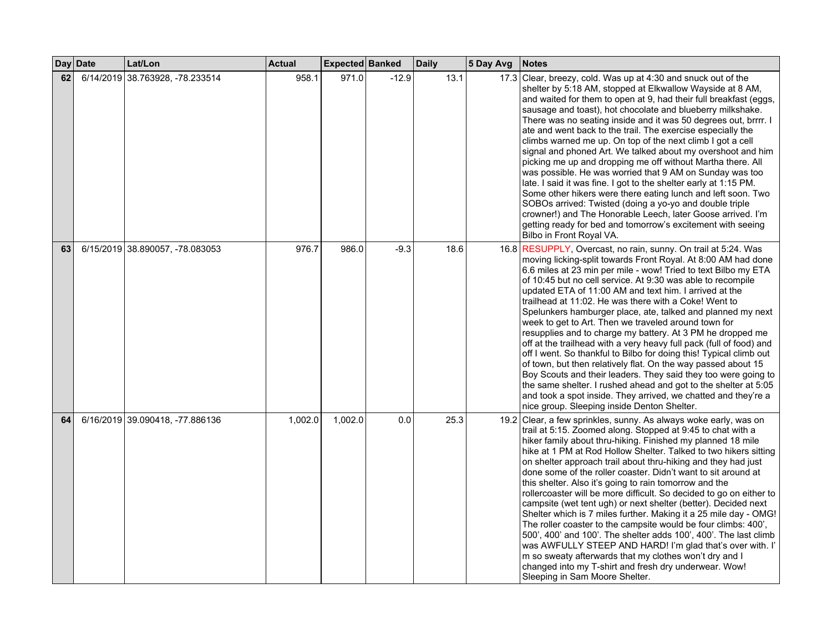|    | Day Date | Lat/Lon                         | <b>Actual</b> | Expected Banked |         | <b>Daily</b> | 5 Day Avg | <b>Notes</b>                                                                                                                                                                                                                                                                                                                                                                                                                                                                                                                                                                                                                                                                                                                                                                                                                                                                                                                                                                                                                                 |
|----|----------|---------------------------------|---------------|-----------------|---------|--------------|-----------|----------------------------------------------------------------------------------------------------------------------------------------------------------------------------------------------------------------------------------------------------------------------------------------------------------------------------------------------------------------------------------------------------------------------------------------------------------------------------------------------------------------------------------------------------------------------------------------------------------------------------------------------------------------------------------------------------------------------------------------------------------------------------------------------------------------------------------------------------------------------------------------------------------------------------------------------------------------------------------------------------------------------------------------------|
| 62 |          | 6/14/2019 38.763928, -78.233514 | 958.1         | 971.0           | $-12.9$ | 13.1         |           | 17.3 Clear, breezy, cold. Was up at 4:30 and snuck out of the<br>shelter by 5:18 AM, stopped at Elkwallow Wayside at 8 AM,<br>and waited for them to open at 9, had their full breakfast (eggs,<br>sausage and toast), hot chocolate and blueberry milkshake.<br>There was no seating inside and it was 50 degrees out, brrrr. I<br>ate and went back to the trail. The exercise especially the<br>climbs warned me up. On top of the next climb I got a cell<br>signal and phoned Art. We talked about my overshoot and him<br>picking me up and dropping me off without Martha there. All<br>was possible. He was worried that 9 AM on Sunday was too<br>late. I said it was fine. I got to the shelter early at 1:15 PM.<br>Some other hikers were there eating lunch and left soon. Two<br>SOBOs arrived: Twisted (doing a yo-yo and double triple<br>crowner!) and The Honorable Leech, later Goose arrived. I'm<br>getting ready for bed and tomorrow's excitement with seeing<br>Bilbo in Front Royal VA.                             |
| 63 |          | 6/15/2019 38.890057, -78.083053 | 976.7         | 986.0           | $-9.3$  | 18.6         |           | 16.8 RESUPPLY, Overcast, no rain, sunny. On trail at 5:24. Was<br>moving licking-split towards Front Royal. At 8:00 AM had done<br>6.6 miles at 23 min per mile - wow! Tried to text Bilbo my ETA<br>of 10:45 but no cell service. At 9:30 was able to recompile<br>updated ETA of 11:00 AM and text him. I arrived at the<br>trailhead at 11:02. He was there with a Coke! Went to<br>Spelunkers hamburger place, ate, talked and planned my next<br>week to get to Art. Then we traveled around town for<br>resupplies and to charge my battery. At 3 PM he dropped me<br>off at the trailhead with a very heavy full pack (full of food) and<br>off I went. So thankful to Bilbo for doing this! Typical climb out<br>of town, but then relatively flat. On the way passed about 15<br>Boy Scouts and their leaders. They said they too were going to<br>the same shelter. I rushed ahead and got to the shelter at 5:05<br>and took a spot inside. They arrived, we chatted and they're a<br>nice group. Sleeping inside Denton Shelter. |
| 64 |          | 6/16/2019 39.090418, -77.886136 | 1,002.0       | 1,002.0         | 0.0     | 25.3         |           | 19.2 Clear, a few sprinkles, sunny. As always woke early, was on<br>trail at 5:15. Zoomed along. Stopped at 9:45 to chat with a<br>hiker family about thru-hiking. Finished my planned 18 mile<br>hike at 1 PM at Rod Hollow Shelter. Talked to two hikers sitting<br>on shelter approach trail about thru-hiking and they had just<br>done some of the roller coaster. Didn't want to sit around at<br>this shelter. Also it's going to rain tomorrow and the<br>rollercoaster will be more difficult. So decided to go on either to<br>campsite (wet tent ugh) or next shelter (better). Decided next<br>Shelter which is 7 miles further. Making it a 25 mile day - OMG!<br>The roller coaster to the campsite would be four climbs: 400',<br>500', 400' and 100'. The shelter adds 100', 400'. The last climb<br>was AWFULLY STEEP AND HARD! I'm glad that's over with. I'<br>m so sweaty afterwards that my clothes won't dry and I<br>changed into my T-shirt and fresh dry underwear. Wow!<br>Sleeping in Sam Moore Shelter.          |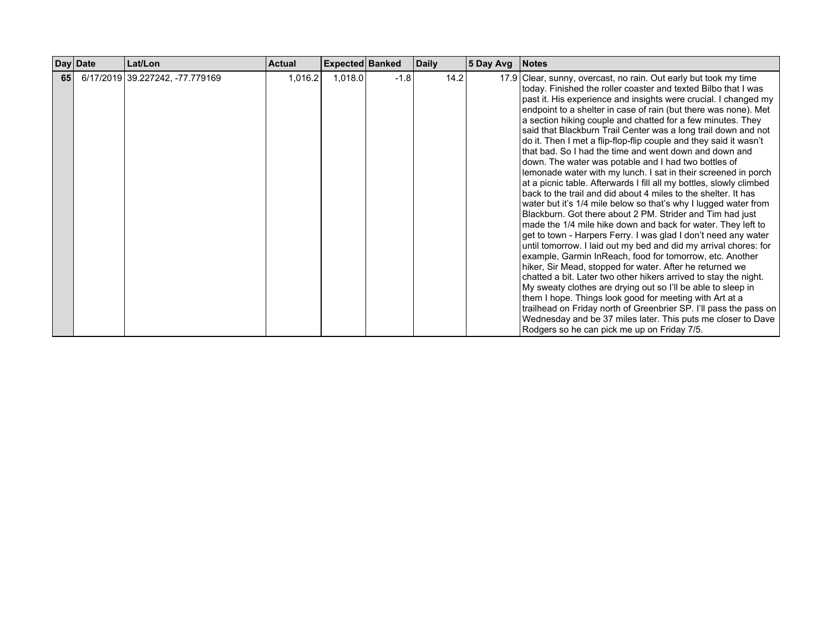|    | Day Date | Lat/Lon                         | <b>Actual</b> | <b>Expected Banked</b> |        | <b>Daily</b> | $ 5$ Day Avg $ $ | <b>Notes</b>                                                                                                                                                                                                                                                                                                                                                                                                                                                                                                                                                                                                                                                                                                                                                                                                                                                                                                                                                                                                                                                                                                                                                                                                                                                                                                                                                                                                                                                                                                                                                                                                                                                 |
|----|----------|---------------------------------|---------------|------------------------|--------|--------------|------------------|--------------------------------------------------------------------------------------------------------------------------------------------------------------------------------------------------------------------------------------------------------------------------------------------------------------------------------------------------------------------------------------------------------------------------------------------------------------------------------------------------------------------------------------------------------------------------------------------------------------------------------------------------------------------------------------------------------------------------------------------------------------------------------------------------------------------------------------------------------------------------------------------------------------------------------------------------------------------------------------------------------------------------------------------------------------------------------------------------------------------------------------------------------------------------------------------------------------------------------------------------------------------------------------------------------------------------------------------------------------------------------------------------------------------------------------------------------------------------------------------------------------------------------------------------------------------------------------------------------------------------------------------------------------|
| 65 |          | 6/17/2019 39.227242, -77.779169 | 1,016.2       | 1,018.0                | $-1.8$ | 14.2         |                  | 17.9 Clear, sunny, overcast, no rain. Out early but took my time<br>today. Finished the roller coaster and texted Bilbo that I was<br>past it. His experience and insights were crucial. I changed my<br>endpoint to a shelter in case of rain (but there was none). Met<br>a section hiking couple and chatted for a few minutes. They<br>said that Blackburn Trail Center was a long trail down and not<br>do it. Then I met a flip-flop-flip couple and they said it wasn't<br>that bad. So I had the time and went down and down and<br>down. The water was potable and I had two bottles of<br>lemonade water with my lunch. I sat in their screened in porch<br>at a picnic table. Afterwards I fill all my bottles, slowly climbed<br>back to the trail and did about 4 miles to the shelter. It has<br>water but it's 1/4 mile below so that's why I lugged water from<br>Blackburn. Got there about 2 PM. Strider and Tim had just<br>made the 1/4 mile hike down and back for water. They left to<br>get to town - Harpers Ferry. I was glad I don't need any water<br>until tomorrow. I laid out my bed and did my arrival chores: for<br>example, Garmin InReach, food for tomorrow, etc. Another<br>hiker, Sir Mead, stopped for water. After he returned we<br>chatted a bit. Later two other hikers arrived to stay the night.<br>My sweaty clothes are drying out so I'll be able to sleep in<br>them I hope. Things look good for meeting with Art at a<br>trailhead on Friday north of Greenbrier SP. I'll pass the pass on<br>Wednesday and be 37 miles later. This puts me closer to Dave<br>Rodgers so he can pick me up on Friday 7/5. |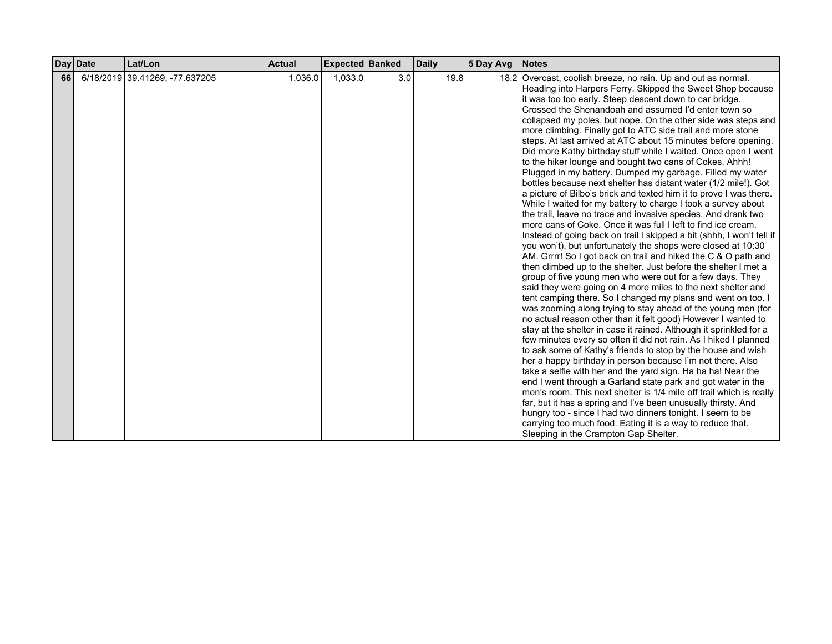|      | Day Date<br>Lat/Lon            | <b>Actual</b> | Expected Banked |     | <b>Daily</b> | 5 Day Avg | <b>Notes</b>                                                                                                                                                                                                                                                                                                                                                                                                                                                                                                                                                                                                                                                                                                                                                                                                                                                                                                                                                                                                                                                                                                                                                                                                                                                                                                                                                                                                                                                                                                                                                                                                                                                                                                                                                                                                                                                                                                                                                                                                                                                                                                                                                                                                     |
|------|--------------------------------|---------------|-----------------|-----|--------------|-----------|------------------------------------------------------------------------------------------------------------------------------------------------------------------------------------------------------------------------------------------------------------------------------------------------------------------------------------------------------------------------------------------------------------------------------------------------------------------------------------------------------------------------------------------------------------------------------------------------------------------------------------------------------------------------------------------------------------------------------------------------------------------------------------------------------------------------------------------------------------------------------------------------------------------------------------------------------------------------------------------------------------------------------------------------------------------------------------------------------------------------------------------------------------------------------------------------------------------------------------------------------------------------------------------------------------------------------------------------------------------------------------------------------------------------------------------------------------------------------------------------------------------------------------------------------------------------------------------------------------------------------------------------------------------------------------------------------------------------------------------------------------------------------------------------------------------------------------------------------------------------------------------------------------------------------------------------------------------------------------------------------------------------------------------------------------------------------------------------------------------------------------------------------------------------------------------------------------------|
| 66 l | 6/18/2019 39.41269, -77.637205 | 1,036.0       | 1,033.0         | 3.0 | 19.8         |           | 18.2 Overcast, coolish breeze, no rain. Up and out as normal.<br>Heading into Harpers Ferry. Skipped the Sweet Shop because<br>it was too too early. Steep descent down to car bridge.<br>Crossed the Shenandoah and assumed I'd enter town so<br>collapsed my poles, but nope. On the other side was steps and<br>more climbing. Finally got to ATC side trail and more stone<br>steps. At last arrived at ATC about 15 minutes before opening.<br>Did more Kathy birthday stuff while I waited. Once open I went<br>to the hiker lounge and bought two cans of Cokes. Ahhh!<br>Plugged in my battery. Dumped my garbage. Filled my water<br>bottles because next shelter has distant water (1/2 mile!). Got<br>a picture of Bilbo's brick and texted him it to prove I was there.<br>While I waited for my battery to charge I took a survey about<br>the trail, leave no trace and invasive species. And drank two<br>more cans of Coke. Once it was full I left to find ice cream.<br>Instead of going back on trail I skipped a bit (shhh, I won't tell if<br>you won't), but unfortunately the shops were closed at 10:30<br>AM. Grrrr! So I got back on trail and hiked the C & O path and<br>then climbed up to the shelter. Just before the shelter I met a<br>group of five young men who were out for a few days. They<br>said they were going on 4 more miles to the next shelter and<br>tent camping there. So I changed my plans and went on too. I<br>was zooming along trying to stay ahead of the young men (for<br>no actual reason other than it felt good) However I wanted to<br>stay at the shelter in case it rained. Although it sprinkled for a<br>few minutes every so often it did not rain. As I hiked I planned<br>to ask some of Kathy's friends to stop by the house and wish<br>her a happy birthday in person because I'm not there. Also<br>take a selfie with her and the yard sign. Ha ha ha! Near the<br>end I went through a Garland state park and got water in the<br>men's room. This next shelter is 1/4 mile off trail which is really<br>far, but it has a spring and I've been unusually thirsty. And<br>hungry too - since I had two dinners tonight. I seem to be |
|      |                                |               |                 |     |              |           | carrying too much food. Eating it is a way to reduce that.<br>Sleeping in the Crampton Gap Shelter.                                                                                                                                                                                                                                                                                                                                                                                                                                                                                                                                                                                                                                                                                                                                                                                                                                                                                                                                                                                                                                                                                                                                                                                                                                                                                                                                                                                                                                                                                                                                                                                                                                                                                                                                                                                                                                                                                                                                                                                                                                                                                                              |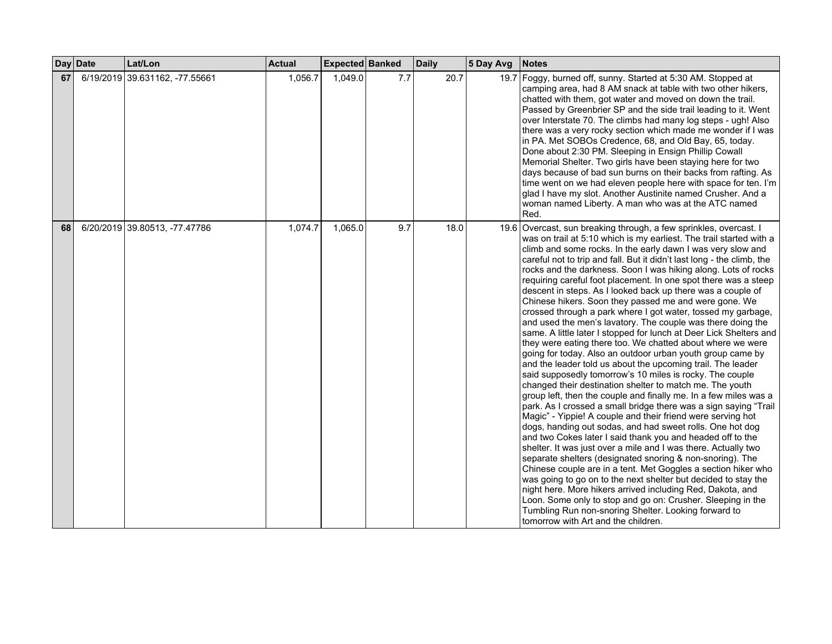| <b>Day</b> | <b>Date</b> | Lat/Lon                        | <b>Actual</b> | Expected Banked |     | <b>Daily</b> | 5 Day Avg | Notes                                                                                                                                                                                                                                                                                                                                                                                                                                                                                                                                                                                                                                                                                                                                                                                                                                                                                                                                                                                                                                                                                                                                                                                                                                                                                                                                                                                                                                                                                                                                                                                                                                                                                                                                                                                                                                                                                                  |
|------------|-------------|--------------------------------|---------------|-----------------|-----|--------------|-----------|--------------------------------------------------------------------------------------------------------------------------------------------------------------------------------------------------------------------------------------------------------------------------------------------------------------------------------------------------------------------------------------------------------------------------------------------------------------------------------------------------------------------------------------------------------------------------------------------------------------------------------------------------------------------------------------------------------------------------------------------------------------------------------------------------------------------------------------------------------------------------------------------------------------------------------------------------------------------------------------------------------------------------------------------------------------------------------------------------------------------------------------------------------------------------------------------------------------------------------------------------------------------------------------------------------------------------------------------------------------------------------------------------------------------------------------------------------------------------------------------------------------------------------------------------------------------------------------------------------------------------------------------------------------------------------------------------------------------------------------------------------------------------------------------------------------------------------------------------------------------------------------------------------|
| 67         |             | 6/19/2019 39.631162, -77.55661 | 1,056.7       | 1,049.0         | 7.7 | 20.7         |           | 19.7 Foggy, burned off, sunny. Started at 5:30 AM. Stopped at<br>camping area, had 8 AM snack at table with two other hikers,<br>chatted with them, got water and moved on down the trail.<br>Passed by Greenbrier SP and the side trail leading to it. Went<br>over Interstate 70. The climbs had many log steps - ugh! Also<br>there was a very rocky section which made me wonder if I was<br>in PA. Met SOBOs Credence, 68, and Old Bay, 65, today.<br>Done about 2:30 PM. Sleeping in Ensign Phillip Cowall<br>Memorial Shelter. Two girls have been staying here for two<br>days because of bad sun burns on their backs from rafting. As<br>time went on we had eleven people here with space for ten. I'm<br>glad I have my slot. Another Austinite named Crusher. And a<br>woman named Liberty. A man who was at the ATC named<br>Red.                                                                                                                                                                                                                                                                                                                                                                                                                                                                                                                                                                                                                                                                                                                                                                                                                                                                                                                                                                                                                                                        |
| 68         |             | 6/20/2019 39.80513, -77.47786  | 1,074.7       | 1,065.0         | 9.7 | 18.0         |           | 19.6 Overcast, sun breaking through, a few sprinkles, overcast. I<br>was on trail at 5:10 which is my earliest. The trail started with a<br>climb and some rocks. In the early dawn I was very slow and<br>careful not to trip and fall. But it didn't last long - the climb, the<br>rocks and the darkness. Soon I was hiking along. Lots of rocks<br>requiring careful foot placement. In one spot there was a steep<br>descent in steps. As I looked back up there was a couple of<br>Chinese hikers. Soon they passed me and were gone. We<br>crossed through a park where I got water, tossed my garbage,<br>and used the men's lavatory. The couple was there doing the<br>same. A little later I stopped for lunch at Deer Lick Shelters and<br>they were eating there too. We chatted about where we were<br>going for today. Also an outdoor urban youth group came by<br>and the leader told us about the upcoming trail. The leader<br>said supposedly tomorrow's 10 miles is rocky. The couple<br>changed their destination shelter to match me. The youth<br>group left, then the couple and finally me. In a few miles was a<br>park. As I crossed a small bridge there was a sign saying "Trail<br>Magic" - Yippie! A couple and their friend were serving hot<br>dogs, handing out sodas, and had sweet rolls. One hot dog<br>and two Cokes later I said thank you and headed off to the<br>shelter. It was just over a mile and I was there. Actually two<br>separate shelters (designated snoring & non-snoring). The<br>Chinese couple are in a tent. Met Goggles a section hiker who<br>was going to go on to the next shelter but decided to stay the<br>night here. More hikers arrived including Red, Dakota, and<br>Loon. Some only to stop and go on: Crusher. Sleeping in the<br>Tumbling Run non-snoring Shelter. Looking forward to<br>tomorrow with Art and the children. |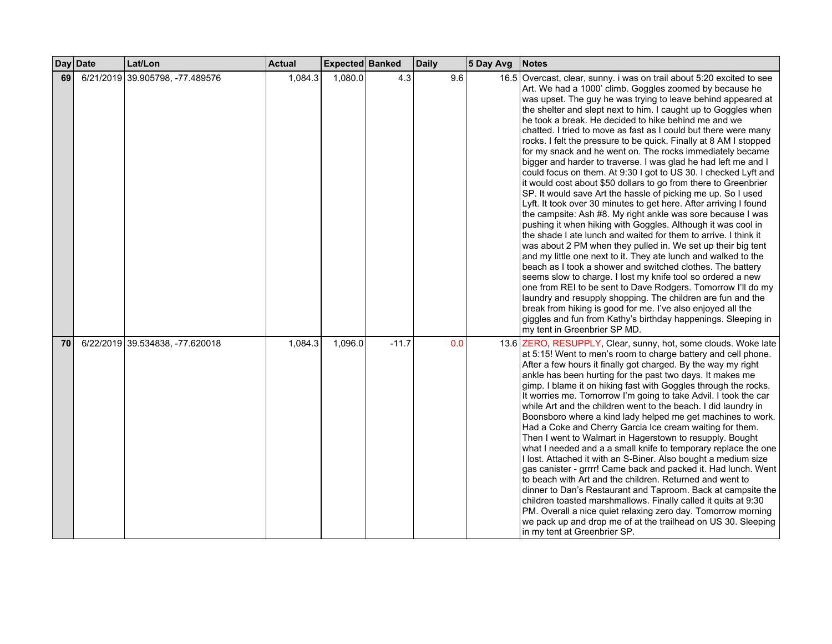|    | Day Date | Lat/Lon                         | <b>Actual</b> | Expected Banked |         | <b>Daily</b> | 5 Day Avg | <b>Notes</b>                                                                                                                                                                                                                                                                                                                                                                                                                                                                                                                                                                                                                                                                                                                                                                                                                                                                                                                                                                                                                                                                                                                                                                                                                                                                                                                                                                                                                                                                                                                                                                                                                                 |
|----|----------|---------------------------------|---------------|-----------------|---------|--------------|-----------|----------------------------------------------------------------------------------------------------------------------------------------------------------------------------------------------------------------------------------------------------------------------------------------------------------------------------------------------------------------------------------------------------------------------------------------------------------------------------------------------------------------------------------------------------------------------------------------------------------------------------------------------------------------------------------------------------------------------------------------------------------------------------------------------------------------------------------------------------------------------------------------------------------------------------------------------------------------------------------------------------------------------------------------------------------------------------------------------------------------------------------------------------------------------------------------------------------------------------------------------------------------------------------------------------------------------------------------------------------------------------------------------------------------------------------------------------------------------------------------------------------------------------------------------------------------------------------------------------------------------------------------------|
| 69 |          | 6/21/2019 39.905798, -77.489576 | 1,084.3       | 1,080.0         | 4.3     | 9.6          |           | 16.5 Overcast, clear, sunny. i was on trail about 5:20 excited to see<br>Art. We had a 1000' climb. Goggles zoomed by because he<br>was upset. The guy he was trying to leave behind appeared at<br>the shelter and slept next to him. I caught up to Goggles when<br>he took a break. He decided to hike behind me and we<br>chatted. I tried to move as fast as I could but there were many<br>rocks. I felt the pressure to be quick. Finally at 8 AM I stopped<br>for my snack and he went on. The rocks immediately became<br>bigger and harder to traverse. I was glad he had left me and I<br>could focus on them. At 9:30 I got to US 30. I checked Lyft and<br>it would cost about \$50 dollars to go from there to Greenbrier<br>SP. It would save Art the hassle of picking me up. So I used<br>Lyft. It took over 30 minutes to get here. After arriving I found<br>the campsite: Ash #8. My right ankle was sore because I was<br>pushing it when hiking with Goggles. Although it was cool in<br>the shade I ate lunch and waited for them to arrive. I think it<br>was about 2 PM when they pulled in. We set up their big tent<br>and my little one next to it. They ate lunch and walked to the<br>beach as I took a shower and switched clothes. The battery<br>seems slow to charge. I lost my knife tool so ordered a new<br>one from REI to be sent to Dave Rodgers. Tomorrow I'll do my<br>laundry and resupply shopping. The children are fun and the<br>break from hiking is good for me. I've also enjoyed all the<br>giggles and fun from Kathy's birthday happenings. Sleeping in<br>my tent in Greenbrier SP MD. |
| 70 |          | 6/22/2019 39.534838, -77.620018 | 1,084.3       | 1,096.0         | $-11.7$ | 0.0          |           | 13.6 ZERO, RESUPPLY, Clear, sunny, hot, some clouds. Woke late<br>at 5:15! Went to men's room to charge battery and cell phone.<br>After a few hours it finally got charged. By the way my right<br>ankle has been hurting for the past two days. It makes me<br>gimp. I blame it on hiking fast with Goggles through the rocks.<br>It worries me. Tomorrow I'm going to take Advil. I took the car<br>while Art and the children went to the beach. I did laundry in<br>Boonsboro where a kind lady helped me get machines to work.<br>Had a Coke and Cherry Garcia Ice cream waiting for them.<br>Then I went to Walmart in Hagerstown to resupply. Bought<br>what I needed and a a small knife to temporary replace the one<br>I lost. Attached it with an S-Biner. Also bought a medium size<br>gas canister - grrrr! Came back and packed it. Had lunch. Went<br>to beach with Art and the children. Returned and went to<br>dinner to Dan's Restaurant and Taproom. Back at campsite the<br>children toasted marshmallows. Finally called it quits at 9:30<br>PM. Overall a nice quiet relaxing zero day. Tomorrow morning<br>we pack up and drop me of at the trailhead on US 30. Sleeping<br>in my tent at Greenbrier SP.                                                                                                                                                                                                                                                                                                                                                                                                            |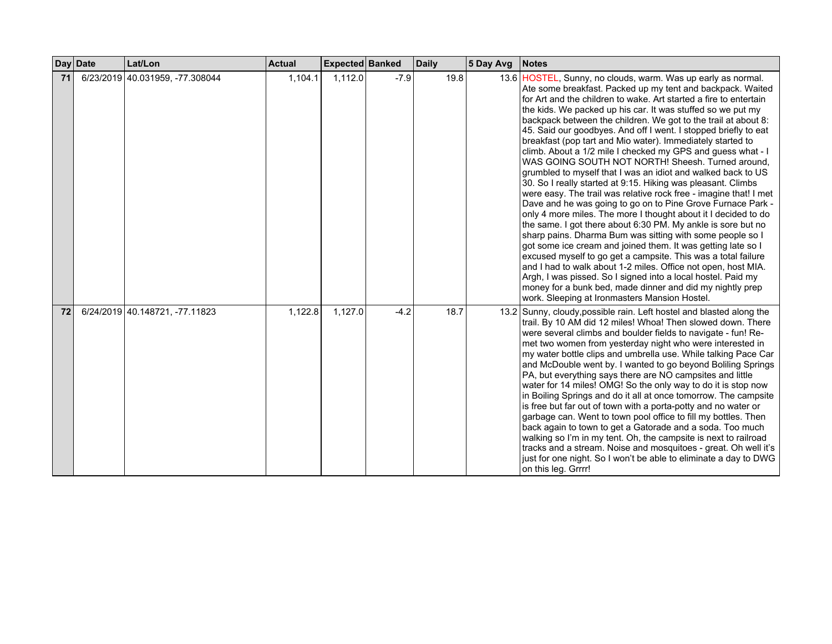|    | Day Date | Lat/Lon                         | <b>Actual</b> | <b>Expected Banked</b> |        | <b>Daily</b> | 5 Day Avg | <b>Notes</b>                                                                                                                                                                                                                                                                                                                                                                                                                                                                                                                                                                                                                                                                                                                                                                                                                                                                                                                                                                                                                                                                                                                                                                                                                                                                                                                                                                                                                             |
|----|----------|---------------------------------|---------------|------------------------|--------|--------------|-----------|------------------------------------------------------------------------------------------------------------------------------------------------------------------------------------------------------------------------------------------------------------------------------------------------------------------------------------------------------------------------------------------------------------------------------------------------------------------------------------------------------------------------------------------------------------------------------------------------------------------------------------------------------------------------------------------------------------------------------------------------------------------------------------------------------------------------------------------------------------------------------------------------------------------------------------------------------------------------------------------------------------------------------------------------------------------------------------------------------------------------------------------------------------------------------------------------------------------------------------------------------------------------------------------------------------------------------------------------------------------------------------------------------------------------------------------|
| 71 |          | 6/23/2019 40.031959, -77.308044 | 1,104.1       | 1,112.0                | $-7.9$ | 19.8         |           | 13.6 HOSTEL, Sunny, no clouds, warm. Was up early as normal.<br>Ate some breakfast. Packed up my tent and backpack. Waited<br>for Art and the children to wake. Art started a fire to entertain<br>the kids. We packed up his car. It was stuffed so we put my<br>backpack between the children. We got to the trail at about 8:<br>45. Said our goodbyes. And off I went. I stopped briefly to eat<br>breakfast (pop tart and Mio water). Immediately started to<br>climb. About a 1/2 mile I checked my GPS and guess what - I<br>WAS GOING SOUTH NOT NORTH! Sheesh. Turned around,<br>grumbled to myself that I was an idiot and walked back to US<br>30. So I really started at 9:15. Hiking was pleasant. Climbs<br>were easy. The trail was relative rock free - imagine that! I met<br>Dave and he was going to go on to Pine Grove Furnace Park -<br>only 4 more miles. The more I thought about it I decided to do<br>the same. I got there about 6:30 PM. My ankle is sore but no<br>sharp pains. Dharma Bum was sitting with some people so I<br>got some ice cream and joined them. It was getting late so I<br>excused myself to go get a campsite. This was a total failure<br>and I had to walk about 1-2 miles. Office not open, host MIA.<br>Argh, I was pissed. So I signed into a local hostel. Paid my<br>money for a bunk bed, made dinner and did my nightly prep<br>work. Sleeping at Ironmasters Mansion Hostel. |
| 72 |          | 6/24/2019 40.148721, -77.11823  | 1,122.8       | 1,127.0                | $-4.2$ | 18.7         |           | 13.2 Sunny, cloudy, possible rain. Left hostel and blasted along the<br>trail. By 10 AM did 12 miles! Whoa! Then slowed down. There<br>were several climbs and boulder fields to navigate - fun! Re-<br>met two women from yesterday night who were interested in<br>my water bottle clips and umbrella use. While talking Pace Car<br>and McDouble went by. I wanted to go beyond Boliling Springs<br>PA, but everything says there are NO campsites and little<br>water for 14 miles! OMG! So the only way to do it is stop now<br>in Boiling Springs and do it all at once tomorrow. The campsite<br>is free but far out of town with a porta-potty and no water or<br>garbage can. Went to town pool office to fill my bottles. Then<br>back again to town to get a Gatorade and a soda. Too much<br>walking so I'm in my tent. Oh, the campsite is next to railroad<br>tracks and a stream. Noise and mosquitoes - great. Oh well it's<br>just for one night. So I won't be able to eliminate a day to DWG<br>on this leg. Grrrr!                                                                                                                                                                                                                                                                                                                                                                                                   |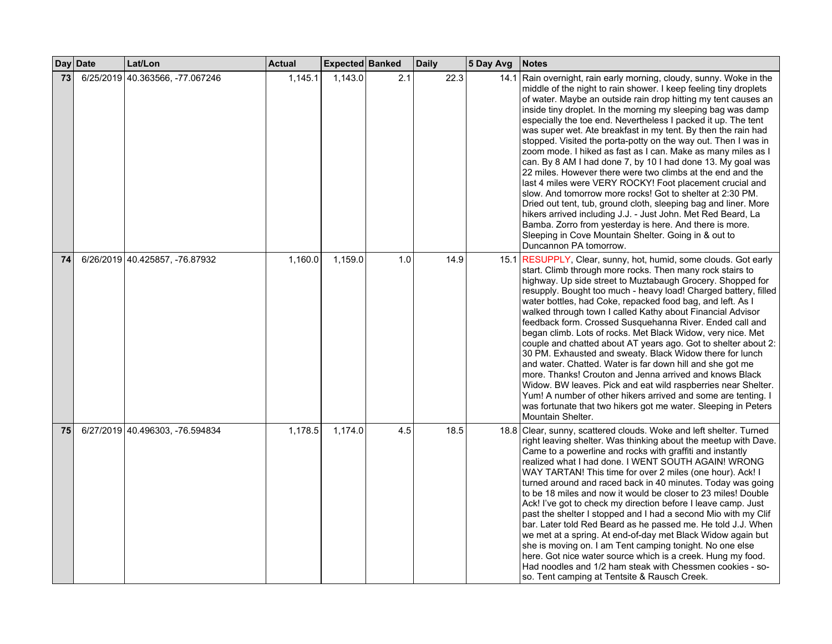|    | Day Date | Lat/Lon                         | <b>Actual</b> | Expected Banked |     | <b>Daily</b> | 5 Day Avg | <b>Notes</b>                                                                                                                                                                                                                                                                                                                                                                                                                                                                                                                                                                                                                                                                                                                                                                                                                                                                                                                                                                                                                                                                        |
|----|----------|---------------------------------|---------------|-----------------|-----|--------------|-----------|-------------------------------------------------------------------------------------------------------------------------------------------------------------------------------------------------------------------------------------------------------------------------------------------------------------------------------------------------------------------------------------------------------------------------------------------------------------------------------------------------------------------------------------------------------------------------------------------------------------------------------------------------------------------------------------------------------------------------------------------------------------------------------------------------------------------------------------------------------------------------------------------------------------------------------------------------------------------------------------------------------------------------------------------------------------------------------------|
| 73 |          | 6/25/2019 40.363566, -77.067246 | 1,145.1       | 1,143.0         | 2.1 | 22.3         |           | 14.1 Rain overnight, rain early morning, cloudy, sunny. Woke in the<br>middle of the night to rain shower. I keep feeling tiny droplets<br>of water. Maybe an outside rain drop hitting my tent causes an<br>inside tiny droplet. In the morning my sleeping bag was damp<br>especially the toe end. Nevertheless I packed it up. The tent<br>was super wet. Ate breakfast in my tent. By then the rain had<br>stopped. Visited the porta-potty on the way out. Then I was in<br>zoom mode. I hiked as fast as I can. Make as many miles as I<br>can. By 8 AM I had done 7, by 10 I had done 13. My goal was<br>22 miles. However there were two climbs at the end and the<br>last 4 miles were VERY ROCKY! Foot placement crucial and<br>slow. And tomorrow more rocks! Got to shelter at 2:30 PM.<br>Dried out tent, tub, ground cloth, sleeping bag and liner. More<br>hikers arrived including J.J. - Just John. Met Red Beard, La<br>Bamba. Zorro from yesterday is here. And there is more.<br>Sleeping in Cove Mountain Shelter. Going in & out to<br>Duncannon PA tomorrow. |
| 74 |          | 6/26/2019 40.425857, -76.87932  | 1,160.0       | 1,159.0         | 1.0 | 14.9         |           | 15.1 RESUPPLY, Clear, sunny, hot, humid, some clouds. Got early<br>start. Climb through more rocks. Then many rock stairs to<br>highway. Up side street to Muztabaugh Grocery. Shopped for<br>resupply. Bought too much - heavy load! Charged battery, filled<br>water bottles, had Coke, repacked food bag, and left. As I<br>walked through town I called Kathy about Financial Advisor<br>feedback form. Crossed Susquehanna River. Ended call and<br>began climb. Lots of rocks. Met Black Widow, very nice. Met<br>couple and chatted about AT years ago. Got to shelter about 2:<br>30 PM. Exhausted and sweaty. Black Widow there for lunch<br>and water. Chatted. Water is far down hill and she got me<br>more. Thanks! Crouton and Jenna arrived and knows Black<br>Widow. BW leaves. Pick and eat wild raspberries near Shelter.<br>Yum! A number of other hikers arrived and some are tenting. I<br>was fortunate that two hikers got me water. Sleeping in Peters<br>Mountain Shelter.                                                                                 |
| 75 |          | 6/27/2019 40.496303, -76.594834 | 1,178.5       | 1,174.0         | 4.5 | 18.5         |           | 18.8 Clear, sunny, scattered clouds. Woke and left shelter. Turned<br>right leaving shelter. Was thinking about the meetup with Dave.<br>Came to a powerline and rocks with graffiti and instantly<br>realized what I had done. I WENT SOUTH AGAIN! WRONG<br>WAY TARTAN! This time for over 2 miles (one hour). Ack! I<br>turned around and raced back in 40 minutes. Today was going<br>to be 18 miles and now it would be closer to 23 miles! Double<br>Ack! I've got to check my direction before I leave camp. Just<br>past the shelter I stopped and I had a second Mio with my Clif<br>bar. Later told Red Beard as he passed me. He told J.J. When<br>we met at a spring. At end-of-day met Black Widow again but<br>she is moving on. I am Tent camping tonight. No one else<br>here. Got nice water source which is a creek. Hung my food.<br>Had noodles and 1/2 ham steak with Chessmen cookies - so-<br>so. Tent camping at Tentsite & Rausch Creek.                                                                                                                    |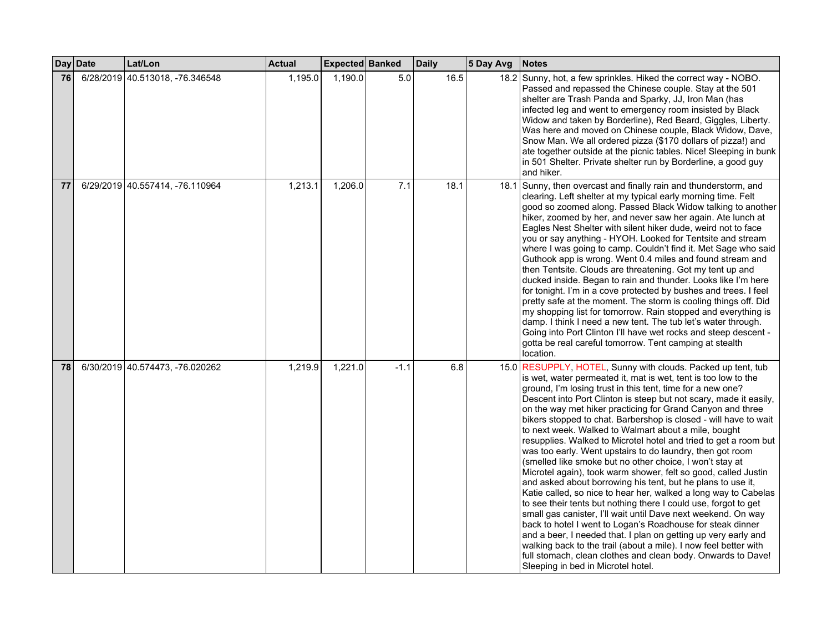|    | Day Date | Lat/Lon                         | <b>Actual</b> | Expected Banked |        | <b>Daily</b> | 5 Day Avg | <b>Notes</b>                                                                                                                                                                                                                                                                                                                                                                                                                                                                                                                                                                                                                                                                                                                                                                                                                                                                                                                                                                                                                                                                                                                                                                                                                                                                                               |
|----|----------|---------------------------------|---------------|-----------------|--------|--------------|-----------|------------------------------------------------------------------------------------------------------------------------------------------------------------------------------------------------------------------------------------------------------------------------------------------------------------------------------------------------------------------------------------------------------------------------------------------------------------------------------------------------------------------------------------------------------------------------------------------------------------------------------------------------------------------------------------------------------------------------------------------------------------------------------------------------------------------------------------------------------------------------------------------------------------------------------------------------------------------------------------------------------------------------------------------------------------------------------------------------------------------------------------------------------------------------------------------------------------------------------------------------------------------------------------------------------------|
| 76 |          | 6/28/2019 40.513018, -76.346548 | 1,195.0       | 1,190.0         | 5.0    | 16.5         |           | 18.2 Sunny, hot, a few sprinkles. Hiked the correct way - NOBO.<br>Passed and repassed the Chinese couple. Stay at the 501<br>shelter are Trash Panda and Sparky, JJ, Iron Man (has<br>infected leg and went to emergency room insisted by Black<br>Widow and taken by Borderline), Red Beard, Giggles, Liberty.<br>Was here and moved on Chinese couple, Black Widow, Dave,<br>Snow Man. We all ordered pizza (\$170 dollars of pizza!) and<br>ate together outside at the picnic tables. Nice! Sleeping in bunk<br>in 501 Shelter. Private shelter run by Borderline, a good guy<br>and hiker.                                                                                                                                                                                                                                                                                                                                                                                                                                                                                                                                                                                                                                                                                                           |
| 77 |          | 6/29/2019 40.557414, -76.110964 | 1,213.1       | 1,206.0         | 7.1    | 18.1         |           | 18.1 Sunny, then overcast and finally rain and thunderstorm, and<br>clearing. Left shelter at my typical early morning time. Felt<br>good so zoomed along. Passed Black Widow talking to another<br>hiker, zoomed by her, and never saw her again. Ate lunch at<br>Eagles Nest Shelter with silent hiker dude, weird not to face<br>you or say anything - HYOH. Looked for Tentsite and stream<br>where I was going to camp. Couldn't find it. Met Sage who said<br>Guthook app is wrong. Went 0.4 miles and found stream and<br>then Tentsite. Clouds are threatening. Got my tent up and<br>ducked inside. Began to rain and thunder. Looks like I'm here<br>for tonight. I'm in a cove protected by bushes and trees. I feel<br>pretty safe at the moment. The storm is cooling things off. Did<br>my shopping list for tomorrow. Rain stopped and everything is<br>damp. I think I need a new tent. The tub let's water through.<br>Going into Port Clinton I'll have wet rocks and steep descent -<br>gotta be real careful tomorrow. Tent camping at stealth<br>location.                                                                                                                                                                                                                            |
| 78 |          | 6/30/2019 40.574473, -76.020262 | 1,219.9       | 1,221.0         | $-1.1$ | 6.8          |           | 15.0 RESUPPLY, HOTEL, Sunny with clouds. Packed up tent, tub<br>is wet, water permeated it, mat is wet, tent is too low to the<br>ground, I'm losing trust in this tent, time for a new one?<br>Descent into Port Clinton is steep but not scary, made it easily,<br>on the way met hiker practicing for Grand Canyon and three<br>bikers stopped to chat. Barbershop is closed - will have to wait<br>to next week. Walked to Walmart about a mile, bought<br>resupplies. Walked to Microtel hotel and tried to get a room but<br>was too early. Went upstairs to do laundry, then got room<br>(smelled like smoke but no other choice, I won't stay at<br>Microtel again), took warm shower, felt so good, called Justin<br>and asked about borrowing his tent, but he plans to use it,<br>Katie called, so nice to hear her, walked a long way to Cabelas<br>to see their tents but nothing there I could use, forgot to get<br>small gas canister, I'll wait until Dave next weekend. On way<br>back to hotel I went to Logan's Roadhouse for steak dinner<br>and a beer, I needed that. I plan on getting up very early and<br>walking back to the trail (about a mile). I now feel better with<br>full stomach, clean clothes and clean body. Onwards to Dave!<br>Sleeping in bed in Microtel hotel. |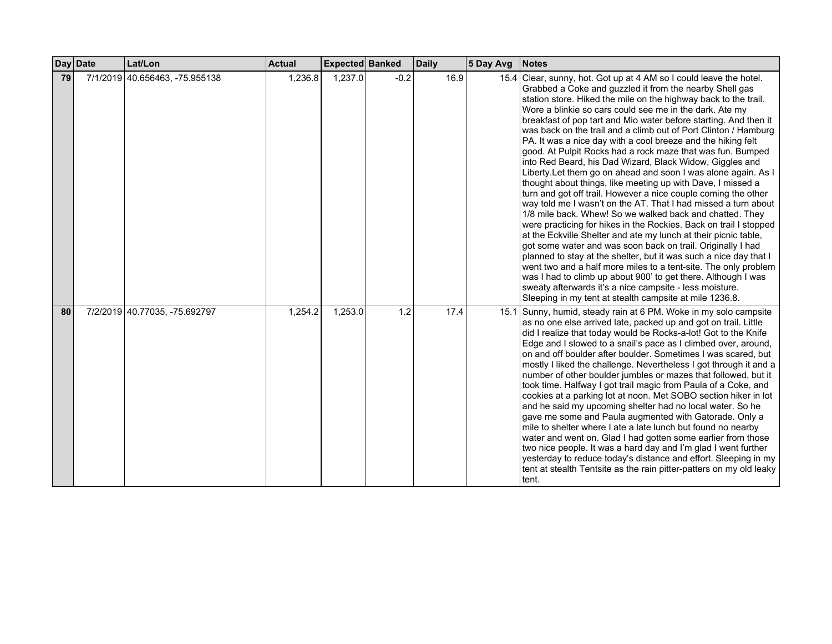|    | Day Date | Lat/Lon                        | <b>Actual</b> | Expected Banked |        | <b>Daily</b> | 5 Day Avg | <b>Notes</b>                                                                                                                                                                                                                                                                                                                                                                                                                                                                                                                                                                                                                                                                                                                                                                                                                                                                                                                                                                                                                                                                                                                                                                                                                                                                                                                                                                                                                                                        |
|----|----------|--------------------------------|---------------|-----------------|--------|--------------|-----------|---------------------------------------------------------------------------------------------------------------------------------------------------------------------------------------------------------------------------------------------------------------------------------------------------------------------------------------------------------------------------------------------------------------------------------------------------------------------------------------------------------------------------------------------------------------------------------------------------------------------------------------------------------------------------------------------------------------------------------------------------------------------------------------------------------------------------------------------------------------------------------------------------------------------------------------------------------------------------------------------------------------------------------------------------------------------------------------------------------------------------------------------------------------------------------------------------------------------------------------------------------------------------------------------------------------------------------------------------------------------------------------------------------------------------------------------------------------------|
| 79 |          | 7/1/2019 40.656463, -75.955138 | 1,236.8       | 1,237.0         | $-0.2$ | 16.9         |           | 15.4 Clear, sunny, hot. Got up at 4 AM so I could leave the hotel.<br>Grabbed a Coke and guzzled it from the nearby Shell gas<br>station store. Hiked the mile on the highway back to the trail.<br>Wore a blinkie so cars could see me in the dark. Ate my<br>breakfast of pop tart and Mio water before starting. And then it<br>was back on the trail and a climb out of Port Clinton / Hamburg<br>PA. It was a nice day with a cool breeze and the hiking felt<br>good. At Pulpit Rocks had a rock maze that was fun. Bumped<br>into Red Beard, his Dad Wizard, Black Widow, Giggles and<br>Liberty. Let them go on ahead and soon I was alone again. As I<br>thought about things, like meeting up with Dave, I missed a<br>turn and got off trail. However a nice couple coming the other<br>way told me I wasn't on the AT. That I had missed a turn about<br>1/8 mile back. Whew! So we walked back and chatted. They<br>were practicing for hikes in the Rockies. Back on trail I stopped<br>at the Eckville Shelter and ate my lunch at their picnic table,<br>got some water and was soon back on trail. Originally I had<br>planned to stay at the shelter, but it was such a nice day that I<br>went two and a half more miles to a tent-site. The only problem<br>was I had to climb up about 900' to get there. Although I was<br>sweaty afterwards it's a nice campsite - less moisture.<br>Sleeping in my tent at stealth campsite at mile 1236.8. |
| 80 |          | 7/2/2019 40.77035, -75.692797  | 1,254.2       | 1,253.0         | 1.2    | 17.4         |           | 15.1 Sunny, humid, steady rain at 6 PM. Woke in my solo campsite<br>as no one else arrived late, packed up and got on trail. Little<br>did I realize that today would be Rocks-a-lot! Got to the Knife<br>Edge and I slowed to a snail's pace as I climbed over, around,<br>on and off boulder after boulder. Sometimes I was scared, but<br>mostly I liked the challenge. Nevertheless I got through it and a<br>number of other boulder jumbles or mazes that followed, but it<br>took time. Halfway I got trail magic from Paula of a Coke, and<br>cookies at a parking lot at noon. Met SOBO section hiker in lot<br>and he said my upcoming shelter had no local water. So he<br>gave me some and Paula augmented with Gatorade. Only a<br>mile to shelter where I ate a late lunch but found no nearby<br>water and went on. Glad I had gotten some earlier from those<br>two nice people. It was a hard day and I'm glad I went further<br>yesterday to reduce today's distance and effort. Sleeping in my<br>tent at stealth Tentsite as the rain pitter-patters on my old leaky<br>tent.                                                                                                                                                                                                                                                                                                                                                                   |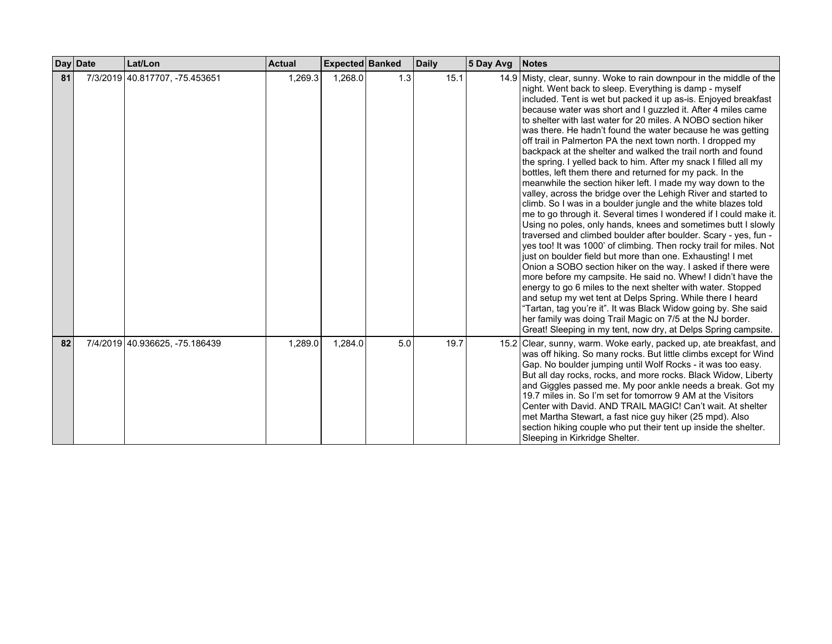|    | Day Date | Lat/Lon                        | <b>Actual</b> | Expected Banked |     | <b>Daily</b> | 5 Day Avg | <b>Notes</b>                                                                                                                                                                                                                                                                                                                                                                                                                                                                                                                                                                                                                                                                                                                                                                                                                                                                                                                                                                                                                                                                                                                                                                                                                                                                                                                                                                                                                                                                                                                                                                                                                                                                    |
|----|----------|--------------------------------|---------------|-----------------|-----|--------------|-----------|---------------------------------------------------------------------------------------------------------------------------------------------------------------------------------------------------------------------------------------------------------------------------------------------------------------------------------------------------------------------------------------------------------------------------------------------------------------------------------------------------------------------------------------------------------------------------------------------------------------------------------------------------------------------------------------------------------------------------------------------------------------------------------------------------------------------------------------------------------------------------------------------------------------------------------------------------------------------------------------------------------------------------------------------------------------------------------------------------------------------------------------------------------------------------------------------------------------------------------------------------------------------------------------------------------------------------------------------------------------------------------------------------------------------------------------------------------------------------------------------------------------------------------------------------------------------------------------------------------------------------------------------------------------------------------|
| 81 |          | 7/3/2019 40.817707, -75.453651 | 1,269.3       | 1,268.0         | 1.3 | 15.1         |           | 14.9 Misty, clear, sunny. Woke to rain downpour in the middle of the<br>night. Went back to sleep. Everything is damp - myself<br>included. Tent is wet but packed it up as-is. Enjoyed breakfast<br>because water was short and I guzzled it. After 4 miles came<br>to shelter with last water for 20 miles. A NOBO section hiker<br>was there. He hadn't found the water because he was getting<br>off trail in Palmerton PA the next town north. I dropped my<br>backpack at the shelter and walked the trail north and found<br>the spring. I yelled back to him. After my snack I filled all my<br>bottles, left them there and returned for my pack. In the<br>meanwhile the section hiker left. I made my way down to the<br>valley, across the bridge over the Lehigh River and started to<br>climb. So I was in a boulder jungle and the white blazes told<br>me to go through it. Several times I wondered if I could make it.<br>Using no poles, only hands, knees and sometimes butt I slowly<br>traversed and climbed boulder after boulder. Scary - yes, fun -<br>yes too! It was 1000' of climbing. Then rocky trail for miles. Not<br>just on boulder field but more than one. Exhausting! I met<br>Onion a SOBO section hiker on the way. I asked if there were<br>more before my campsite. He said no. Whew! I didn't have the<br>energy to go 6 miles to the next shelter with water. Stopped<br>and setup my wet tent at Delps Spring. While there I heard<br>"Tartan, tag you're it". It was Black Widow going by. She said<br>her family was doing Trail Magic on 7/5 at the NJ border.<br>Great! Sleeping in my tent, now dry, at Delps Spring campsite. |
| 82 |          | 7/4/2019 40.936625, -75.186439 | 1,289.0       | 1,284.0         | 5.0 | 19.7         |           | 15.2 Clear, sunny, warm. Woke early, packed up, ate breakfast, and<br>was off hiking. So many rocks. But little climbs except for Wind<br>Gap. No boulder jumping until Wolf Rocks - it was too easy.<br>But all day rocks, rocks, and more rocks. Black Widow, Liberty<br>and Giggles passed me. My poor ankle needs a break. Got my<br>19.7 miles in. So I'm set for tomorrow 9 AM at the Visitors<br>Center with David, AND TRAIL MAGIC! Can't wait. At shelter<br>met Martha Stewart, a fast nice guy hiker (25 mpd). Also<br>section hiking couple who put their tent up inside the shelter.<br>Sleeping in Kirkridge Shelter.                                                                                                                                                                                                                                                                                                                                                                                                                                                                                                                                                                                                                                                                                                                                                                                                                                                                                                                                                                                                                                             |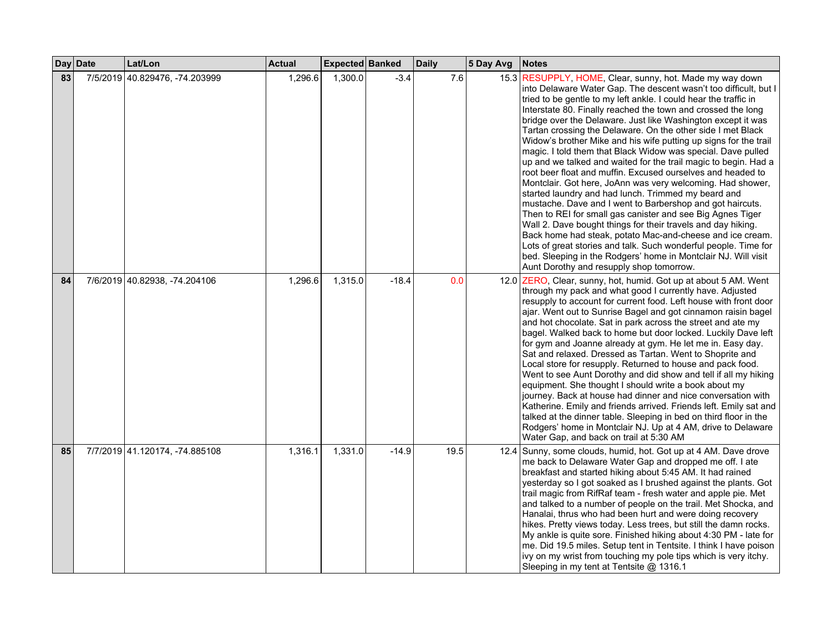|    | Day Date | Lat/Lon                        | <b>Actual</b> | Expected Banked |         | <b>Daily</b> | 5 Day Avg | <b>Notes</b>                                                                                                                                                                                                                                                                                                                                                                                                                                                                                                                                                                                                                                                                                                                                                                                                                                                                                                                                                                                                                                                                                                                                                                                                                        |
|----|----------|--------------------------------|---------------|-----------------|---------|--------------|-----------|-------------------------------------------------------------------------------------------------------------------------------------------------------------------------------------------------------------------------------------------------------------------------------------------------------------------------------------------------------------------------------------------------------------------------------------------------------------------------------------------------------------------------------------------------------------------------------------------------------------------------------------------------------------------------------------------------------------------------------------------------------------------------------------------------------------------------------------------------------------------------------------------------------------------------------------------------------------------------------------------------------------------------------------------------------------------------------------------------------------------------------------------------------------------------------------------------------------------------------------|
| 83 | 7/5/2019 | 40.829476, -74.203999          | 1,296.6       | 1,300.0         | $-3.4$  | 7.6          |           | 15.3 RESUPPLY, HOME, Clear, sunny, hot. Made my way down<br>into Delaware Water Gap. The descent wasn't too difficult, but I<br>tried to be gentle to my left ankle. I could hear the traffic in<br>Interstate 80. Finally reached the town and crossed the long<br>bridge over the Delaware. Just like Washington except it was<br>Tartan crossing the Delaware. On the other side I met Black<br>Widow's brother Mike and his wife putting up signs for the trail<br>magic. I told them that Black Widow was special. Dave pulled<br>up and we talked and waited for the trail magic to begin. Had a<br>root beer float and muffin. Excused ourselves and headed to<br>Montclair. Got here, JoAnn was very welcoming. Had shower,<br>started laundry and had lunch. Trimmed my beard and<br>mustache. Dave and I went to Barbershop and got haircuts.<br>Then to REI for small gas canister and see Big Agnes Tiger<br>Wall 2. Dave bought things for their travels and day hiking.<br>Back home had steak, potato Mac-and-cheese and ice cream.<br>Lots of great stories and talk. Such wonderful people. Time for<br>bed. Sleeping in the Rodgers' home in Montclair NJ. Will visit<br>Aunt Dorothy and resupply shop tomorrow. |
| 84 |          | 7/6/2019 40.82938, -74.204106  | 1,296.6       | 1,315.0         | $-18.4$ | 0.0          |           | 12.0 ZERO, Clear, sunny, hot, humid. Got up at about 5 AM. Went<br>through my pack and what good I currently have. Adjusted<br>resupply to account for current food. Left house with front door<br>ajar. Went out to Sunrise Bagel and got cinnamon raisin bagel<br>and hot chocolate. Sat in park across the street and ate my<br>bagel. Walked back to home but door locked. Luckily Dave left<br>for gym and Joanne already at gym. He let me in. Easy day.<br>Sat and relaxed. Dressed as Tartan. Went to Shoprite and<br>Local store for resupply. Returned to house and pack food.<br>Went to see Aunt Dorothy and did show and tell if all my hiking<br>equipment. She thought I should write a book about my<br>journey. Back at house had dinner and nice conversation with<br>Katherine. Emily and friends arrived. Friends left. Emily sat and<br>talked at the dinner table. Sleeping in bed on third floor in the<br>Rodgers' home in Montclair NJ. Up at 4 AM, drive to Delaware<br>Water Gap, and back on trail at 5:30 AM                                                                                                                                                                                           |
| 85 |          | 7/7/2019 41.120174, -74.885108 | 1,316.1       | 1,331.0         | $-14.9$ | 19.5         |           | 12.4 Sunny, some clouds, humid, hot. Got up at 4 AM. Dave drove<br>me back to Delaware Water Gap and dropped me off. I ate<br>breakfast and started hiking about 5:45 AM. It had rained<br>yesterday so I got soaked as I brushed against the plants. Got<br>trail magic from RifRaf team - fresh water and apple pie. Met<br>and talked to a number of people on the trail. Met Shocka, and<br>Hanalai, thrus who had been hurt and were doing recovery<br>hikes. Pretty views today. Less trees, but still the damn rocks.<br>My ankle is quite sore. Finished hiking about 4:30 PM - late for<br>me. Did 19.5 miles. Setup tent in Tentsite. I think I have poison<br>ivy on my wrist from touching my pole tips which is very itchy.<br>Sleeping in my tent at Tentsite @ 1316.1                                                                                                                                                                                                                                                                                                                                                                                                                                                |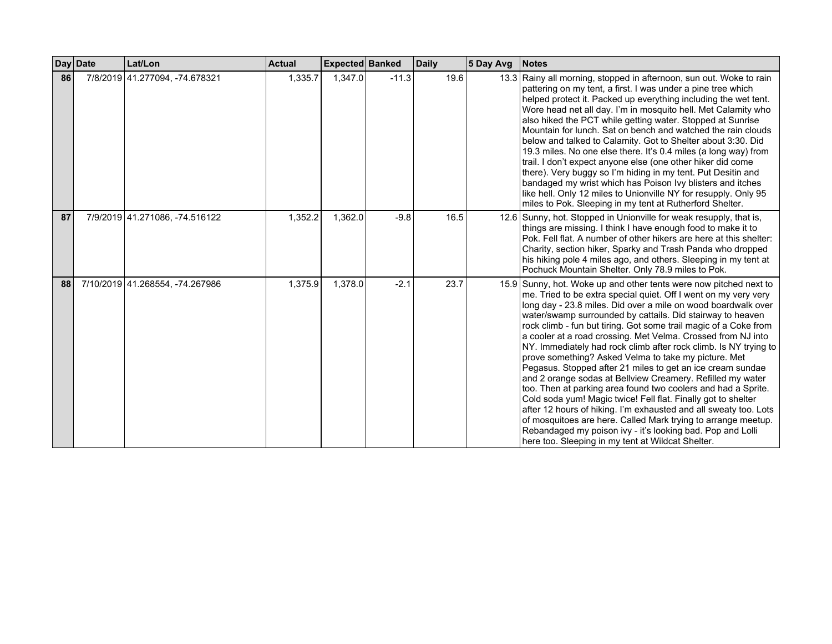|    | Day Date | Lat/Lon                         | <b>Actual</b> | <b>Expected Banked</b> |         | <b>Daily</b> | 5 Day Avg | <b>Notes</b>                                                                                                                                                                                                                                                                                                                                                                                                                                                                                                                                                                                                                                                                                                                                                                                                                                                                                                                                                                                                                                              |
|----|----------|---------------------------------|---------------|------------------------|---------|--------------|-----------|-----------------------------------------------------------------------------------------------------------------------------------------------------------------------------------------------------------------------------------------------------------------------------------------------------------------------------------------------------------------------------------------------------------------------------------------------------------------------------------------------------------------------------------------------------------------------------------------------------------------------------------------------------------------------------------------------------------------------------------------------------------------------------------------------------------------------------------------------------------------------------------------------------------------------------------------------------------------------------------------------------------------------------------------------------------|
| 86 |          | 7/8/2019 41.277094, -74.678321  | 1,335.7       | 1,347.0                | $-11.3$ | 19.6         |           | 13.3 Rainy all morning, stopped in afternoon, sun out. Woke to rain<br>pattering on my tent, a first. I was under a pine tree which<br>helped protect it. Packed up everything including the wet tent.<br>Wore head net all day. I'm in mosquito hell. Met Calamity who<br>also hiked the PCT while getting water. Stopped at Sunrise<br>Mountain for lunch. Sat on bench and watched the rain clouds<br>below and talked to Calamity. Got to Shelter about 3:30. Did<br>19.3 miles. No one else there. It's 0.4 miles (a long way) from<br>trail. I don't expect anyone else (one other hiker did come<br>there). Very buggy so I'm hiding in my tent. Put Desitin and<br>bandaged my wrist which has Poison Ivy blisters and itches<br>like hell. Only 12 miles to Unionville NY for resupply. Only 95<br>miles to Pok. Sleeping in my tent at Rutherford Shelter.                                                                                                                                                                                      |
| 87 |          | 7/9/2019 41.271086, -74.516122  | 1,352.2       | 1,362.0                | $-9.8$  | 16.5         |           | 12.6 Sunny, hot. Stopped in Unionville for weak resupply, that is,<br>things are missing. I think I have enough food to make it to<br>Pok. Fell flat. A number of other hikers are here at this shelter:<br>Charity, section hiker, Sparky and Trash Panda who dropped<br>his hiking pole 4 miles ago, and others. Sleeping in my tent at<br>Pochuck Mountain Shelter. Only 78.9 miles to Pok.                                                                                                                                                                                                                                                                                                                                                                                                                                                                                                                                                                                                                                                            |
| 88 |          | 7/10/2019 41.268554, -74.267986 | 1,375.9       | 1.378.0                | $-2.1$  | 23.7         |           | 15.9 Sunny, hot. Woke up and other tents were now pitched next to<br>me. Tried to be extra special quiet. Off I went on my very very<br>long day - 23.8 miles. Did over a mile on wood boardwalk over<br>water/swamp surrounded by cattails. Did stairway to heaven<br>rock climb - fun but tiring. Got some trail magic of a Coke from<br>a cooler at a road crossing. Met Velma. Crossed from NJ into<br>NY. Immediately had rock climb after rock climb. Is NY trying to<br>prove something? Asked Velma to take my picture. Met<br>Pegasus. Stopped after 21 miles to get an ice cream sundae<br>and 2 orange sodas at Bellview Creamery. Refilled my water<br>too. Then at parking area found two coolers and had a Sprite.<br>Cold soda yum! Magic twice! Fell flat. Finally got to shelter<br>after 12 hours of hiking. I'm exhausted and all sweaty too. Lots<br>of mosquitoes are here. Called Mark trying to arrange meetup.<br>Rebandaged my poison ivy - it's looking bad. Pop and Lolli<br>here too. Sleeping in my tent at Wildcat Shelter. |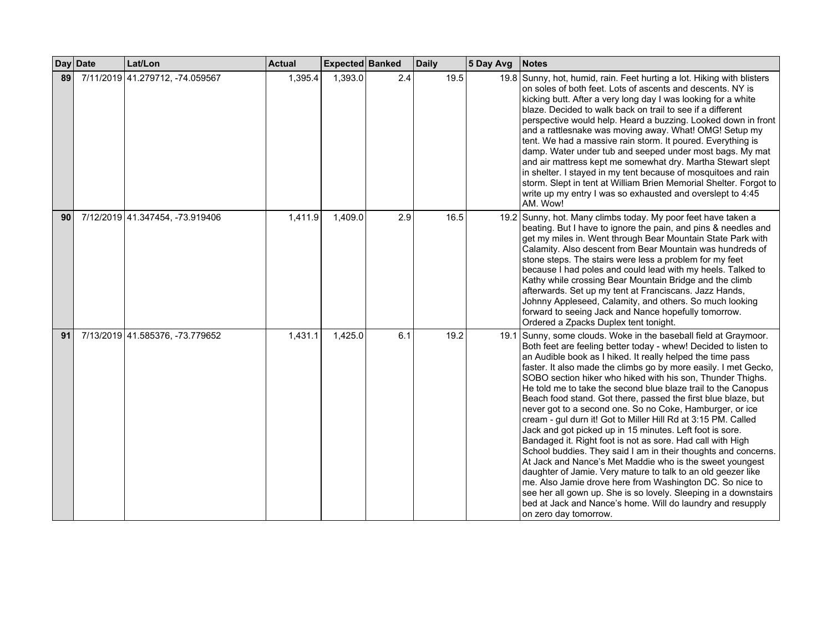|    | Day Date | Lat/Lon                         | <b>Actual</b> | Expected Banked |     | <b>Daily</b> | 5 Day Avg | Notes                                                                                                                                                                                                                                                                                                                                                                                                                                                                                                                                                                                                                                                                                                                                                                                                                                                                                                                                                                                                                                                                                                                                           |
|----|----------|---------------------------------|---------------|-----------------|-----|--------------|-----------|-------------------------------------------------------------------------------------------------------------------------------------------------------------------------------------------------------------------------------------------------------------------------------------------------------------------------------------------------------------------------------------------------------------------------------------------------------------------------------------------------------------------------------------------------------------------------------------------------------------------------------------------------------------------------------------------------------------------------------------------------------------------------------------------------------------------------------------------------------------------------------------------------------------------------------------------------------------------------------------------------------------------------------------------------------------------------------------------------------------------------------------------------|
| 89 |          | 7/11/2019 41.279712, -74.059567 | 1,395.4       | 1,393.0         | 2.4 | 19.5         |           | 19.8 Sunny, hot, humid, rain. Feet hurting a lot. Hiking with blisters<br>on soles of both feet. Lots of ascents and descents. NY is<br>kicking butt. After a very long day I was looking for a white<br>blaze. Decided to walk back on trail to see if a different<br>perspective would help. Heard a buzzing. Looked down in front<br>and a rattlesnake was moving away. What! OMG! Setup my<br>tent. We had a massive rain storm. It poured. Everything is<br>damp. Water under tub and seeped under most bags. My mat<br>and air mattress kept me somewhat dry. Martha Stewart slept<br>in shelter. I stayed in my tent because of mosquitoes and rain<br>storm. Slept in tent at William Brien Memorial Shelter. Forgot to<br>write up my entry I was so exhausted and overslept to 4:45<br>AM. Wow!                                                                                                                                                                                                                                                                                                                                       |
| 90 |          | 7/12/2019 41.347454, -73.919406 | 1,411.9       | 1,409.0         | 2.9 | 16.5         |           | 19.2 Sunny, hot. Many climbs today. My poor feet have taken a<br>beating. But I have to ignore the pain, and pins & needles and<br>get my miles in. Went through Bear Mountain State Park with<br>Calamity. Also descent from Bear Mountain was hundreds of<br>stone steps. The stairs were less a problem for my feet<br>because I had poles and could lead with my heels. Talked to<br>Kathy while crossing Bear Mountain Bridge and the climb<br>afterwards. Set up my tent at Franciscans. Jazz Hands,<br>Johnny Appleseed, Calamity, and others. So much looking<br>forward to seeing Jack and Nance hopefully tomorrow.<br>Ordered a Zpacks Duplex tent tonight.                                                                                                                                                                                                                                                                                                                                                                                                                                                                          |
| 91 |          | 7/13/2019 41.585376, -73.779652 | 1,431.1       | 1,425.0         | 6.1 | 19.2         |           | 19.1 Sunny, some clouds. Woke in the baseball field at Graymoor.<br>Both feet are feeling better today - whew! Decided to listen to<br>an Audible book as I hiked. It really helped the time pass<br>faster. It also made the climbs go by more easily. I met Gecko,<br>SOBO section hiker who hiked with his son, Thunder Thighs.<br>He told me to take the second blue blaze trail to the Canopus<br>Beach food stand. Got there, passed the first blue blaze, but<br>never got to a second one. So no Coke, Hamburger, or ice<br>cream - gul durn it! Got to Miller Hill Rd at 3:15 PM. Called<br>Jack and got picked up in 15 minutes. Left foot is sore.<br>Bandaged it. Right foot is not as sore. Had call with High<br>School buddies. They said I am in their thoughts and concerns.<br>At Jack and Nance's Met Maddie who is the sweet youngest<br>daughter of Jamie. Very mature to talk to an old geezer like<br>me. Also Jamie drove here from Washington DC. So nice to<br>see her all gown up. She is so lovely. Sleeping in a downstairs<br>bed at Jack and Nance's home. Will do laundry and resupply<br>on zero day tomorrow. |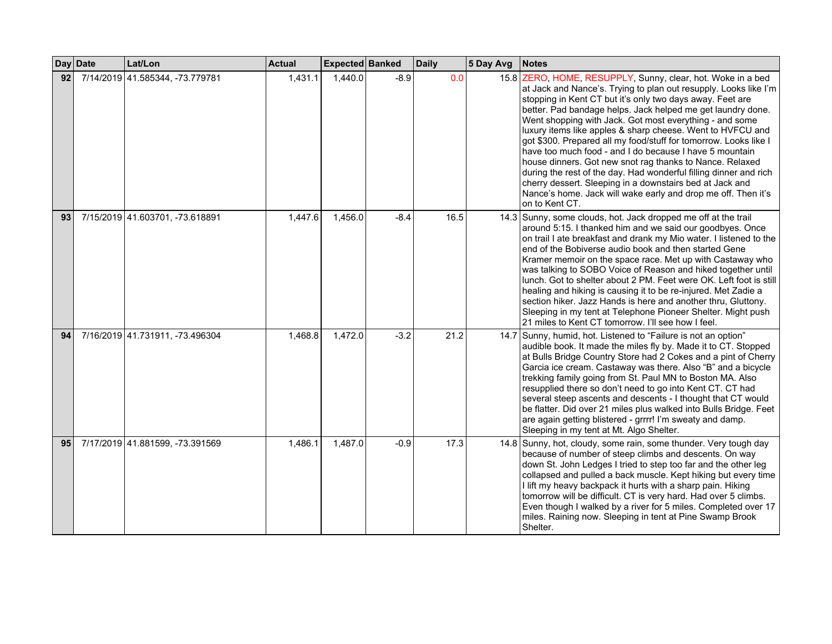|    | Day Date | Lat/Lon                         | <b>Actual</b> | Expected Banked |        | <b>Daily</b> | 5 Day Avg | Notes                                                                                                                                                                                                                                                                                                                                                                                                                                                                                                                                                                                                                                                                                                                                                                                               |
|----|----------|---------------------------------|---------------|-----------------|--------|--------------|-----------|-----------------------------------------------------------------------------------------------------------------------------------------------------------------------------------------------------------------------------------------------------------------------------------------------------------------------------------------------------------------------------------------------------------------------------------------------------------------------------------------------------------------------------------------------------------------------------------------------------------------------------------------------------------------------------------------------------------------------------------------------------------------------------------------------------|
| 92 |          | 7/14/2019 41.585344, -73.779781 | 1,431.1       | 1,440.0         | $-8.9$ | 0.0          |           | 15.8 ZERO, HOME, RESUPPLY, Sunny, clear, hot. Woke in a bed<br>at Jack and Nance's. Trying to plan out resupply. Looks like I'm<br>stopping in Kent CT but it's only two days away. Feet are<br>better. Pad bandage helps. Jack helped me get laundry done.<br>Went shopping with Jack. Got most everything - and some<br>luxury items like apples & sharp cheese. Went to HVFCU and<br>got \$300. Prepared all my food/stuff for tomorrow. Looks like I<br>have too much food - and I do because I have 5 mountain<br>house dinners. Got new snot rag thanks to Nance. Relaxed<br>during the rest of the day. Had wonderful filling dinner and rich<br>cherry dessert. Sleeping in a downstairs bed at Jack and<br>Nance's home. Jack will wake early and drop me off. Then it's<br>on to Kent CT. |
| 93 |          | 7/15/2019 41.603701, -73.618891 | 1,447.6       | 1,456.0         | $-8.4$ | 16.5         |           | 14.3 Sunny, some clouds, hot. Jack dropped me off at the trail<br>around 5:15. I thanked him and we said our goodbyes. Once<br>on trail I ate breakfast and drank my Mio water. I listened to the<br>end of the Bobiverse audio book and then started Gene<br>Kramer memoir on the space race. Met up with Castaway who<br>was talking to SOBO Voice of Reason and hiked together until<br>lunch. Got to shelter about 2 PM. Feet were OK. Left foot is still<br>healing and hiking is causing it to be re-injured. Met Zadie a<br>section hiker. Jazz Hands is here and another thru, Gluttony.<br>Sleeping in my tent at Telephone Pioneer Shelter. Might push<br>21 miles to Kent CT tomorrow. I'll see how I feel.                                                                              |
| 94 |          | 7/16/2019 41.731911, -73.496304 | 1,468.8       | 1,472.0         | $-3.2$ | 21.2         |           | 14.7 Sunny, humid, hot. Listened to "Failure is not an option"<br>audible book. It made the miles fly by. Made it to CT. Stopped<br>at Bulls Bridge Country Store had 2 Cokes and a pint of Cherry<br>Garcia ice cream. Castaway was there. Also "B" and a bicycle<br>trekking family going from St. Paul MN to Boston MA. Also<br>resupplied there so don't need to go into Kent CT. CT had<br>several steep ascents and descents - I thought that CT would<br>be flatter. Did over 21 miles plus walked into Bulls Bridge. Feet<br>are again getting blistered - grrrr! I'm sweaty and damp.<br>Sleeping in my tent at Mt. Algo Shelter.                                                                                                                                                          |
| 95 |          | 7/17/2019 41.881599, -73.391569 | 1,486.1       | 1,487.0         | $-0.9$ | 17.3         |           | 14.8 Sunny, hot, cloudy, some rain, some thunder. Very tough day<br>because of number of steep climbs and descents. On way<br>down St. John Ledges I tried to step too far and the other leg<br>collapsed and pulled a back muscle. Kept hiking but every time<br>I lift my heavy backpack it hurts with a sharp pain. Hiking<br>tomorrow will be difficult. CT is very hard. Had over 5 climbs.<br>Even though I walked by a river for 5 miles. Completed over 17<br>miles. Raining now. Sleeping in tent at Pine Swamp Brook<br>Shelter.                                                                                                                                                                                                                                                          |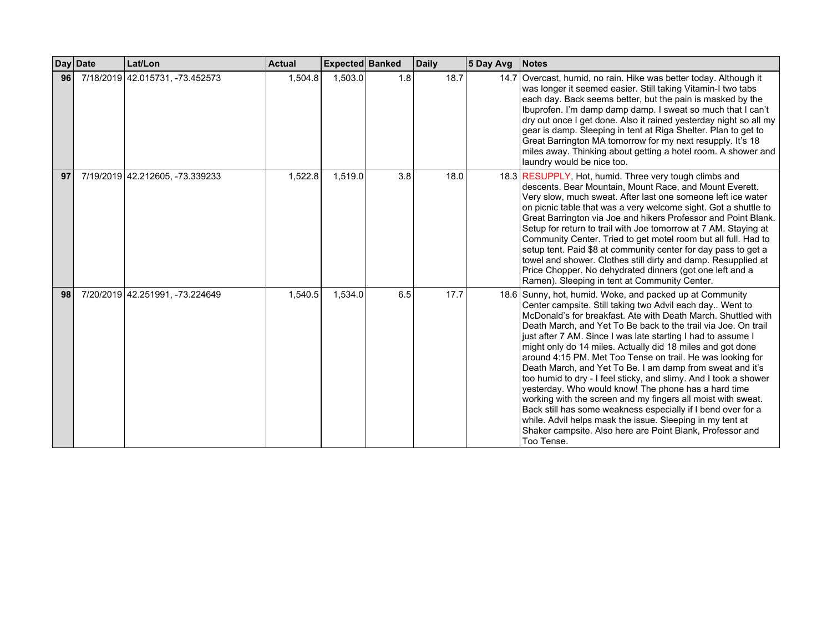|    | Day Date | Lat/Lon                         | <b>Actual</b> | <b>Expected Banked</b> |     | <b>Daily</b> | 5 Day Avg | <b>Notes</b>                                                                                                                                                                                                                                                                                                                                                                                                                                                                                                                                                                                                                                                                                                                                                                                                                                                                                                         |
|----|----------|---------------------------------|---------------|------------------------|-----|--------------|-----------|----------------------------------------------------------------------------------------------------------------------------------------------------------------------------------------------------------------------------------------------------------------------------------------------------------------------------------------------------------------------------------------------------------------------------------------------------------------------------------------------------------------------------------------------------------------------------------------------------------------------------------------------------------------------------------------------------------------------------------------------------------------------------------------------------------------------------------------------------------------------------------------------------------------------|
| 96 |          | 7/18/2019 42.015731, -73.452573 | 1,504.8       | 1,503.0                | 1.8 | 18.7         | 14.7      | Overcast, humid, no rain. Hike was better today. Although it<br>was longer it seemed easier. Still taking Vitamin-I two tabs<br>each day. Back seems better, but the pain is masked by the<br>Ibuprofen. I'm damp damp damp. I sweat so much that I can't<br>dry out once I get done. Also it rained yesterday night so all my<br>gear is damp. Sleeping in tent at Riga Shelter. Plan to get to<br>Great Barrington MA tomorrow for my next resupply. It's 18<br>miles away. Thinking about getting a hotel room. A shower and<br>laundry would be nice too.                                                                                                                                                                                                                                                                                                                                                        |
| 97 |          | 7/19/2019 42.212605, -73.339233 | 1,522.8       | 1,519.0                | 3.8 | 18.0         |           | 18.3 RESUPPLY, Hot, humid. Three very tough climbs and<br>descents. Bear Mountain, Mount Race, and Mount Everett.<br>Very slow, much sweat. After last one someone left ice water<br>on picnic table that was a very welcome sight. Got a shuttle to<br>Great Barrington via Joe and hikers Professor and Point Blank.<br>Setup for return to trail with Joe tomorrow at 7 AM. Staying at<br>Community Center. Tried to get motel room but all full. Had to<br>setup tent. Paid \$8 at community center for day pass to get a<br>towel and shower. Clothes still dirty and damp. Resupplied at<br>Price Chopper. No dehydrated dinners (got one left and a<br>Ramen). Sleeping in tent at Community Center.                                                                                                                                                                                                          |
| 98 |          | 7/20/2019 42.251991, -73.224649 | 1,540.5       | 1,534.0                | 6.5 | 17.7         |           | 18.6 Sunny, hot, humid. Woke, and packed up at Community<br>Center campsite. Still taking two Advil each day Went to<br>McDonald's for breakfast. Ate with Death March, Shuttled with<br>Death March, and Yet To Be back to the trail via Joe. On trail<br>just after 7 AM. Since I was late starting I had to assume I<br>might only do 14 miles. Actually did 18 miles and got done<br>around 4:15 PM. Met Too Tense on trail. He was looking for<br>Death March, and Yet To Be. I am damp from sweat and it's<br>too humid to dry - I feel sticky, and slimy. And I took a shower<br>yesterday. Who would know! The phone has a hard time<br>working with the screen and my fingers all moist with sweat.<br>Back still has some weakness especially if I bend over for a<br>while. Advil helps mask the issue. Sleeping in my tent at<br>Shaker campsite. Also here are Point Blank, Professor and<br>Too Tense. |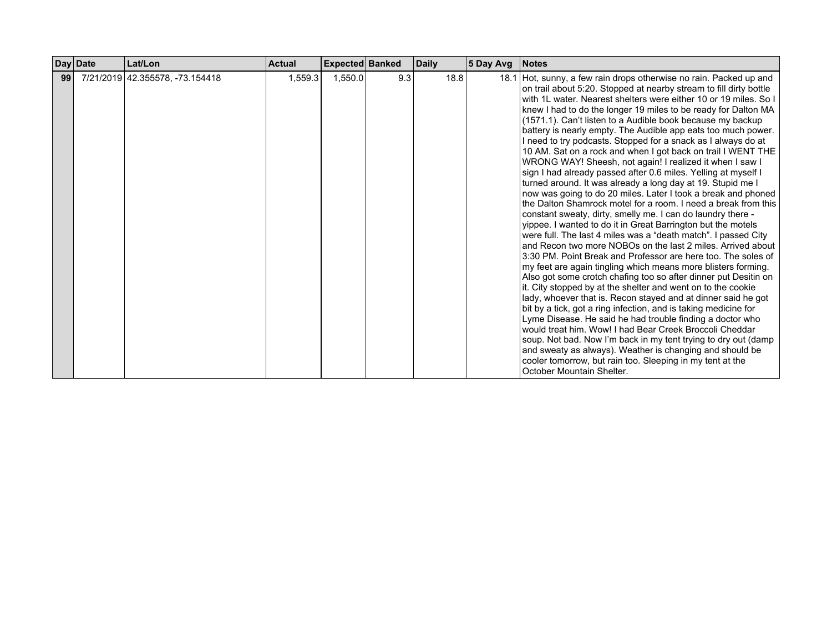|    | Day Date | Lat/Lon                         | Actual  | Expected Banked |     | <b>Daily</b> | 5 Day Avg | <b>Notes</b>                                                                                                                                                                                                                                                                                                                                                                                                                                                                                                                                                                                                                                                                                                                                                                                                                                                                                                                                                                                                                                                                                                                                                                                                                                                                                                                                                                                                                                                                                                                                                                                                                                                                                                                                                                                                                                                                                            |
|----|----------|---------------------------------|---------|-----------------|-----|--------------|-----------|---------------------------------------------------------------------------------------------------------------------------------------------------------------------------------------------------------------------------------------------------------------------------------------------------------------------------------------------------------------------------------------------------------------------------------------------------------------------------------------------------------------------------------------------------------------------------------------------------------------------------------------------------------------------------------------------------------------------------------------------------------------------------------------------------------------------------------------------------------------------------------------------------------------------------------------------------------------------------------------------------------------------------------------------------------------------------------------------------------------------------------------------------------------------------------------------------------------------------------------------------------------------------------------------------------------------------------------------------------------------------------------------------------------------------------------------------------------------------------------------------------------------------------------------------------------------------------------------------------------------------------------------------------------------------------------------------------------------------------------------------------------------------------------------------------------------------------------------------------------------------------------------------------|
| 99 |          | 7/21/2019 42.355578, -73.154418 | 1,559.3 | 1,550.0         | 9.3 | 18.8         |           | 18.1 Hot, sunny, a few rain drops otherwise no rain. Packed up and<br>on trail about 5:20. Stopped at nearby stream to fill dirty bottle<br>with 1L water. Nearest shelters were either 10 or 19 miles. So I<br>knew I had to do the longer 19 miles to be ready for Dalton MA<br>(1571.1). Can't listen to a Audible book because my backup<br>battery is nearly empty. The Audible app eats too much power.<br>I need to try podcasts. Stopped for a snack as I always do at<br>10 AM. Sat on a rock and when I got back on trail I WENT THE<br>WRONG WAY! Sheesh, not again! I realized it when I saw I<br>sign I had already passed after 0.6 miles. Yelling at myself I<br>turned around. It was already a long day at 19. Stupid me I<br>now was going to do 20 miles. Later I took a break and phoned<br>the Dalton Shamrock motel for a room. I need a break from this<br>constant sweaty, dirty, smelly me. I can do laundry there -<br>yippee. I wanted to do it in Great Barrington but the motels<br>were full. The last 4 miles was a "death match". I passed City<br>and Recon two more NOBOs on the last 2 miles. Arrived about<br>3:30 PM. Point Break and Professor are here too. The soles of<br>my feet are again tingling which means more blisters forming.<br>Also got some crotch chafing too so after dinner put Desitin on<br>it. City stopped by at the shelter and went on to the cookie<br>lady, whoever that is. Recon stayed and at dinner said he got<br>bit by a tick, got a ring infection, and is taking medicine for<br>Lyme Disease. He said he had trouble finding a doctor who<br>would treat him. Wow! I had Bear Creek Broccoli Cheddar<br>soup. Not bad. Now I'm back in my tent trying to dry out (damp<br>and sweaty as always). Weather is changing and should be<br>cooler tomorrow, but rain too. Sleeping in my tent at the<br>October Mountain Shelter. |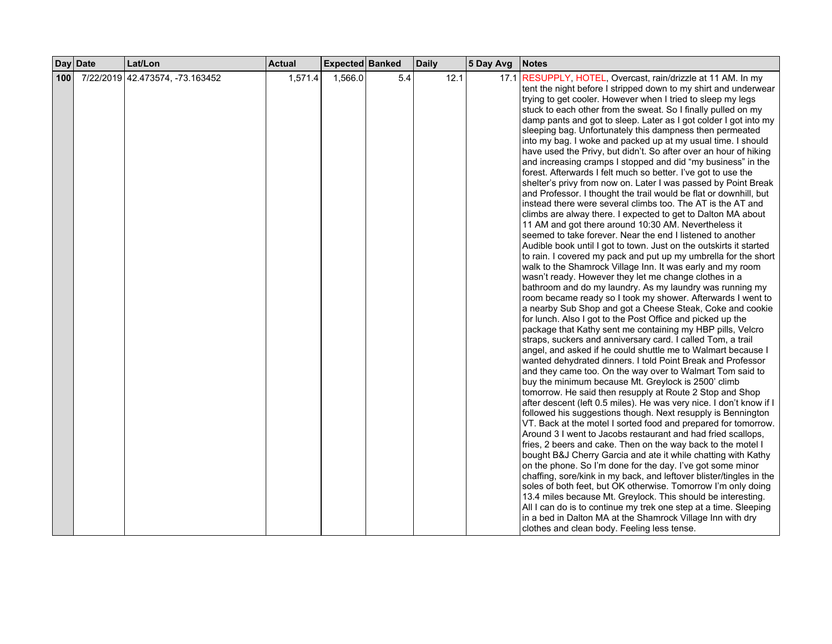|     | Day Date | Lat/Lon                         | <b>Actual</b> | Expected Banked |     | <b>Daily</b> | 5 Day Avg | <b>Notes</b>                                                                                                                                                                                                                                                                                                                                                                                                                                                                                                                                                                                                                                                                                                                                                                                                                                                                                                                                                                                                                                                                                                                                                                                                                                                                                                                                                                                                                                                                                                                                                                                                                                                                                                                                                                                                                                                                                                                                                                                                                                                                                                                                                                                                                                                                                                                                                                                                                                 |
|-----|----------|---------------------------------|---------------|-----------------|-----|--------------|-----------|----------------------------------------------------------------------------------------------------------------------------------------------------------------------------------------------------------------------------------------------------------------------------------------------------------------------------------------------------------------------------------------------------------------------------------------------------------------------------------------------------------------------------------------------------------------------------------------------------------------------------------------------------------------------------------------------------------------------------------------------------------------------------------------------------------------------------------------------------------------------------------------------------------------------------------------------------------------------------------------------------------------------------------------------------------------------------------------------------------------------------------------------------------------------------------------------------------------------------------------------------------------------------------------------------------------------------------------------------------------------------------------------------------------------------------------------------------------------------------------------------------------------------------------------------------------------------------------------------------------------------------------------------------------------------------------------------------------------------------------------------------------------------------------------------------------------------------------------------------------------------------------------------------------------------------------------------------------------------------------------------------------------------------------------------------------------------------------------------------------------------------------------------------------------------------------------------------------------------------------------------------------------------------------------------------------------------------------------------------------------------------------------------------------------------------------------|
| 100 |          | 7/22/2019 42.473574, -73.163452 | 1,571.4       | 1,566.0         | 5.4 | 12.1         |           | 17.1 RESUPPLY, HOTEL, Overcast, rain/drizzle at 11 AM. In my<br>tent the night before I stripped down to my shirt and underwear<br>trying to get cooler. However when I tried to sleep my legs<br>stuck to each other from the sweat. So I finally pulled on my<br>damp pants and got to sleep. Later as I got colder I got into my<br>sleeping bag. Unfortunately this dampness then permeated<br>into my bag. I woke and packed up at my usual time. I should<br>have used the Privy, but didn't. So after over an hour of hiking<br>and increasing cramps I stopped and did "my business" in the<br>forest. Afterwards I felt much so better. I've got to use the<br>shelter's privy from now on. Later I was passed by Point Break<br>and Professor. I thought the trail would be flat or downhill, but<br>instead there were several climbs too. The AT is the AT and<br>climbs are alway there. I expected to get to Dalton MA about<br>11 AM and got there around 10:30 AM. Nevertheless it<br>seemed to take forever. Near the end I listened to another<br>Audible book until I got to town. Just on the outskirts it started<br>to rain. I covered my pack and put up my umbrella for the short<br>walk to the Shamrock Village Inn. It was early and my room<br>wasn't ready. However they let me change clothes in a<br>bathroom and do my laundry. As my laundry was running my<br>room became ready so I took my shower. Afterwards I went to<br>a nearby Sub Shop and got a Cheese Steak, Coke and cookie<br>for lunch. Also I got to the Post Office and picked up the<br>package that Kathy sent me containing my HBP pills, Velcro<br>straps, suckers and anniversary card. I called Tom, a trail<br>angel, and asked if he could shuttle me to Walmart because I<br>wanted dehydrated dinners. I told Point Break and Professor<br>and they came too. On the way over to Walmart Tom said to<br>buy the minimum because Mt. Greylock is 2500' climb<br>tomorrow. He said then resupply at Route 2 Stop and Shop<br>after descent (left 0.5 miles). He was very nice. I don't know if I<br>followed his suggestions though. Next resupply is Bennington<br>VT. Back at the motel I sorted food and prepared for tomorrow.<br>Around 3 I went to Jacobs restaurant and had fried scallops,<br>fries, 2 beers and cake. Then on the way back to the motel I<br>bought B&J Cherry Garcia and ate it while chatting with Kathy |
|     |          |                                 |               |                 |     |              |           | on the phone. So I'm done for the day. I've got some minor<br>chaffing, sore/kink in my back, and leftover blister/tingles in the<br>soles of both feet, but OK otherwise. Tomorrow I'm only doing<br>13.4 miles because Mt. Greylock. This should be interesting.<br>All I can do is to continue my trek one step at a time. Sleeping<br>in a bed in Dalton MA at the Shamrock Village Inn with dry<br>clothes and clean body. Feeling less tense.                                                                                                                                                                                                                                                                                                                                                                                                                                                                                                                                                                                                                                                                                                                                                                                                                                                                                                                                                                                                                                                                                                                                                                                                                                                                                                                                                                                                                                                                                                                                                                                                                                                                                                                                                                                                                                                                                                                                                                                          |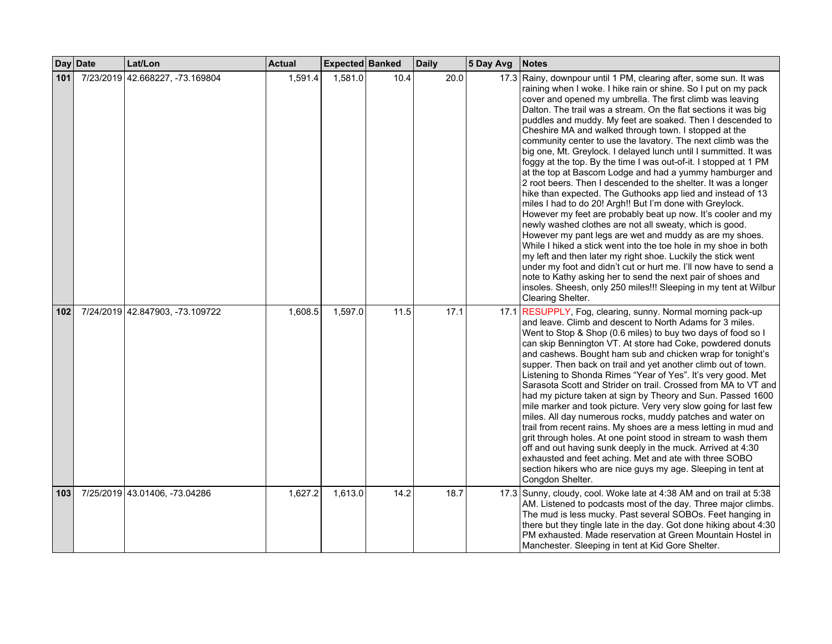|     | Day Date | Lat/Lon                         | <b>Actual</b> | Expected Banked |      | <b>Daily</b> | 5 Day Avg | <b>Notes</b>                                                                                                                                                                                                                                                                                                                                                                                                                                                                                                                                                                                                                                                                                                                                                                                                                                                                                                                                                                                                                                                                                                                                                                                                                                                                                                                                                                                                     |
|-----|----------|---------------------------------|---------------|-----------------|------|--------------|-----------|------------------------------------------------------------------------------------------------------------------------------------------------------------------------------------------------------------------------------------------------------------------------------------------------------------------------------------------------------------------------------------------------------------------------------------------------------------------------------------------------------------------------------------------------------------------------------------------------------------------------------------------------------------------------------------------------------------------------------------------------------------------------------------------------------------------------------------------------------------------------------------------------------------------------------------------------------------------------------------------------------------------------------------------------------------------------------------------------------------------------------------------------------------------------------------------------------------------------------------------------------------------------------------------------------------------------------------------------------------------------------------------------------------------|
| 101 |          | 7/23/2019 42.668227, -73.169804 | 1,591.4       | 1,581.0         | 10.4 | 20.0         |           | 17.3 Rainy, downpour until 1 PM, clearing after, some sun. It was<br>raining when I woke. I hike rain or shine. So I put on my pack<br>cover and opened my umbrella. The first climb was leaving<br>Dalton. The trail was a stream. On the flat sections it was big<br>puddles and muddy. My feet are soaked. Then I descended to<br>Cheshire MA and walked through town. I stopped at the<br>community center to use the lavatory. The next climb was the<br>big one, Mt. Greylock. I delayed lunch until I summitted. It was<br>foggy at the top. By the time I was out-of-it. I stopped at 1 PM<br>at the top at Bascom Lodge and had a yummy hamburger and<br>2 root beers. Then I descended to the shelter. It was a longer<br>hike than expected. The Guthooks app lied and instead of 13<br>miles I had to do 20! Argh!! But I'm done with Greylock.<br>However my feet are probably beat up now. It's cooler and my<br>newly washed clothes are not all sweaty, which is good.<br>However my pant legs are wet and muddy as are my shoes.<br>While I hiked a stick went into the toe hole in my shoe in both<br>my left and then later my right shoe. Luckily the stick went<br>under my foot and didn't cut or hurt me. I'll now have to send a<br>note to Kathy asking her to send the next pair of shoes and<br>insoles. Sheesh, only 250 miles!!! Sleeping in my tent at Wilbur<br>Clearing Shelter. |
| 102 |          | 7/24/2019 42.847903, -73.109722 | 1,608.5       | 1,597.0         | 11.5 | 17.1         |           | 17.1 RESUPPLY, Fog, clearing, sunny. Normal morning pack-up<br>and leave. Climb and descent to North Adams for 3 miles.<br>Went to Stop & Shop (0.6 miles) to buy two days of food so I<br>can skip Bennington VT. At store had Coke, powdered donuts<br>and cashews. Bought ham sub and chicken wrap for tonight's<br>supper. Then back on trail and yet another climb out of town.<br>Listening to Shonda Rimes "Year of Yes". It's very good. Met<br>Sarasota Scott and Strider on trail. Crossed from MA to VT and<br>had my picture taken at sign by Theory and Sun. Passed 1600<br>mile marker and took picture. Very very slow going for last few<br>miles. All day numerous rocks, muddy patches and water on<br>trail from recent rains. My shoes are a mess letting in mud and<br>grit through holes. At one point stood in stream to wash them<br>off and out having sunk deeply in the muck. Arrived at 4:30<br>exhausted and feet aching. Met and ate with three SOBO<br>section hikers who are nice guys my age. Sleeping in tent at<br>Congdon Shelter.                                                                                                                                                                                                                                                                                                                                           |
| 103 |          | 7/25/2019 43.01406, -73.04286   | 1,627.2       | 1,613.0         | 14.2 | 18.7         |           | 17.3 Sunny, cloudy, cool. Woke late at 4:38 AM and on trail at 5:38<br>AM. Listened to podcasts most of the day. Three major climbs.<br>The mud is less mucky. Past several SOBOs. Feet hanging in<br>there but they tingle late in the day. Got done hiking about 4:30<br>PM exhausted. Made reservation at Green Mountain Hostel in<br>Manchester. Sleeping in tent at Kid Gore Shelter.                                                                                                                                                                                                                                                                                                                                                                                                                                                                                                                                                                                                                                                                                                                                                                                                                                                                                                                                                                                                                       |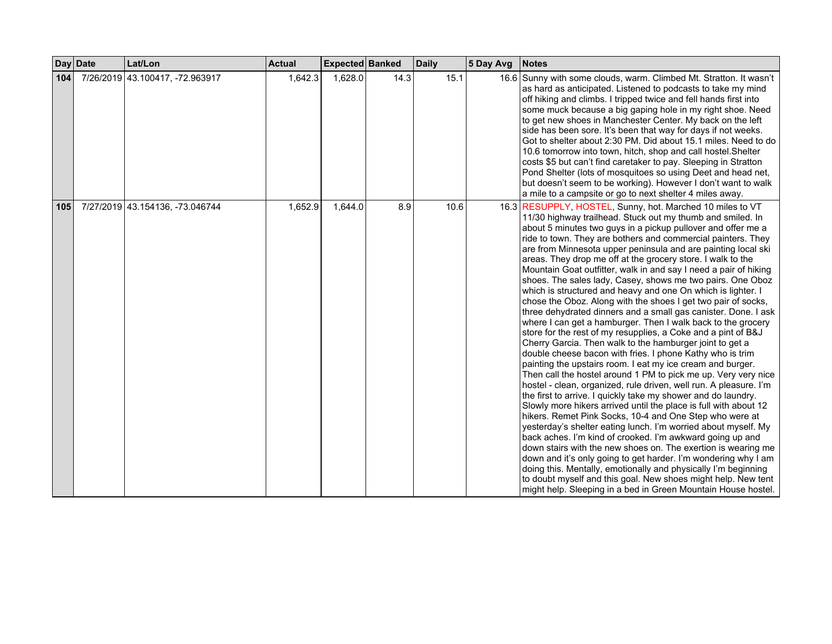|     | Day Date | Lat/Lon                         | <b>Actual</b> | Expected Banked |      | <b>Daily</b> | 5 Day Avg | <b>Notes</b>                                                                                                                                                                                                                                                                                                                                                                                                                                                                                                                                                                                                                                                                                                                                                                                                                                                                                                                                                                                                                                                                                                                                                                                                                                                                                                                                                                                                                                                                                                                                                                                                                                                                                                                                                                                                                                                      |
|-----|----------|---------------------------------|---------------|-----------------|------|--------------|-----------|-------------------------------------------------------------------------------------------------------------------------------------------------------------------------------------------------------------------------------------------------------------------------------------------------------------------------------------------------------------------------------------------------------------------------------------------------------------------------------------------------------------------------------------------------------------------------------------------------------------------------------------------------------------------------------------------------------------------------------------------------------------------------------------------------------------------------------------------------------------------------------------------------------------------------------------------------------------------------------------------------------------------------------------------------------------------------------------------------------------------------------------------------------------------------------------------------------------------------------------------------------------------------------------------------------------------------------------------------------------------------------------------------------------------------------------------------------------------------------------------------------------------------------------------------------------------------------------------------------------------------------------------------------------------------------------------------------------------------------------------------------------------------------------------------------------------------------------------------------------------|
| 104 |          | 7/26/2019 43.100417, -72.963917 | 1,642.3       | 1,628.0         | 14.3 | 15.1         |           | 16.6 Sunny with some clouds, warm. Climbed Mt. Stratton. It wasn't<br>as hard as anticipated. Listened to podcasts to take my mind<br>off hiking and climbs. I tripped twice and fell hands first into<br>some muck because a big gaping hole in my right shoe. Need<br>to get new shoes in Manchester Center. My back on the left<br>side has been sore. It's been that way for days if not weeks.<br>Got to shelter about 2:30 PM. Did about 15.1 miles. Need to do<br>10.6 tomorrow into town, hitch, shop and call hostel. Shelter<br>costs \$5 but can't find caretaker to pay. Sleeping in Stratton<br>Pond Shelter (lots of mosquitoes so using Deet and head net,<br>but doesn't seem to be working). However I don't want to walk<br>a mile to a campsite or go to next shelter 4 miles away.                                                                                                                                                                                                                                                                                                                                                                                                                                                                                                                                                                                                                                                                                                                                                                                                                                                                                                                                                                                                                                                            |
| 105 |          | 7/27/2019 43.154136, -73.046744 | 1,652.9       | 1,644.0         | 8.9  | 10.6         |           | 16.3 RESUPPLY, HOSTEL, Sunny, hot. Marched 10 miles to VT<br>11/30 highway trailhead. Stuck out my thumb and smiled. In<br>about 5 minutes two guys in a pickup pullover and offer me a<br>ride to town. They are bothers and commercial painters. They<br>are from Minnesota upper peninsula and are painting local ski<br>areas. They drop me off at the grocery store. I walk to the<br>Mountain Goat outfitter, walk in and say I need a pair of hiking<br>shoes. The sales lady, Casey, shows me two pairs. One Oboz<br>which is structured and heavy and one On which is lighter. I<br>chose the Oboz. Along with the shoes I get two pair of socks,<br>three dehydrated dinners and a small gas canister. Done. I ask<br>where I can get a hamburger. Then I walk back to the grocery<br>store for the rest of my resupplies, a Coke and a pint of B&J<br>Cherry Garcia. Then walk to the hamburger joint to get a<br>double cheese bacon with fries. I phone Kathy who is trim<br>painting the upstairs room. I eat my ice cream and burger.<br>Then call the hostel around 1 PM to pick me up. Very very nice<br>hostel - clean, organized, rule driven, well run. A pleasure. I'm<br>the first to arrive. I quickly take my shower and do laundry.<br>Slowly more hikers arrived until the place is full with about 12<br>hikers. Remet Pink Socks, 10-4 and One Step who were at<br>yesterday's shelter eating lunch. I'm worried about myself. My<br>back aches. I'm kind of crooked. I'm awkward going up and<br>down stairs with the new shoes on. The exertion is wearing me<br>down and it's only going to get harder. I'm wondering why I am<br>doing this. Mentally, emotionally and physically I'm beginning<br>to doubt myself and this goal. New shoes might help. New tent<br>might help. Sleeping in a bed in Green Mountain House hostel. |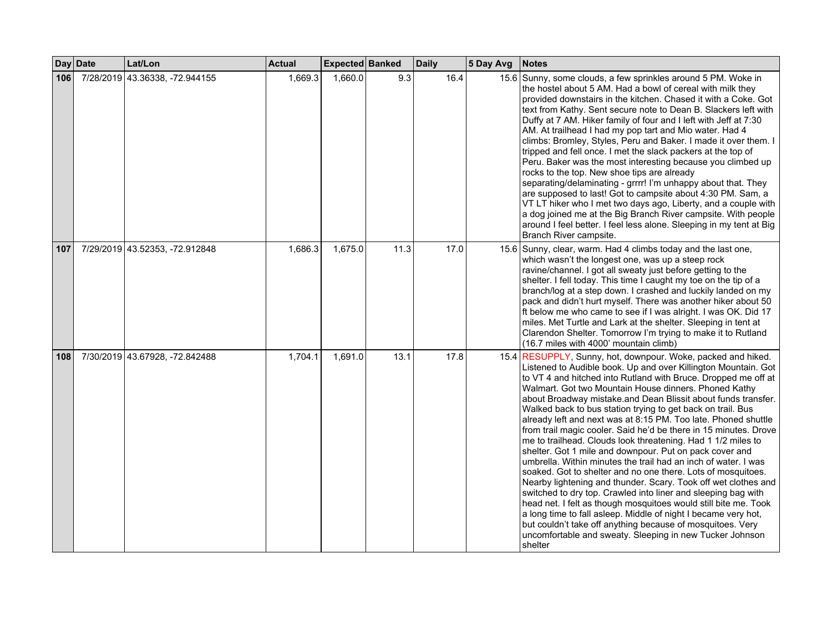|     | Day Date | Lat/Lon                        | <b>Actual</b> | <b>Expected Banked</b> |      | <b>Daily</b> | 5 Day Avg | <b>Notes</b>                                                                                                                                                                                                                                                                                                                                                                                                                                                                                                                                                                                                                                                                                                                                                                                                                                                                                                                                                                                                                                                                                                                                                                                              |
|-----|----------|--------------------------------|---------------|------------------------|------|--------------|-----------|-----------------------------------------------------------------------------------------------------------------------------------------------------------------------------------------------------------------------------------------------------------------------------------------------------------------------------------------------------------------------------------------------------------------------------------------------------------------------------------------------------------------------------------------------------------------------------------------------------------------------------------------------------------------------------------------------------------------------------------------------------------------------------------------------------------------------------------------------------------------------------------------------------------------------------------------------------------------------------------------------------------------------------------------------------------------------------------------------------------------------------------------------------------------------------------------------------------|
| 106 |          | 7/28/2019 43.36338, -72.944155 | 1,669.3       | 1,660.0                | 9.3  | 16.4         |           | 15.6 Sunny, some clouds, a few sprinkles around 5 PM. Woke in<br>the hostel about 5 AM. Had a bowl of cereal with milk they<br>provided downstairs in the kitchen. Chased it with a Coke. Got<br>text from Kathy. Sent secure note to Dean B. Slackers left with<br>Duffy at 7 AM. Hiker family of four and I left with Jeff at 7:30<br>AM. At trailhead I had my pop tart and Mio water. Had 4<br>climbs: Bromley, Styles, Peru and Baker. I made it over them. I<br>tripped and fell once. I met the slack packers at the top of<br>Peru. Baker was the most interesting because you climbed up<br>rocks to the top. New shoe tips are already<br>separating/delaminating - grrrr! I'm unhappy about that. They<br>are supposed to last! Got to campsite about 4:30 PM. Sam, a<br>VT LT hiker who I met two days ago, Liberty, and a couple with<br>a dog joined me at the Big Branch River campsite. With people<br>around I feel better. I feel less alone. Sleeping in my tent at Big<br>Branch River campsite.                                                                                                                                                                                      |
| 107 |          | 7/29/2019 43.52353, -72.912848 | 1,686.3       | 1,675.0                | 11.3 | 17.0         |           | 15.6 Sunny, clear, warm. Had 4 climbs today and the last one,<br>which wasn't the longest one, was up a steep rock<br>ravine/channel. I got all sweaty just before getting to the<br>shelter. I fell today. This time I caught my toe on the tip of a<br>branch/log at a step down. I crashed and luckily landed on my<br>pack and didn't hurt myself. There was another hiker about 50<br>ft below me who came to see if I was alright. I was OK. Did 17<br>miles. Met Turtle and Lark at the shelter. Sleeping in tent at<br>Clarendon Shelter. Tomorrow I'm trying to make it to Rutland<br>(16.7 miles with 4000' mountain climb)                                                                                                                                                                                                                                                                                                                                                                                                                                                                                                                                                                     |
| 108 |          | 7/30/2019 43.67928, -72.842488 | 1,704.1       | 1,691.0                | 13.1 | 17.8         |           | 15.4 RESUPPLY, Sunny, hot, downpour. Woke, packed and hiked.<br>Listened to Audible book. Up and over Killington Mountain. Got<br>to VT 4 and hitched into Rutland with Bruce. Dropped me off at<br>Walmart. Got two Mountain House dinners. Phoned Kathy<br>about Broadway mistake and Dean Blissit about funds transfer.<br>Walked back to bus station trying to get back on trail. Bus<br>already left and next was at 8:15 PM. Too late. Phoned shuttle<br>from trail magic cooler. Said he'd be there in 15 minutes. Drove<br>me to trailhead. Clouds look threatening. Had 1 1/2 miles to<br>shelter. Got 1 mile and downpour. Put on pack cover and<br>umbrella. Within minutes the trail had an inch of water. I was<br>soaked. Got to shelter and no one there. Lots of mosquitoes.<br>Nearby lightening and thunder. Scary. Took off wet clothes and<br>switched to dry top. Crawled into liner and sleeping bag with<br>head net. I felt as though mosquitoes would still bite me. Took<br>a long time to fall asleep. Middle of night I became very hot,<br>but couldn't take off anything because of mosquitoes. Very<br>uncomfortable and sweaty. Sleeping in new Tucker Johnson<br>shelter |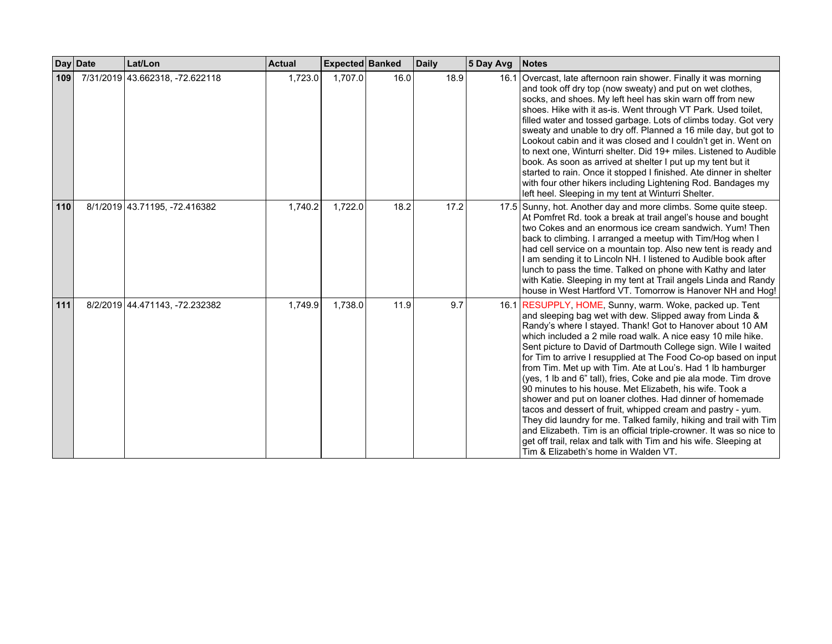|     | Day Date | Lat/Lon                         | <b>Actual</b> | Expected Banked |      | <b>Daily</b> | 5 Day Avg | <b>Notes</b>                                                                                                                                                                                                                                                                                                                                                                                                                                                                                                                                                                                                                                                                                                                                                                                                                                                                                                                                                            |
|-----|----------|---------------------------------|---------------|-----------------|------|--------------|-----------|-------------------------------------------------------------------------------------------------------------------------------------------------------------------------------------------------------------------------------------------------------------------------------------------------------------------------------------------------------------------------------------------------------------------------------------------------------------------------------------------------------------------------------------------------------------------------------------------------------------------------------------------------------------------------------------------------------------------------------------------------------------------------------------------------------------------------------------------------------------------------------------------------------------------------------------------------------------------------|
| 109 |          | 7/31/2019 43.662318, -72.622118 | 1,723.0       | 1,707.0         | 16.0 | 18.9         |           | 16.1 Overcast, late afternoon rain shower. Finally it was morning<br>and took off dry top (now sweaty) and put on wet clothes,<br>socks, and shoes. My left heel has skin warn off from new<br>shoes. Hike with it as-is. Went through VT Park. Used toilet,<br>filled water and tossed garbage. Lots of climbs today. Got very<br>sweaty and unable to dry off. Planned a 16 mile day, but got to<br>Lookout cabin and it was closed and I couldn't get in. Went on<br>to next one, Winturri shelter. Did 19+ miles. Listened to Audible<br>book. As soon as arrived at shelter I put up my tent but it<br>started to rain. Once it stopped I finished. Ate dinner in shelter<br>with four other hikers including Lightening Rod. Bandages my<br>left heel. Sleeping in my tent at Winturri Shelter.                                                                                                                                                                   |
| 110 |          | 8/1/2019 43.71195, -72.416382   | 1,740.2       | 1,722.0         | 18.2 | 17.2         |           | 17.5 Sunny, hot. Another day and more climbs. Some quite steep.<br>At Pomfret Rd. took a break at trail angel's house and bought<br>two Cokes and an enormous ice cream sandwich. Yum! Then<br>back to climbing. I arranged a meetup with Tim/Hog when I<br>had cell service on a mountain top. Also new tent is ready and<br>I am sending it to Lincoln NH. I listened to Audible book after<br>lunch to pass the time. Talked on phone with Kathy and later<br>with Katie. Sleeping in my tent at Trail angels Linda and Randy<br>house in West Hartford VT. Tomorrow is Hanover NH and Hog!                                                                                                                                                                                                                                                                                                                                                                          |
| 111 |          | 8/2/2019 44.471143, -72.232382  | 1,749.9       | 1,738.0         | 11.9 | 9.7          |           | 16.1 RESUPPLY, HOME, Sunny, warm. Woke, packed up. Tent<br>and sleeping bag wet with dew. Slipped away from Linda &<br>Randy's where I stayed. Thank! Got to Hanover about 10 AM<br>which included a 2 mile road walk. A nice easy 10 mile hike.<br>Sent picture to David of Dartmouth College sign. Wile I waited<br>for Tim to arrive I resupplied at The Food Co-op based on input<br>from Tim. Met up with Tim. Ate at Lou's. Had 1 lb hamburger<br>(yes, 1 lb and 6" tall), fries, Coke and pie ala mode. Tim drove<br>90 minutes to his house. Met Elizabeth, his wife. Took a<br>shower and put on loaner clothes. Had dinner of homemade<br>tacos and dessert of fruit, whipped cream and pastry - yum.<br>They did laundry for me. Talked family, hiking and trail with Tim<br>and Elizabeth. Tim is an official triple-crowner. It was so nice to<br>get off trail, relax and talk with Tim and his wife. Sleeping at<br>Tim & Elizabeth's home in Walden VT. |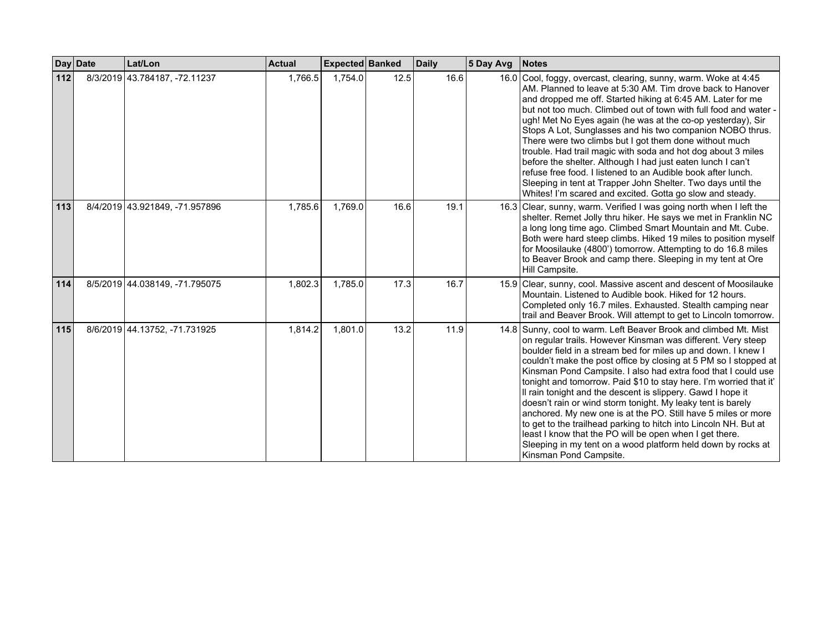|       | Day Date | Lat/Lon                        | <b>Actual</b> | Expected Banked |      | <b>Daily</b> | 5 Day Avg | <b>Notes</b>                                                                                                                                                                                                                                                                                                                                                                                                                                                                                                                                                                                                                                                                                                                                                                                                                         |
|-------|----------|--------------------------------|---------------|-----------------|------|--------------|-----------|--------------------------------------------------------------------------------------------------------------------------------------------------------------------------------------------------------------------------------------------------------------------------------------------------------------------------------------------------------------------------------------------------------------------------------------------------------------------------------------------------------------------------------------------------------------------------------------------------------------------------------------------------------------------------------------------------------------------------------------------------------------------------------------------------------------------------------------|
| $112$ |          | 8/3/2019 43.784187, -72.11237  | 1,766.5       | 1,754.0         | 12.5 | 16.6         |           | 16.0 Cool, foggy, overcast, clearing, sunny, warm. Woke at 4:45<br>AM. Planned to leave at 5:30 AM. Tim drove back to Hanover<br>and dropped me off. Started hiking at 6:45 AM. Later for me<br>but not too much. Climbed out of town with full food and water -<br>ugh! Met No Eyes again (he was at the co-op yesterday), Sir<br>Stops A Lot, Sunglasses and his two companion NOBO thrus.<br>There were two climbs but I got them done without much<br>trouble. Had trail magic with soda and hot dog about 3 miles<br>before the shelter. Although I had just eaten lunch I can't<br>refuse free food. I listened to an Audible book after lunch.<br>Sleeping in tent at Trapper John Shelter. Two days until the<br>Whites! I'm scared and excited. Gotta go slow and steady.                                                   |
| 113   |          | 8/4/2019 43.921849, -71.957896 | 1,785.6       | 1.769.0         | 16.6 | 19.1         |           | 16.3 Clear, sunny, warm. Verified I was going north when I left the<br>shelter. Remet Jolly thru hiker. He says we met in Franklin NC<br>a long long time ago. Climbed Smart Mountain and Mt. Cube.<br>Both were hard steep climbs. Hiked 19 miles to position myself<br>for Moosilauke (4800') tomorrow. Attempting to do 16.8 miles<br>to Beaver Brook and camp there. Sleeping in my tent at Ore<br>Hill Campsite.                                                                                                                                                                                                                                                                                                                                                                                                                |
| 114   |          | 8/5/2019 44.038149, -71.795075 | 1,802.3       | 1,785.0         | 17.3 | 16.7         |           | 15.9 Clear, sunny, cool. Massive ascent and descent of Moosilauke<br>Mountain. Listened to Audible book. Hiked for 12 hours.<br>Completed only 16.7 miles. Exhausted. Stealth camping near<br>trail and Beaver Brook. Will attempt to get to Lincoln tomorrow.                                                                                                                                                                                                                                                                                                                                                                                                                                                                                                                                                                       |
| 115   |          | 8/6/2019 44.13752, -71.731925  | 1,814.2       | 1,801.0         | 13.2 | 11.9         |           | 14.8 Sunny, cool to warm. Left Beaver Brook and climbed Mt. Mist<br>on regular trails. However Kinsman was different. Very steep<br>boulder field in a stream bed for miles up and down. I knew I<br>couldn't make the post office by closing at 5 PM so I stopped at<br>Kinsman Pond Campsite. I also had extra food that I could use<br>tonight and tomorrow. Paid \$10 to stay here. I'm worried that it'<br>Il rain tonight and the descent is slippery. Gawd I hope it<br>doesn't rain or wind storm tonight. My leaky tent is barely<br>anchored. My new one is at the PO. Still have 5 miles or more<br>to get to the trailhead parking to hitch into Lincoln NH. But at<br>least I know that the PO will be open when I get there.<br>Sleeping in my tent on a wood platform held down by rocks at<br>Kinsman Pond Campsite. |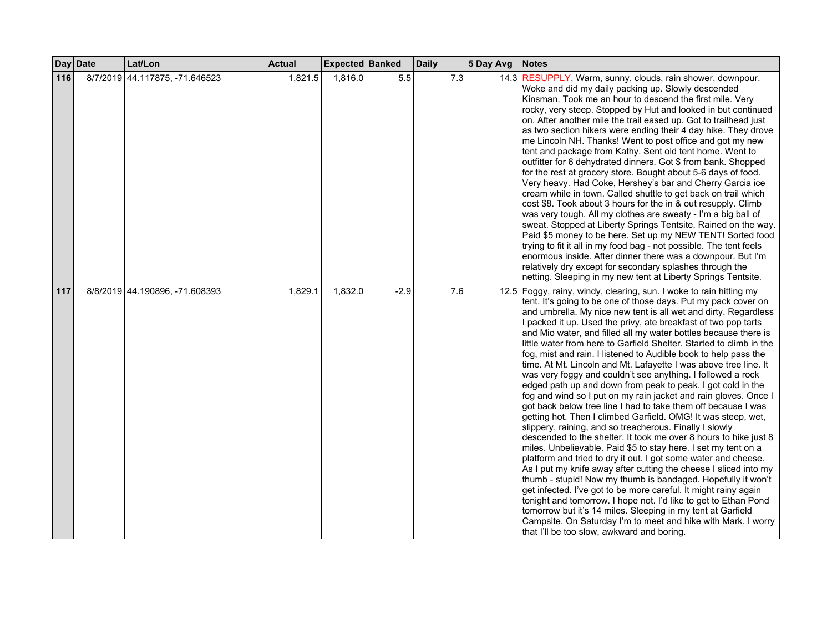|     | Day Date | Lat/Lon                        | <b>Actual</b> | <b>Expected Banked</b> |        | <b>Daily</b> | 5 Day Avg | <b>Notes</b>                                                                                                                                                                                                                                                                                                                                                                                                                                                                                                                                                                                                                                                                                                                                                                                                                                                                                                                                                                                                                                                                                                                                                                                                                                                                                                                                                                                                                                                                                                                                                                                                             |
|-----|----------|--------------------------------|---------------|------------------------|--------|--------------|-----------|--------------------------------------------------------------------------------------------------------------------------------------------------------------------------------------------------------------------------------------------------------------------------------------------------------------------------------------------------------------------------------------------------------------------------------------------------------------------------------------------------------------------------------------------------------------------------------------------------------------------------------------------------------------------------------------------------------------------------------------------------------------------------------------------------------------------------------------------------------------------------------------------------------------------------------------------------------------------------------------------------------------------------------------------------------------------------------------------------------------------------------------------------------------------------------------------------------------------------------------------------------------------------------------------------------------------------------------------------------------------------------------------------------------------------------------------------------------------------------------------------------------------------------------------------------------------------------------------------------------------------|
| 116 |          | 8/7/2019 44.117875, -71.646523 | 1,821.5       | 1,816.0                | 5.5    | 7.3          |           | 14.3 RESUPPLY, Warm, sunny, clouds, rain shower, downpour.<br>Woke and did my daily packing up. Slowly descended<br>Kinsman. Took me an hour to descend the first mile. Very<br>rocky, very steep. Stopped by Hut and looked in but continued<br>on. After another mile the trail eased up. Got to trailhead just<br>as two section hikers were ending their 4 day hike. They drove<br>me Lincoln NH. Thanks! Went to post office and got my new<br>tent and package from Kathy. Sent old tent home. Went to<br>outfitter for 6 dehydrated dinners. Got \$ from bank. Shopped<br>for the rest at grocery store. Bought about 5-6 days of food.<br>Very heavy. Had Coke, Hershey's bar and Cherry Garcia ice<br>cream while in town. Called shuttle to get back on trail which<br>cost \$8. Took about 3 hours for the in & out resupply. Climb<br>was very tough. All my clothes are sweaty - I'm a big ball of<br>sweat. Stopped at Liberty Springs Tentsite. Rained on the way.<br>Paid \$5 money to be here. Set up my NEW TENT! Sorted food<br>trying to fit it all in my food bag - not possible. The tent feels<br>enormous inside. After dinner there was a downpour. But I'm<br>relatively dry except for secondary splashes through the<br>netting. Sleeping in my new tent at Liberty Springs Tentsite.                                                                                                                                                                                                                                                                                                        |
| 117 |          | 8/8/2019 44.190896, -71.608393 | 1,829.1       | 1,832.0                | $-2.9$ | 7.6          |           | 12.5 Foggy, rainy, windy, clearing, sun. I woke to rain hitting my<br>tent. It's going to be one of those days. Put my pack cover on<br>and umbrella. My nice new tent is all wet and dirty. Regardless<br>I packed it up. Used the privy, ate breakfast of two pop tarts<br>and Mio water, and filled all my water bottles because there is<br>little water from here to Garfield Shelter. Started to climb in the<br>fog, mist and rain. I listened to Audible book to help pass the<br>time. At Mt. Lincoln and Mt. Lafayette I was above tree line. It<br>was very foggy and couldn't see anything. I followed a rock<br>edged path up and down from peak to peak. I got cold in the<br>fog and wind so I put on my rain jacket and rain gloves. Once I<br>got back below tree line I had to take them off because I was<br>getting hot. Then I climbed Garfield. OMG! It was steep, wet,<br>slippery, raining, and so treacherous. Finally I slowly<br>descended to the shelter. It took me over 8 hours to hike just 8<br>miles. Unbelievable. Paid \$5 to stay here. I set my tent on a<br>platform and tried to dry it out. I got some water and cheese.<br>As I put my knife away after cutting the cheese I sliced into my<br>thumb - stupid! Now my thumb is bandaged. Hopefully it won't<br>get infected. I've got to be more careful. It might rainy again<br>tonight and tomorrow. I hope not. I'd like to get to Ethan Pond<br>tomorrow but it's 14 miles. Sleeping in my tent at Garfield<br>Campsite. On Saturday I'm to meet and hike with Mark. I worry<br>that I'll be too slow, awkward and boring. |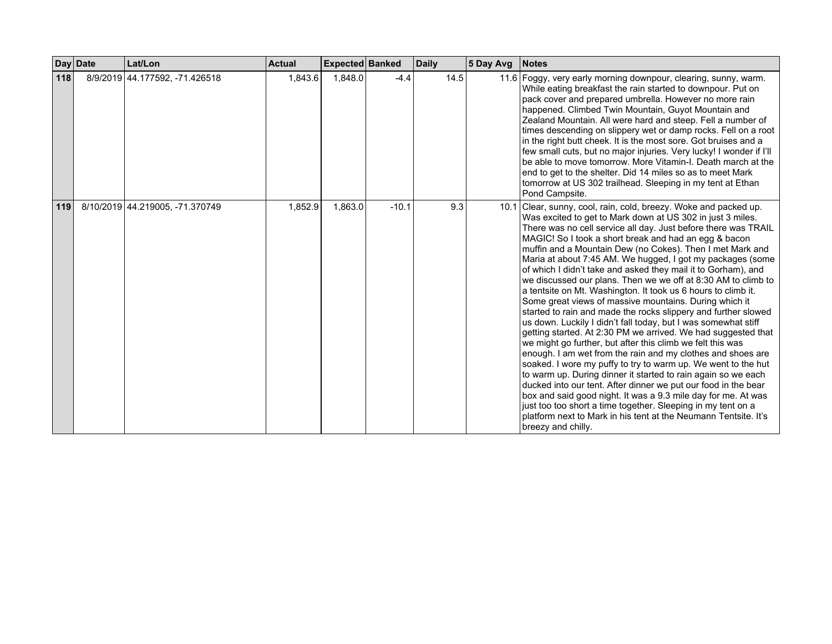|     | Day Date | Lat/Lon                         | <b>Actual</b> | Expected Banked |         | <b>Daily</b> | 5 Day Avg | <b>Notes</b>                                                                                                                                                                                                                                                                                                                                                                                                                                                                                                                                                                                                                                                                                                                                                                                                                                                                                                                                                                                                                                                                                                                                                                                                                                                                                                                                                                                                      |
|-----|----------|---------------------------------|---------------|-----------------|---------|--------------|-----------|-------------------------------------------------------------------------------------------------------------------------------------------------------------------------------------------------------------------------------------------------------------------------------------------------------------------------------------------------------------------------------------------------------------------------------------------------------------------------------------------------------------------------------------------------------------------------------------------------------------------------------------------------------------------------------------------------------------------------------------------------------------------------------------------------------------------------------------------------------------------------------------------------------------------------------------------------------------------------------------------------------------------------------------------------------------------------------------------------------------------------------------------------------------------------------------------------------------------------------------------------------------------------------------------------------------------------------------------------------------------------------------------------------------------|
| 118 |          | 8/9/2019 44.177592, -71.426518  | 1,843.6       | 1,848.0         | $-4.4$  | 14.5         |           | 11.6 Foggy, very early morning downpour, clearing, sunny, warm.<br>While eating breakfast the rain started to downpour. Put on<br>pack cover and prepared umbrella. However no more rain<br>happened. Climbed Twin Mountain, Guyot Mountain and<br>Zealand Mountain. All were hard and steep. Fell a number of<br>times descending on slippery wet or damp rocks. Fell on a root<br>in the right butt cheek. It is the most sore. Got bruises and a<br>few small cuts, but no major injuries. Very lucky! I wonder if I'll<br>be able to move tomorrow. More Vitamin-I. Death march at the<br>end to get to the shelter. Did 14 miles so as to meet Mark<br>tomorrow at US 302 trailhead. Sleeping in my tent at Ethan<br>Pond Campsite.                                                                                                                                                                                                                                                                                                                                                                                                                                                                                                                                                                                                                                                                          |
| 119 |          | 8/10/2019 44.219005, -71.370749 | 1,852.9       | 1,863.0         | $-10.1$ | 9.3          |           | 10.1 Clear, sunny, cool, rain, cold, breezy. Woke and packed up.<br>Was excited to get to Mark down at US 302 in just 3 miles.<br>There was no cell service all day. Just before there was TRAIL<br>MAGIC! So I took a short break and had an egg & bacon<br>muffin and a Mountain Dew (no Cokes). Then I met Mark and<br>Maria at about 7:45 AM. We hugged, I got my packages (some<br>of which I didn't take and asked they mail it to Gorham), and<br>we discussed our plans. Then we we off at 8:30 AM to climb to<br>a tentsite on Mt. Washington. It took us 6 hours to climb it.<br>Some great views of massive mountains. During which it<br>started to rain and made the rocks slippery and further slowed<br>us down. Luckily I didn't fall today, but I was somewhat stiff<br>getting started. At 2:30 PM we arrived. We had suggested that<br>we might go further, but after this climb we felt this was<br>enough. I am wet from the rain and my clothes and shoes are<br>soaked. I wore my puffy to try to warm up. We went to the hut<br>to warm up. During dinner it started to rain again so we each<br>ducked into our tent. After dinner we put our food in the bear<br>box and said good night. It was a 9.3 mile day for me. At was<br>just too too short a time together. Sleeping in my tent on a<br>platform next to Mark in his tent at the Neumann Tentsite. It's<br>breezy and chilly. |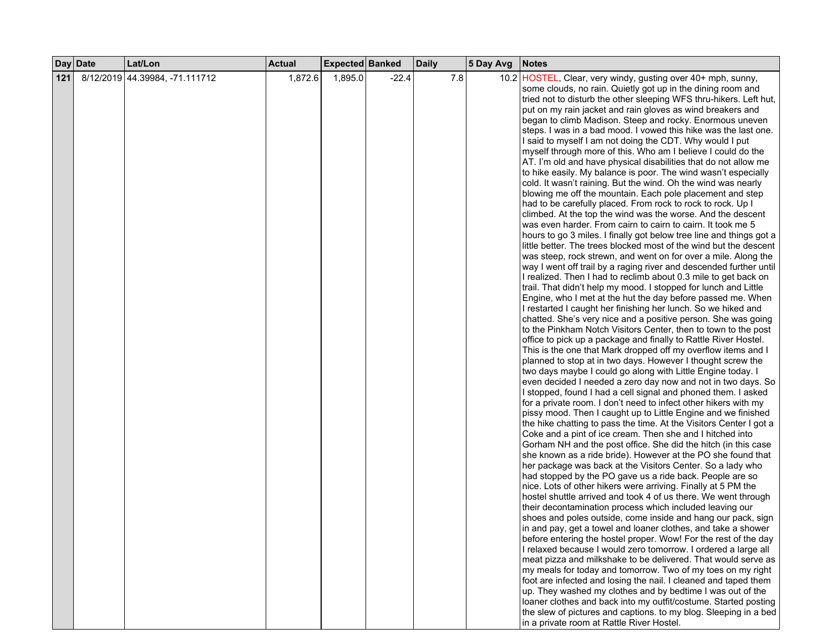|     | Day Date | Lat/Lon                        | <b>Actual</b> | Expected Banked |         | <b>Daily</b> | 5 Day Avg | <b>Notes</b>                                                                                                                      |
|-----|----------|--------------------------------|---------------|-----------------|---------|--------------|-----------|-----------------------------------------------------------------------------------------------------------------------------------|
| 121 |          | 8/12/2019 44.39984, -71.111712 | 1,872.6       | 1,895.0         | $-22.4$ | 7.8          |           | 10.2 HOSTEL, Clear, very windy, gusting over 40+ mph, sunny,                                                                      |
|     |          |                                |               |                 |         |              |           | some clouds, no rain. Quietly got up in the dining room and                                                                       |
|     |          |                                |               |                 |         |              |           | tried not to disturb the other sleeping WFS thru-hikers. Left hut,                                                                |
|     |          |                                |               |                 |         |              |           | put on my rain jacket and rain gloves as wind breakers and                                                                        |
|     |          |                                |               |                 |         |              |           | began to climb Madison. Steep and rocky. Enormous uneven                                                                          |
|     |          |                                |               |                 |         |              |           | steps. I was in a bad mood. I vowed this hike was the last one.                                                                   |
|     |          |                                |               |                 |         |              |           | I said to myself I am not doing the CDT. Why would I put                                                                          |
|     |          |                                |               |                 |         |              |           | myself through more of this. Who am I believe I could do the                                                                      |
|     |          |                                |               |                 |         |              |           | AT. I'm old and have physical disabilities that do not allow me                                                                   |
|     |          |                                |               |                 |         |              |           | to hike easily. My balance is poor. The wind wasn't especially                                                                    |
|     |          |                                |               |                 |         |              |           | cold. It wasn't raining. But the wind. Oh the wind was nearly                                                                     |
|     |          |                                |               |                 |         |              |           | blowing me off the mountain. Each pole placement and step                                                                         |
|     |          |                                |               |                 |         |              |           | had to be carefully placed. From rock to rock to rock. Up I                                                                       |
|     |          |                                |               |                 |         |              |           | climbed. At the top the wind was the worse. And the descent                                                                       |
|     |          |                                |               |                 |         |              |           | was even harder. From cairn to cairn to cairn. It took me 5                                                                       |
|     |          |                                |               |                 |         |              |           | hours to go 3 miles. I finally got below tree line and things got a                                                               |
|     |          |                                |               |                 |         |              |           | little better. The trees blocked most of the wind but the descent                                                                 |
|     |          |                                |               |                 |         |              |           | was steep, rock strewn, and went on for over a mile. Along the                                                                    |
|     |          |                                |               |                 |         |              |           | way I went off trail by a raging river and descended further until                                                                |
|     |          |                                |               |                 |         |              |           | I realized. Then I had to reclimb about 0.3 mile to get back on                                                                   |
|     |          |                                |               |                 |         |              |           | trail. That didn't help my mood. I stopped for lunch and Little                                                                   |
|     |          |                                |               |                 |         |              |           | Engine, who I met at the hut the day before passed me. When                                                                       |
|     |          |                                |               |                 |         |              |           | I restarted I caught her finishing her lunch. So we hiked and                                                                     |
|     |          |                                |               |                 |         |              |           | chatted. She's very nice and a positive person. She was going                                                                     |
|     |          |                                |               |                 |         |              |           | to the Pinkham Notch Visitors Center, then to town to the post<br>office to pick up a package and finally to Rattle River Hostel. |
|     |          |                                |               |                 |         |              |           | This is the one that Mark dropped off my overflow items and I                                                                     |
|     |          |                                |               |                 |         |              |           | planned to stop at in two days. However I thought screw the                                                                       |
|     |          |                                |               |                 |         |              |           | two days maybe I could go along with Little Engine today. I                                                                       |
|     |          |                                |               |                 |         |              |           | even decided I needed a zero day now and not in two days. So                                                                      |
|     |          |                                |               |                 |         |              |           | I stopped, found I had a cell signal and phoned them. I asked                                                                     |
|     |          |                                |               |                 |         |              |           | for a private room. I don't need to infect other hikers with my                                                                   |
|     |          |                                |               |                 |         |              |           | pissy mood. Then I caught up to Little Engine and we finished                                                                     |
|     |          |                                |               |                 |         |              |           | the hike chatting to pass the time. At the Visitors Center I got a                                                                |
|     |          |                                |               |                 |         |              |           | Coke and a pint of ice cream. Then she and I hitched into                                                                         |
|     |          |                                |               |                 |         |              |           | Gorham NH and the post office. She did the hitch (in this case                                                                    |
|     |          |                                |               |                 |         |              |           | she known as a ride bride). However at the PO she found that                                                                      |
|     |          |                                |               |                 |         |              |           | her package was back at the Visitors Center. So a lady who                                                                        |
|     |          |                                |               |                 |         |              |           | had stopped by the PO gave us a ride back. People are so                                                                          |
|     |          |                                |               |                 |         |              |           | nice. Lots of other hikers were arriving. Finally at 5 PM the                                                                     |
|     |          |                                |               |                 |         |              |           | hostel shuttle arrived and took 4 of us there. We went through                                                                    |
|     |          |                                |               |                 |         |              |           | their decontamination process which included leaving our                                                                          |
|     |          |                                |               |                 |         |              |           | shoes and poles outside, come inside and hang our pack, sign                                                                      |
|     |          |                                |               |                 |         |              |           | in and pay, get a towel and loaner clothes, and take a shower                                                                     |
|     |          |                                |               |                 |         |              |           | before entering the hostel proper. Wow! For the rest of the day                                                                   |
|     |          |                                |               |                 |         |              |           | I relaxed because I would zero tomorrow. I ordered a large all                                                                    |
|     |          |                                |               |                 |         |              |           | meat pizza and milkshake to be delivered. That would serve as                                                                     |
|     |          |                                |               |                 |         |              |           | my meals for today and tomorrow. Two of my toes on my right                                                                       |
|     |          |                                |               |                 |         |              |           | foot are infected and losing the nail. I cleaned and taped them                                                                   |
|     |          |                                |               |                 |         |              |           | up. They washed my clothes and by bedtime I was out of the                                                                        |
|     |          |                                |               |                 |         |              |           | loaner clothes and back into my outfit/costume. Started posting                                                                   |
|     |          |                                |               |                 |         |              |           | the slew of pictures and captions. to my blog. Sleeping in a bed<br>in a private room at Rattle River Hostel.                     |
|     |          |                                |               |                 |         |              |           |                                                                                                                                   |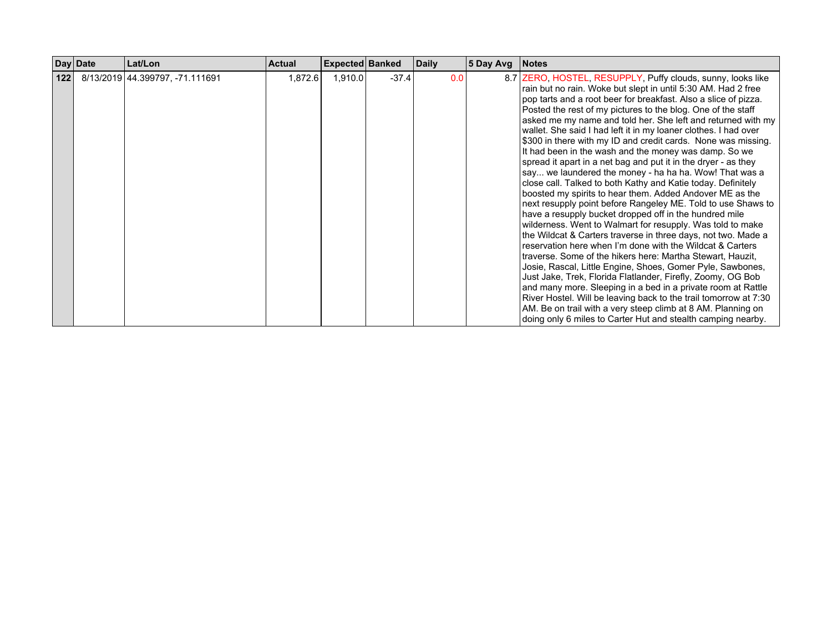|     | Day Date | Lat/Lon                         | <b>Actual</b> | <b>Expected Banked</b> |         | <b>Daily</b> | 5 Day Avg | <b>Notes</b>                                                                                                                                                                                                                                                                                                                                                                                                                                                                                                                                                                                                                                                                                                                                                                                                                                                                                                                                                                                                                                                                                                                                                                                                                                                                                                                                                                                                                                                                                                                                                              |
|-----|----------|---------------------------------|---------------|------------------------|---------|--------------|-----------|---------------------------------------------------------------------------------------------------------------------------------------------------------------------------------------------------------------------------------------------------------------------------------------------------------------------------------------------------------------------------------------------------------------------------------------------------------------------------------------------------------------------------------------------------------------------------------------------------------------------------------------------------------------------------------------------------------------------------------------------------------------------------------------------------------------------------------------------------------------------------------------------------------------------------------------------------------------------------------------------------------------------------------------------------------------------------------------------------------------------------------------------------------------------------------------------------------------------------------------------------------------------------------------------------------------------------------------------------------------------------------------------------------------------------------------------------------------------------------------------------------------------------------------------------------------------------|
| 122 |          | 8/13/2019 44.399797, -71.111691 | 1,872.6       | 1,910.0                | $-37.4$ | 0.0          |           | 8.7 ZERO, HOSTEL, RESUPPLY, Puffy clouds, sunny, looks like<br>rain but no rain. Woke but slept in until 5:30 AM. Had 2 free<br>pop tarts and a root beer for breakfast. Also a slice of pizza.<br>Posted the rest of my pictures to the blog. One of the staff<br>asked me my name and told her. She left and returned with my<br>wallet. She said I had left it in my loaner clothes. I had over<br>\$300 in there with my ID and credit cards. None was missing.<br>It had been in the wash and the money was damp. So we<br>spread it apart in a net bag and put it in the dryer - as they<br>say we laundered the money - ha ha ha. Wow! That was a<br>close call. Talked to both Kathy and Katie today. Definitely<br>boosted my spirits to hear them. Added Andover ME as the<br>next resupply point before Rangeley ME. Told to use Shaws to<br>have a resupply bucket dropped off in the hundred mile<br>wilderness. Went to Walmart for resupply. Was told to make<br>the Wildcat & Carters traverse in three days, not two. Made a<br>reservation here when I'm done with the Wildcat & Carters<br>traverse. Some of the hikers here: Martha Stewart, Hauzit,<br>Josie, Rascal, Little Engine, Shoes, Gomer Pyle, Sawbones,<br>Just Jake, Trek, Florida Flatlander, Firefly, Zoomy, OG Bob<br>and many more. Sleeping in a bed in a private room at Rattle<br>River Hostel. Will be leaving back to the trail tomorrow at 7:30<br>AM. Be on trail with a very steep climb at 8 AM. Planning on<br>doing only 6 miles to Carter Hut and stealth camping nearby. |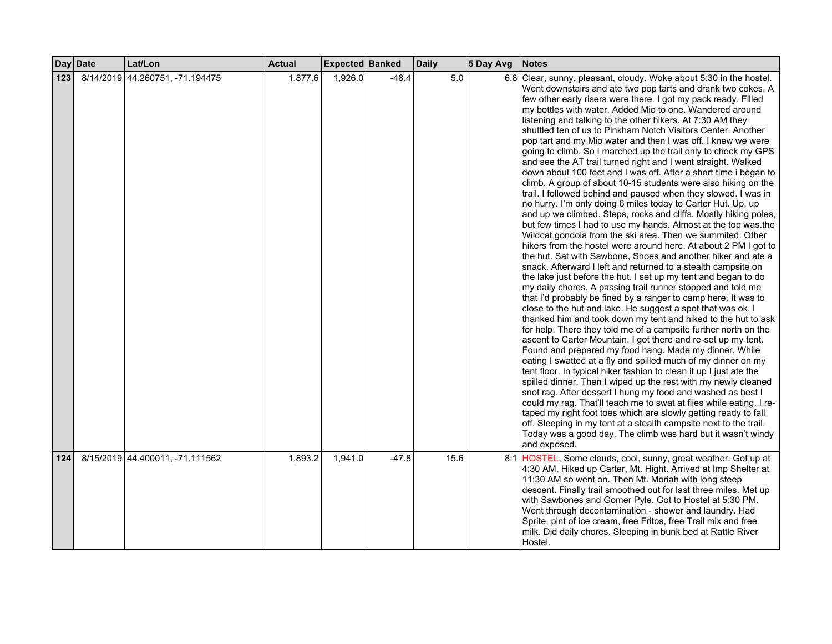|     | Day Date | Lat/Lon                         | <b>Actual</b> | Expected Banked |         | <b>Daily</b> | 5 Day Avg | <b>Notes</b>                                                                                                                                                                                                                                                                                                                                                                                                                                                                                                                                                                                                                                                                                                                                                                                                                                                                                                                                                                                                                                                                                                                                                                                                                                                                                                                                                                                                                                                                                                                                                                                                                                                                                                                                                                                                                                                                                                                                                                                                                                                                                                                                                                                                                                                                                                                                                                              |
|-----|----------|---------------------------------|---------------|-----------------|---------|--------------|-----------|-------------------------------------------------------------------------------------------------------------------------------------------------------------------------------------------------------------------------------------------------------------------------------------------------------------------------------------------------------------------------------------------------------------------------------------------------------------------------------------------------------------------------------------------------------------------------------------------------------------------------------------------------------------------------------------------------------------------------------------------------------------------------------------------------------------------------------------------------------------------------------------------------------------------------------------------------------------------------------------------------------------------------------------------------------------------------------------------------------------------------------------------------------------------------------------------------------------------------------------------------------------------------------------------------------------------------------------------------------------------------------------------------------------------------------------------------------------------------------------------------------------------------------------------------------------------------------------------------------------------------------------------------------------------------------------------------------------------------------------------------------------------------------------------------------------------------------------------------------------------------------------------------------------------------------------------------------------------------------------------------------------------------------------------------------------------------------------------------------------------------------------------------------------------------------------------------------------------------------------------------------------------------------------------------------------------------------------------------------------------------------------------|
| 123 |          | 8/14/2019 44.260751, -71.194475 | 1,877.6       | 1,926.0         | $-48.4$ | 5.0          |           | 6.8 Clear, sunny, pleasant, cloudy. Woke about 5:30 in the hostel.<br>Went downstairs and ate two pop tarts and drank two cokes. A<br>few other early risers were there. I got my pack ready. Filled<br>my bottles with water. Added Mio to one. Wandered around<br>listening and talking to the other hikers. At 7:30 AM they<br>shuttled ten of us to Pinkham Notch Visitors Center. Another<br>pop tart and my Mio water and then I was off. I knew we were<br>going to climb. So I marched up the trail only to check my GPS<br>and see the AT trail turned right and I went straight. Walked<br>down about 100 feet and I was off. After a short time i began to<br>climb. A group of about 10-15 students were also hiking on the<br>trail. I followed behind and paused when they slowed. I was in<br>no hurry. I'm only doing 6 miles today to Carter Hut. Up, up<br>and up we climbed. Steps, rocks and cliffs. Mostly hiking poles,<br>but few times I had to use my hands. Almost at the top was the<br>Wildcat gondola from the ski area. Then we summited. Other<br>hikers from the hostel were around here. At about 2 PM I got to<br>the hut. Sat with Sawbone, Shoes and another hiker and ate a<br>snack. Afterward I left and returned to a stealth campsite on<br>the lake just before the hut. I set up my tent and began to do<br>my daily chores. A passing trail runner stopped and told me<br>that I'd probably be fined by a ranger to camp here. It was to<br>close to the hut and lake. He suggest a spot that was ok. I<br>thanked him and took down my tent and hiked to the hut to ask<br>for help. There they told me of a campsite further north on the<br>ascent to Carter Mountain. I got there and re-set up my tent.<br>Found and prepared my food hang. Made my dinner. While<br>eating I swatted at a fly and spilled much of my dinner on my<br>tent floor. In typical hiker fashion to clean it up I just ate the<br>spilled dinner. Then I wiped up the rest with my newly cleaned<br>snot rag. After dessert I hung my food and washed as best I<br>could my rag. That'll teach me to swat at flies while eating. I re-<br>taped my right foot toes which are slowly getting ready to fall<br>off. Sleeping in my tent at a stealth campsite next to the trail.<br>Today was a good day. The climb was hard but it wasn't windy<br>and exposed. |
| 124 |          | 8/15/2019 44.400011, -71.111562 | 1,893.2       | 1,941.0         | $-47.8$ | 15.6         |           | 8.1 HOSTEL, Some clouds, cool, sunny, great weather. Got up at<br>4:30 AM. Hiked up Carter, Mt. Hight. Arrived at Imp Shelter at<br>11:30 AM so went on. Then Mt. Moriah with long steep<br>descent. Finally trail smoothed out for last three miles. Met up<br>with Sawbones and Gomer Pyle. Got to Hostel at 5:30 PM.<br>Went through decontamination - shower and laundry. Had<br>Sprite, pint of ice cream, free Fritos, free Trail mix and free<br>milk. Did daily chores. Sleeping in bunk bed at Rattle River<br>Hostel.                                                                                                                                                                                                                                                                                                                                                                                                                                                                                                                                                                                                                                                                                                                                                                                                                                                                                                                                                                                                                                                                                                                                                                                                                                                                                                                                                                                                                                                                                                                                                                                                                                                                                                                                                                                                                                                           |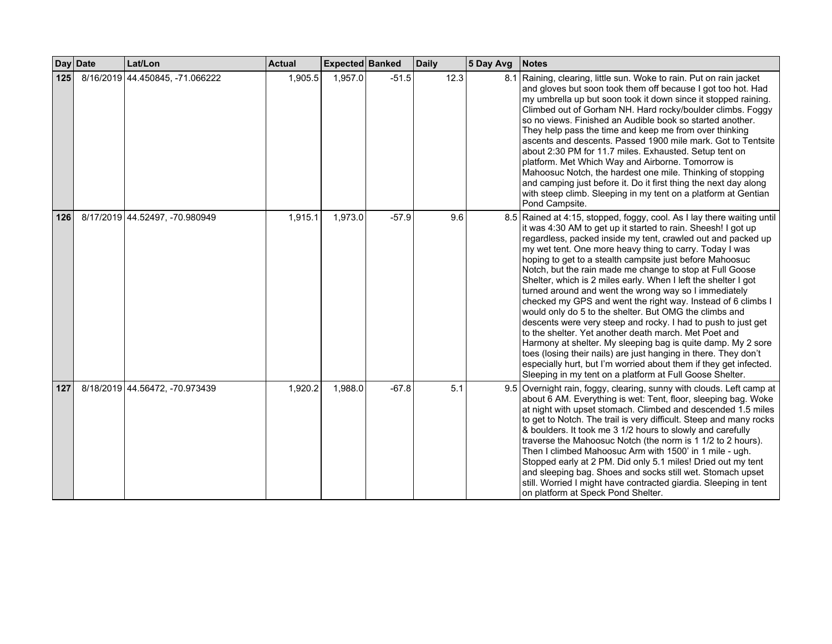| <b>Day</b> | <b>Date</b> | Lat/Lon                         | <b>Actual</b> | Expected Banked |         | <b>Daily</b> | 5 Day Avg | <b>Notes</b>                                                                                                                                                                                                                                                                                                                                                                                                                                                                                                                                                                                                                                                                                                                                                                                                                                                                                                                                                                                                                                  |
|------------|-------------|---------------------------------|---------------|-----------------|---------|--------------|-----------|-----------------------------------------------------------------------------------------------------------------------------------------------------------------------------------------------------------------------------------------------------------------------------------------------------------------------------------------------------------------------------------------------------------------------------------------------------------------------------------------------------------------------------------------------------------------------------------------------------------------------------------------------------------------------------------------------------------------------------------------------------------------------------------------------------------------------------------------------------------------------------------------------------------------------------------------------------------------------------------------------------------------------------------------------|
| 125        |             | 8/16/2019 44.450845, -71.066222 | 1,905.5       | 1,957.0         | $-51.5$ | 12.3         |           | 8.1 Raining, clearing, little sun. Woke to rain. Put on rain jacket<br>and gloves but soon took them off because I got too hot. Had<br>my umbrella up but soon took it down since it stopped raining.<br>Climbed out of Gorham NH. Hard rocky/boulder climbs. Foggy<br>so no views. Finished an Audible book so started another.<br>They help pass the time and keep me from over thinking<br>ascents and descents. Passed 1900 mile mark. Got to Tentsite<br>about 2:30 PM for 11.7 miles. Exhausted. Setup tent on<br>platform. Met Which Way and Airborne. Tomorrow is<br>Mahoosuc Notch, the hardest one mile. Thinking of stopping<br>and camping just before it. Do it first thing the next day along<br>with steep climb. Sleeping in my tent on a platform at Gentian<br>Pond Campsite.                                                                                                                                                                                                                                               |
| 126        |             | 8/17/2019 44.52497, -70.980949  | 1,915.1       | 1,973.0         | $-57.9$ | 9.6          |           | 8.5 Rained at 4:15, stopped, foggy, cool. As I lay there waiting until<br>it was 4:30 AM to get up it started to rain. Sheesh! I got up<br>regardless, packed inside my tent, crawled out and packed up<br>my wet tent. One more heavy thing to carry. Today I was<br>hoping to get to a stealth campsite just before Mahoosuc<br>Notch, but the rain made me change to stop at Full Goose<br>Shelter, which is 2 miles early. When I left the shelter I got<br>turned around and went the wrong way so I immediately<br>checked my GPS and went the right way. Instead of 6 climbs I<br>would only do 5 to the shelter. But OMG the climbs and<br>descents were very steep and rocky. I had to push to just get<br>to the shelter. Yet another death march. Met Poet and<br>Harmony at shelter. My sleeping bag is quite damp. My 2 sore<br>toes (losing their nails) are just hanging in there. They don't<br>especially hurt, but I'm worried about them if they get infected.<br>Sleeping in my tent on a platform at Full Goose Shelter. |
| 127        |             | 8/18/2019 44.56472, -70.973439  | 1,920.2       | 1,988.0         | $-67.8$ | 5.1          |           | 9.5 Overnight rain, foggy, clearing, sunny with clouds. Left camp at<br>about 6 AM. Everything is wet: Tent, floor, sleeping bag. Woke<br>at night with upset stomach. Climbed and descended 1.5 miles<br>to get to Notch. The trail is very difficult. Steep and many rocks<br>& boulders. It took me 3 1/2 hours to slowly and carefully<br>traverse the Mahoosuc Notch (the norm is 1 1/2 to 2 hours).<br>Then I climbed Mahoosuc Arm with 1500' in 1 mile - ugh.<br>Stopped early at 2 PM. Did only 5.1 miles! Dried out my tent<br>and sleeping bag. Shoes and socks still wet. Stomach upset<br>still. Worried I might have contracted giardia. Sleeping in tent<br>on platform at Speck Pond Shelter.                                                                                                                                                                                                                                                                                                                                  |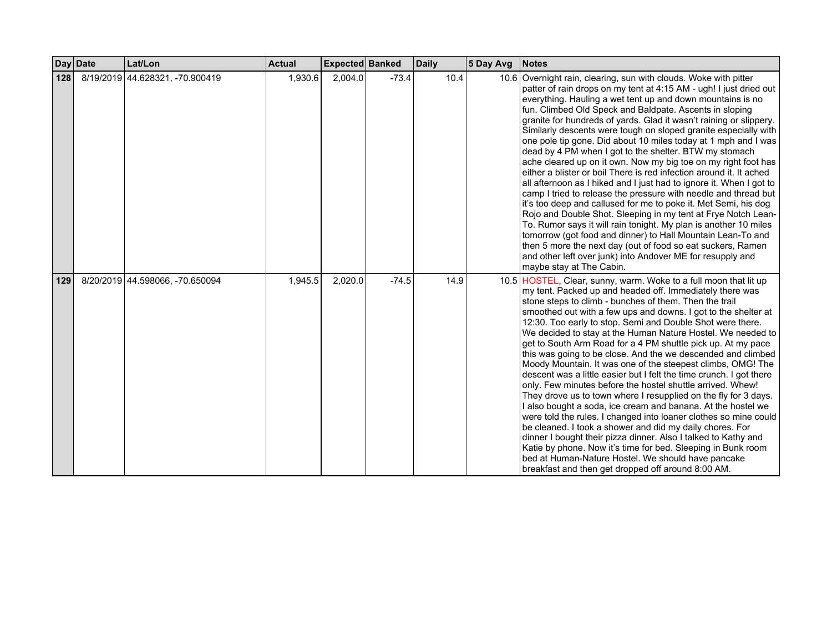|     | Day Date | Lat/Lon                         | <b>Actual</b> | <b>Expected Banked</b> |         | <b>Daily</b> | 5 Day Avg | <b>Notes</b>                                                                                                                                                                                                                                                                                                                                                                                                                                                                                                                                                                                                                                                                                                                                                                                                                                                                                                                                                                                                                                                                                                                                                                                                                                            |
|-----|----------|---------------------------------|---------------|------------------------|---------|--------------|-----------|---------------------------------------------------------------------------------------------------------------------------------------------------------------------------------------------------------------------------------------------------------------------------------------------------------------------------------------------------------------------------------------------------------------------------------------------------------------------------------------------------------------------------------------------------------------------------------------------------------------------------------------------------------------------------------------------------------------------------------------------------------------------------------------------------------------------------------------------------------------------------------------------------------------------------------------------------------------------------------------------------------------------------------------------------------------------------------------------------------------------------------------------------------------------------------------------------------------------------------------------------------|
| 128 |          | 8/19/2019 44.628321, -70.900419 | 1,930.6       | 2,004.0                | $-73.4$ | 10.4         |           | 10.6 Overnight rain, clearing, sun with clouds. Woke with pitter<br>patter of rain drops on my tent at 4:15 AM - ugh! I just dried out<br>everything. Hauling a wet tent up and down mountains is no<br>fun. Climbed Old Speck and Baldpate. Ascents in sloping<br>granite for hundreds of yards. Glad it wasn't raining or slippery.<br>Similarly descents were tough on sloped granite especially with<br>one pole tip gone. Did about 10 miles today at 1 mph and I was<br>dead by 4 PM when I got to the shelter. BTW my stomach<br>ache cleared up on it own. Now my big toe on my right foot has<br>either a blister or boil There is red infection around it. It ached<br>all afternoon as I hiked and I just had to ignore it. When I got to<br>camp I tried to release the pressure with needle and thread but<br>it's too deep and callused for me to poke it. Met Semi, his dog<br>Rojo and Double Shot. Sleeping in my tent at Frye Notch Lean-<br>To. Rumor says it will rain tonight. My plan is another 10 miles<br>tomorrow (got food and dinner) to Hall Mountain Lean-To and<br>then 5 more the next day (out of food so eat suckers, Ramen<br>and other left over junk) into Andover ME for resupply and<br>maybe stay at The Cabin. |
| 129 |          | 8/20/2019 44.598066, -70.650094 | 1,945.5       | 2,020.0                | $-74.5$ | 14.9         |           | 10.5 HOSTEL, Clear, sunny, warm. Woke to a full moon that lit up<br>my tent. Packed up and headed off. Immediately there was<br>stone steps to climb - bunches of them. Then the trail<br>smoothed out with a few ups and downs. I got to the shelter at<br>12:30. Too early to stop. Semi and Double Shot were there.<br>We decided to stay at the Human Nature Hostel. We needed to<br>get to South Arm Road for a 4 PM shuttle pick up. At my pace<br>this was going to be close. And the we descended and climbed<br>Moody Mountain. It was one of the steepest climbs, OMG! The<br>descent was a little easier but I felt the time crunch. I got there<br>only. Few minutes before the hostel shuttle arrived. Whew!<br>They drove us to town where I resupplied on the fly for 3 days.<br>I also bought a soda, ice cream and banana. At the hostel we<br>were told the rules. I changed into loaner clothes so mine could<br>be cleaned. I took a shower and did my daily chores. For<br>dinner I bought their pizza dinner. Also I talked to Kathy and<br>Katie by phone. Now it's time for bed. Sleeping in Bunk room<br>bed at Human-Nature Hostel. We should have pancake<br>breakfast and then get dropped off around 8:00 AM.              |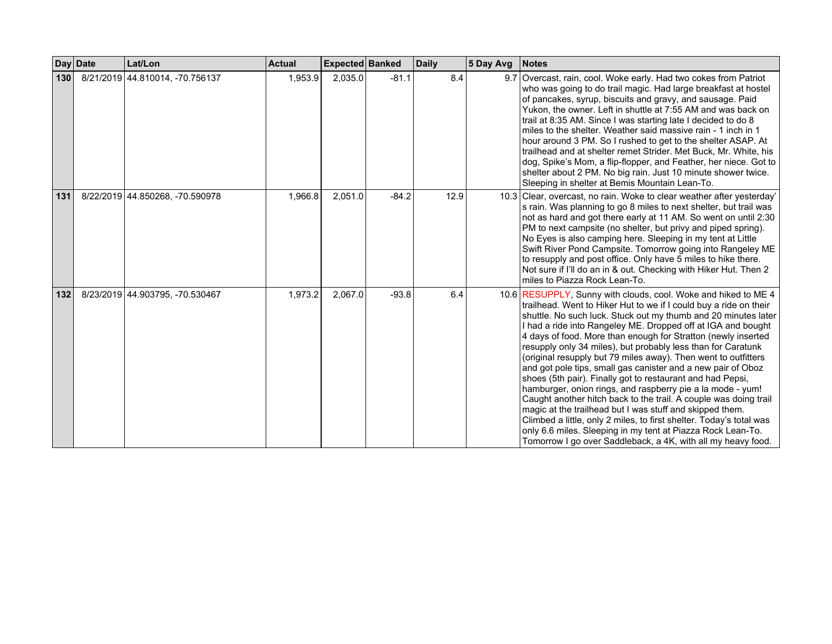|       | Day Date | Lat/Lon                         | <b>Actual</b> | <b>Expected Banked</b> |         | <b>Daily</b> | 5 Day Avg | <b>Notes</b>                                                                                                                                                                                                                                                                                                                                                                                                                                                                                                                                                                                                                                                                                                                                                                                                                                                                                                                                                                                               |
|-------|----------|---------------------------------|---------------|------------------------|---------|--------------|-----------|------------------------------------------------------------------------------------------------------------------------------------------------------------------------------------------------------------------------------------------------------------------------------------------------------------------------------------------------------------------------------------------------------------------------------------------------------------------------------------------------------------------------------------------------------------------------------------------------------------------------------------------------------------------------------------------------------------------------------------------------------------------------------------------------------------------------------------------------------------------------------------------------------------------------------------------------------------------------------------------------------------|
| 130   |          | 8/21/2019 44.810014, -70.756137 | 1,953.9       | 2,035.0                | $-81.1$ | 8.4          |           | 9.7 Overcast, rain, cool. Woke early. Had two cokes from Patriot<br>who was going to do trail magic. Had large breakfast at hostel<br>of pancakes, syrup, biscuits and gravy, and sausage. Paid<br>Yukon, the owner. Left in shuttle at 7:55 AM and was back on<br>trail at 8:35 AM. Since I was starting late I decided to do 8<br>miles to the shelter. Weather said massive rain - 1 inch in 1<br>hour around 3 PM. So I rushed to get to the shelter ASAP. At<br>trailhead and at shelter remet Strider. Met Buck, Mr. White, his<br>dog, Spike's Mom, a flip-flopper, and Feather, her niece. Got to<br>shelter about 2 PM. No big rain. Just 10 minute shower twice.<br>Sleeping in shelter at Bemis Mountain Lean-To.                                                                                                                                                                                                                                                                               |
| 131   |          | 8/22/2019 44.850268, -70.590978 | 1,966.8       | 2,051.0                | $-84.2$ | 12.9         |           | 10.3 Clear, overcast, no rain. Woke to clear weather after yesterday'<br>s rain. Was planning to go 8 miles to next shelter, but trail was<br>not as hard and got there early at 11 AM. So went on until 2:30<br>PM to next campsite (no shelter, but privy and piped spring).<br>No Eyes is also camping here. Sleeping in my tent at Little<br>Swift River Pond Campsite. Tomorrow going into Rangeley ME<br>to resupply and post office. Only have 5 miles to hike there.<br>Not sure if I'll do an in & out. Checking with Hiker Hut. Then 2<br>miles to Piazza Rock Lean-To.                                                                                                                                                                                                                                                                                                                                                                                                                          |
| $132$ |          | 8/23/2019 44.903795, -70.530467 | 1,973.2       | 2,067.0                | $-93.8$ | 6.4          |           | 10.6 RESUPPLY, Sunny with clouds, cool. Woke and hiked to ME 4<br>trailhead. Went to Hiker Hut to we if I could buy a ride on their<br>shuttle. No such luck. Stuck out my thumb and 20 minutes later<br>I had a ride into Rangeley ME. Dropped off at IGA and bought<br>4 days of food. More than enough for Stratton (newly inserted<br>resupply only 34 miles), but probably less than for Caratunk<br>(original resupply but 79 miles away). Then went to outfitters<br>and got pole tips, small gas canister and a new pair of Oboz<br>shoes (5th pair). Finally got to restaurant and had Pepsi,<br>hamburger, onion rings, and raspberry pie a la mode - yum!<br>Caught another hitch back to the trail. A couple was doing trail<br>magic at the trailhead but I was stuff and skipped them.<br>Climbed a little, only 2 miles, to first shelter. Today's total was<br>only 6.6 miles. Sleeping in my tent at Piazza Rock Lean-To.<br>Tomorrow I go over Saddleback, a 4K, with all my heavy food. |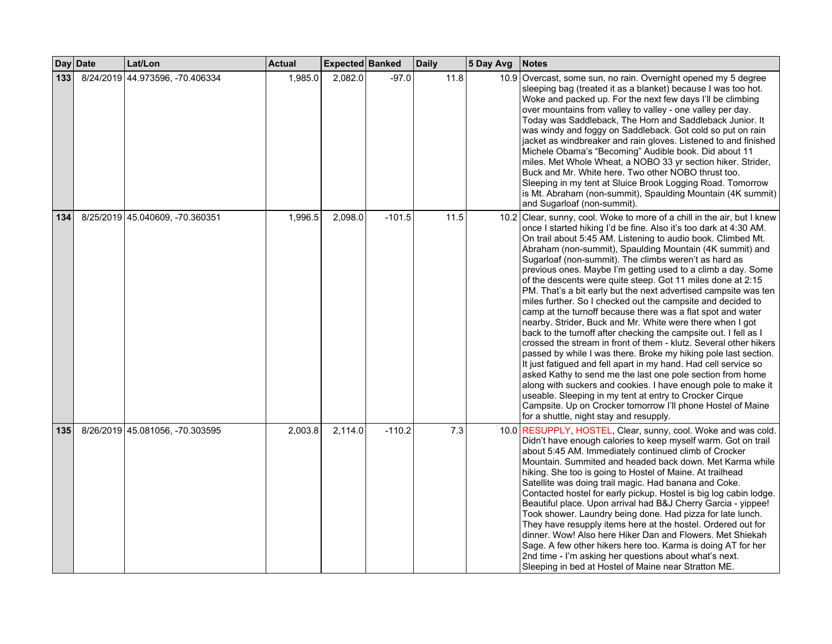|     | Day Date | Lat/Lon                         | <b>Actual</b> | Expected Banked |          | <b>Daily</b> | 5 Day Avg | Notes                                                                                                                                                                                                                                                                                                                                                                                                                                                                                                                                                                                                                                                                                                                                                                                                                                                                                                                                                                                                                                                                                                                                                                                                                                                                                                             |
|-----|----------|---------------------------------|---------------|-----------------|----------|--------------|-----------|-------------------------------------------------------------------------------------------------------------------------------------------------------------------------------------------------------------------------------------------------------------------------------------------------------------------------------------------------------------------------------------------------------------------------------------------------------------------------------------------------------------------------------------------------------------------------------------------------------------------------------------------------------------------------------------------------------------------------------------------------------------------------------------------------------------------------------------------------------------------------------------------------------------------------------------------------------------------------------------------------------------------------------------------------------------------------------------------------------------------------------------------------------------------------------------------------------------------------------------------------------------------------------------------------------------------|
| 133 |          | 8/24/2019 44.973596, -70.406334 | 1,985.0       | 2,082.0         | $-97.0$  | 11.8         |           | 10.9 Overcast, some sun, no rain. Overnight opened my 5 degree<br>sleeping bag (treated it as a blanket) because I was too hot.<br>Woke and packed up. For the next few days I'll be climbing<br>over mountains from valley to valley - one valley per day.<br>Today was Saddleback, The Horn and Saddleback Junior. It<br>was windy and foggy on Saddleback. Got cold so put on rain<br>jacket as windbreaker and rain gloves. Listened to and finished<br>Michele Obama's "Becoming" Audible book. Did about 11<br>miles. Met Whole Wheat, a NOBO 33 yr section hiker. Strider,<br>Buck and Mr. White here. Two other NOBO thrust too.<br>Sleeping in my tent at Sluice Brook Logging Road. Tomorrow<br>is Mt. Abraham (non-summit), Spaulding Mountain (4K summit)<br>and Sugarloaf (non-summit).                                                                                                                                                                                                                                                                                                                                                                                                                                                                                                              |
| 134 |          | 8/25/2019 45.040609, -70.360351 | 1,996.5       | 2,098.0         | $-101.5$ | 11.5         |           | 10.2 Clear, sunny, cool. Woke to more of a chill in the air, but I knew<br>once I started hiking I'd be fine. Also it's too dark at 4:30 AM.<br>On trail about 5:45 AM. Listening to audio book. Climbed Mt.<br>Abraham (non-summit), Spaulding Mountain (4K summit) and<br>Sugarloaf (non-summit). The climbs weren't as hard as<br>previous ones. Maybe I'm getting used to a climb a day. Some<br>of the descents were quite steep. Got 11 miles done at 2:15<br>PM. That's a bit early but the next advertised campsite was ten<br>miles further. So I checked out the campsite and decided to<br>camp at the turnoff because there was a flat spot and water<br>nearby. Strider, Buck and Mr. White were there when I got<br>back to the turnoff after checking the campsite out. I fell as I<br>crossed the stream in front of them - klutz. Several other hikers<br>passed by while I was there. Broke my hiking pole last section.<br>It just fatigued and fell apart in my hand. Had cell service so<br>asked Kathy to send me the last one pole section from home<br>along with suckers and cookies. I have enough pole to make it<br>useable. Sleeping in my tent at entry to Crocker Cirque<br>Campsite. Up on Crocker tomorrow I'll phone Hostel of Maine<br>for a shuttle, night stay and resupply. |
| 135 |          | 8/26/2019 45.081056, -70.303595 | 2,003.8       | 2,114.0         | $-110.2$ | 7.3          |           | 10.0 RESUPPLY, HOSTEL, Clear, sunny, cool. Woke and was cold.<br>Didn't have enough calories to keep myself warm. Got on trail<br>about 5:45 AM. Immediately continued climb of Crocker<br>Mountain. Summited and headed back down. Met Karma while<br>hiking. She too is going to Hostel of Maine. At trailhead<br>Satellite was doing trail magic. Had banana and Coke.<br>Contacted hostel for early pickup. Hostel is big log cabin lodge.<br>Beautiful place. Upon arrival had B&J Cherry Garcia - yippee!<br>Took shower. Laundry being done. Had pizza for late lunch.<br>They have resupply items here at the hostel. Ordered out for<br>dinner. Wow! Also here Hiker Dan and Flowers. Met Shiekah<br>Sage. A few other hikers here too. Karma is doing AT for her<br>2nd time - I'm asking her questions about what's next.<br>Sleeping in bed at Hostel of Maine near Stratton ME.                                                                                                                                                                                                                                                                                                                                                                                                                      |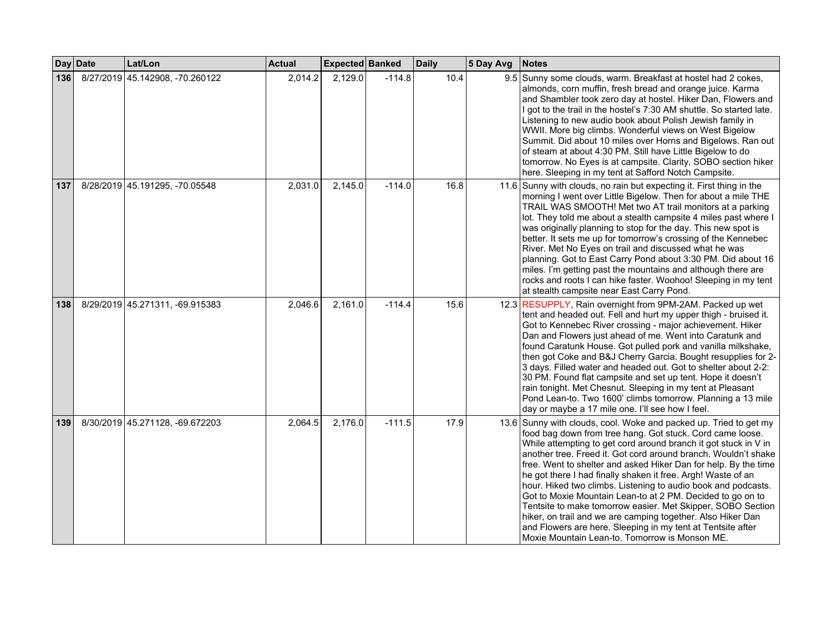|     | Day Date | Lat/Lon                         | <b>Actual</b> | Expected Banked |          | <b>Daily</b> | 5 Day Avg | <b>Notes</b>                                                                                                                                                                                                                                                                                                                                                                                                                                                                                                                                                                                                                                                                                                                                                                         |
|-----|----------|---------------------------------|---------------|-----------------|----------|--------------|-----------|--------------------------------------------------------------------------------------------------------------------------------------------------------------------------------------------------------------------------------------------------------------------------------------------------------------------------------------------------------------------------------------------------------------------------------------------------------------------------------------------------------------------------------------------------------------------------------------------------------------------------------------------------------------------------------------------------------------------------------------------------------------------------------------|
| 136 |          | 8/27/2019 45.142908, -70.260122 | 2,014.2       | 2,129.0         | $-114.8$ | 10.4         |           | 9.5 Sunny some clouds, warm. Breakfast at hostel had 2 cokes,<br>almonds, corn muffin, fresh bread and orange juice. Karma<br>and Shambler took zero day at hostel. Hiker Dan, Flowers and<br>I got to the trail in the hostel's 7:30 AM shuttle. So started late.<br>Listening to new audio book about Polish Jewish family in<br>WWII. More big climbs. Wonderful views on West Bigelow<br>Summit. Did about 10 miles over Horns and Bigelows. Ran out<br>of steam at about 4:30 PM. Still have Little Bigelow to do<br>tomorrow. No Eyes is at campsite. Clarity, SOBO section hiker<br>here. Sleeping in my tent at Safford Notch Campsite.                                                                                                                                      |
| 137 |          | 8/28/2019 45.191295, -70.05548  | 2,031.0       | 2,145.0         | $-114.0$ | 16.8         |           | 11.6 Sunny with clouds, no rain but expecting it. First thing in the<br>morning I went over Little Bigelow. Then for about a mile THE<br>TRAIL WAS SMOOTH! Met two AT trail monitors at a parking<br>lot. They told me about a stealth campsite 4 miles past where I<br>was originally planning to stop for the day. This new spot is<br>better. It sets me up for tomorrow's crossing of the Kennebec<br>River. Met No Eyes on trail and discussed what he was<br>planning. Got to East Carry Pond about 3:30 PM. Did about 16<br>miles. I'm getting past the mountains and although there are<br>rocks and roots I can hike faster. Woohoo! Sleeping in my tent<br>at stealth campsite near East Carry Pond.                                                                       |
| 138 |          | 8/29/2019 45.271311, -69.915383 | 2,046.6       | 2,161.0         | $-114.4$ | 15.6         |           | 12.3 RESUPPLY, Rain overnight from 9PM-2AM. Packed up wet<br>tent and headed out. Fell and hurt my upper thigh - bruised it.<br>Got to Kennebec River crossing - major achievement. Hiker<br>Dan and Flowers just ahead of me. Went into Caratunk and<br>found Caratunk House. Got pulled pork and vanilla milkshake,<br>then got Coke and B&J Cherry Garcia. Bought resupplies for 2-<br>3 days. Filled water and headed out. Got to shelter about 2-2:<br>30 PM. Found flat campsite and set up tent. Hope it doesn't<br>rain tonight. Met Chesnut. Sleeping in my tent at Pleasant<br>Pond Lean-to. Two 1600' climbs tomorrow. Planning a 13 mile<br>day or maybe a 17 mile one. I'll see how I feel.                                                                             |
| 139 |          | 8/30/2019 45.271128, -69.672203 | 2,064.5       | 2,176.0         | $-111.5$ | 17.9         |           | 13.6 Sunny with clouds, cool. Woke and packed up. Tried to get my<br>food bag down from tree hang. Got stuck. Cord came loose.<br>While attempting to get cord around branch it got stuck in V in<br>another tree. Freed it. Got cord around branch. Wouldn't shake<br>free. Went to shelter and asked Hiker Dan for help. By the time<br>he got there I had finally shaken it free. Argh! Waste of an<br>hour. Hiked two climbs. Listening to audio book and podcasts.<br>Got to Moxie Mountain Lean-to at 2 PM. Decided to go on to<br>Tentsite to make tomorrow easier. Met Skipper, SOBO Section<br>hiker, on trail and we are camping together. Also Hiker Dan<br>and Flowers are here. Sleeping in my tent at Tentsite after<br>Moxie Mountain Lean-to. Tomorrow is Monson ME. |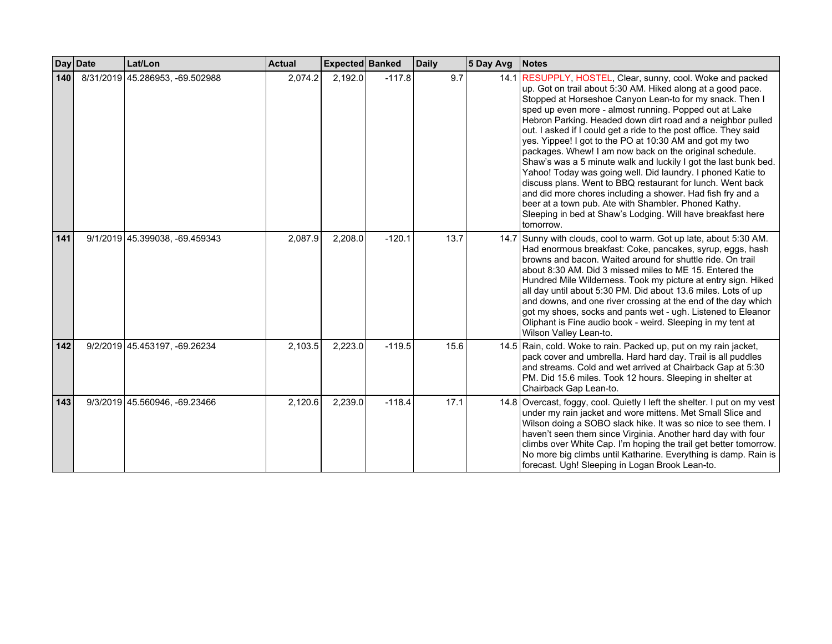|     | Day Date | Lat/Lon                         | <b>Actual</b> | Expected Banked |          | <b>Daily</b> | 5 Day Avg | <b>Notes</b>                                                                                                                                                                                                                                                                                                                                                                                                                                                                                                                                                                                                                                                                                                                                                                                                                                                                                               |
|-----|----------|---------------------------------|---------------|-----------------|----------|--------------|-----------|------------------------------------------------------------------------------------------------------------------------------------------------------------------------------------------------------------------------------------------------------------------------------------------------------------------------------------------------------------------------------------------------------------------------------------------------------------------------------------------------------------------------------------------------------------------------------------------------------------------------------------------------------------------------------------------------------------------------------------------------------------------------------------------------------------------------------------------------------------------------------------------------------------|
| 140 |          | 8/31/2019 45.286953, -69.502988 | 2,074.2       | 2,192.0         | $-117.8$ | 9.7          |           | 14.1 RESUPPLY, HOSTEL, Clear, sunny, cool. Woke and packed<br>up. Got on trail about 5:30 AM. Hiked along at a good pace.<br>Stopped at Horseshoe Canyon Lean-to for my snack. Then I<br>sped up even more - almost running. Popped out at Lake<br>Hebron Parking. Headed down dirt road and a neighbor pulled<br>out. I asked if I could get a ride to the post office. They said<br>yes. Yippee! I got to the PO at 10:30 AM and got my two<br>packages. Whew! I am now back on the original schedule.<br>Shaw's was a 5 minute walk and luckily I got the last bunk bed.<br>Yahoo! Today was going well. Did laundry. I phoned Katie to<br>discuss plans. Went to BBQ restaurant for lunch. Went back<br>and did more chores including a shower. Had fish fry and a<br>beer at a town pub. Ate with Shambler. Phoned Kathy.<br>Sleeping in bed at Shaw's Lodging. Will have breakfast here<br>tomorrow. |
| 141 |          | 9/1/2019 45.399038, -69.459343  | 2,087.9       | 2,208.0         | $-120.1$ | 13.7         |           | 14.7 Sunny with clouds, cool to warm. Got up late, about 5:30 AM.<br>Had enormous breakfast: Coke, pancakes, syrup, eggs, hash<br>browns and bacon. Waited around for shuttle ride. On trail<br>about 8:30 AM. Did 3 missed miles to ME 15. Entered the<br>Hundred Mile Wilderness. Took my picture at entry sign. Hiked<br>all day until about 5:30 PM. Did about 13.6 miles. Lots of up<br>and downs, and one river crossing at the end of the day which<br>got my shoes, socks and pants wet - ugh. Listened to Eleanor<br>Oliphant is Fine audio book - weird. Sleeping in my tent at<br>Wilson Valley Lean-to.                                                                                                                                                                                                                                                                                        |
| 142 |          | 9/2/2019 45.453197, -69.26234   | 2,103.5       | 2,223.0         | $-119.5$ | 15.6         |           | 14.5 Rain, cold. Woke to rain. Packed up, put on my rain jacket,<br>pack cover and umbrella. Hard hard day. Trail is all puddles<br>and streams. Cold and wet arrived at Chairback Gap at 5:30<br>PM. Did 15.6 miles. Took 12 hours. Sleeping in shelter at<br>Chairback Gap Lean-to.                                                                                                                                                                                                                                                                                                                                                                                                                                                                                                                                                                                                                      |
| 143 |          | 9/3/2019 45.560946, -69.23466   | 2,120.6       | 2,239.0         | $-118.4$ | 17.1         |           | 14.8 Overcast, foggy, cool. Quietly I left the shelter. I put on my vest<br>under my rain jacket and wore mittens. Met Small Slice and<br>Wilson doing a SOBO slack hike. It was so nice to see them. I<br>haven't seen them since Virginia. Another hard day with four<br>climbs over White Cap. I'm hoping the trail get better tomorrow.<br>No more big climbs until Katharine. Everything is damp. Rain is<br>forecast. Ugh! Sleeping in Logan Brook Lean-to.                                                                                                                                                                                                                                                                                                                                                                                                                                          |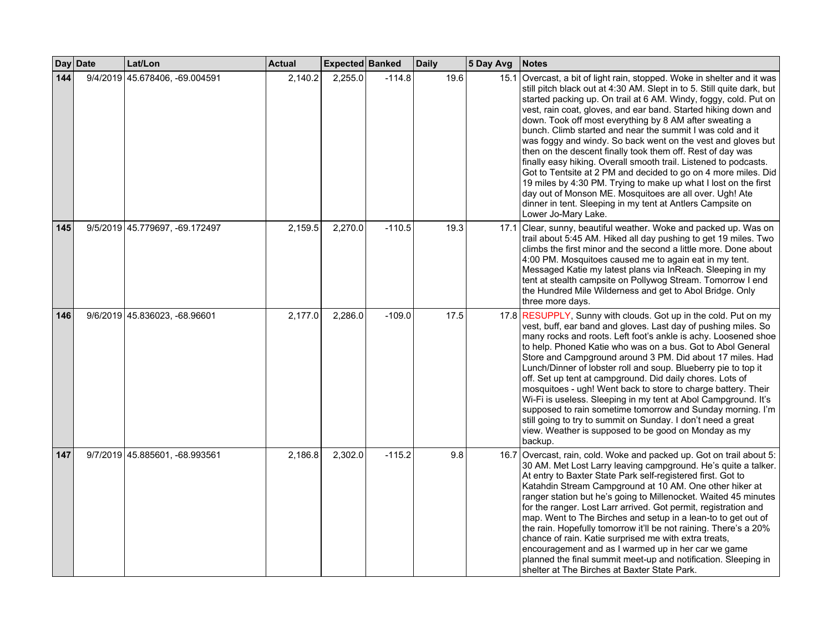|     | Day Date | Lat/Lon                        | <b>Actual</b> | Expected Banked |          | <b>Daily</b> | 5 Day Avg | <b>Notes</b>                                                                                                                                                                                                                                                                                                                                                                                                                                                                                                                                                                                                                                                                                                                                                                                                                                                                                            |
|-----|----------|--------------------------------|---------------|-----------------|----------|--------------|-----------|---------------------------------------------------------------------------------------------------------------------------------------------------------------------------------------------------------------------------------------------------------------------------------------------------------------------------------------------------------------------------------------------------------------------------------------------------------------------------------------------------------------------------------------------------------------------------------------------------------------------------------------------------------------------------------------------------------------------------------------------------------------------------------------------------------------------------------------------------------------------------------------------------------|
| 144 |          | 9/4/2019 45.678406, -69.004591 | 2,140.2       | 2,255.0         | $-114.8$ | 19.6         |           | 15.1 Overcast, a bit of light rain, stopped. Woke in shelter and it was<br>still pitch black out at 4:30 AM. Slept in to 5. Still quite dark, but<br>started packing up. On trail at 6 AM. Windy, foggy, cold. Put on<br>vest, rain coat, gloves, and ear band. Started hiking down and<br>down. Took off most everything by 8 AM after sweating a<br>bunch. Climb started and near the summit I was cold and it<br>was foggy and windy. So back went on the vest and gloves but<br>then on the descent finally took them off. Rest of day was<br>finally easy hiking. Overall smooth trail. Listened to podcasts.<br>Got to Tentsite at 2 PM and decided to go on 4 more miles. Did<br>19 miles by 4:30 PM. Trying to make up what I lost on the first<br>day out of Monson ME. Mosquitoes are all over. Ugh! Ate<br>dinner in tent. Sleeping in my tent at Antlers Campsite on<br>Lower Jo-Mary Lake. |
| 145 |          | 9/5/2019 45.779697, -69.172497 | 2,159.5       | 2,270.0         | $-110.5$ | 19.3         |           | 17.1 Clear, sunny, beautiful weather. Woke and packed up. Was on<br>trail about 5:45 AM. Hiked all day pushing to get 19 miles. Two<br>climbs the first minor and the second a little more. Done about<br>4:00 PM. Mosquitoes caused me to again eat in my tent.<br>Messaged Katie my latest plans via InReach. Sleeping in my<br>tent at stealth campsite on Pollywog Stream. Tomorrow I end<br>the Hundred Mile Wilderness and get to Abol Bridge. Only<br>three more days.                                                                                                                                                                                                                                                                                                                                                                                                                           |
| 146 |          | 9/6/2019 45.836023, -68.96601  | 2,177.0       | 2,286.0         | $-109.0$ | 17.5         |           | 17.8 RESUPPLY, Sunny with clouds. Got up in the cold. Put on my<br>vest, buff, ear band and gloves. Last day of pushing miles. So<br>many rocks and roots. Left foot's ankle is achy. Loosened shoe<br>to help. Phoned Katie who was on a bus. Got to Abol General<br>Store and Campground around 3 PM. Did about 17 miles. Had<br>Lunch/Dinner of lobster roll and soup. Blueberry pie to top it<br>off. Set up tent at campground. Did daily chores. Lots of<br>mosquitoes - ugh! Went back to store to charge battery. Their<br>Wi-Fi is useless. Sleeping in my tent at Abol Campground. It's<br>supposed to rain sometime tomorrow and Sunday morning. I'm<br>still going to try to summit on Sunday. I don't need a great<br>view. Weather is supposed to be good on Monday as my<br>backup.                                                                                                      |
| 147 |          | 9/7/2019 45.885601, -68.993561 | 2,186.8       | 2,302.0         | $-115.2$ | 9.8          |           | 16.7 Overcast, rain, cold. Woke and packed up. Got on trail about 5:<br>30 AM. Met Lost Larry leaving campground. He's quite a talker.<br>At entry to Baxter State Park self-registered first. Got to<br>Katahdin Stream Campground at 10 AM. One other hiker at<br>ranger station but he's going to Millenocket. Waited 45 minutes<br>for the ranger. Lost Larr arrived. Got permit, registration and<br>map. Went to The Birches and setup in a lean-to to get out of<br>the rain. Hopefully tomorrow it'll be not raining. There's a 20%<br>chance of rain. Katie surprised me with extra treats,<br>encouragement and as I warmed up in her car we game<br>planned the final summit meet-up and notification. Sleeping in<br>shelter at The Birches at Baxter State Park.                                                                                                                           |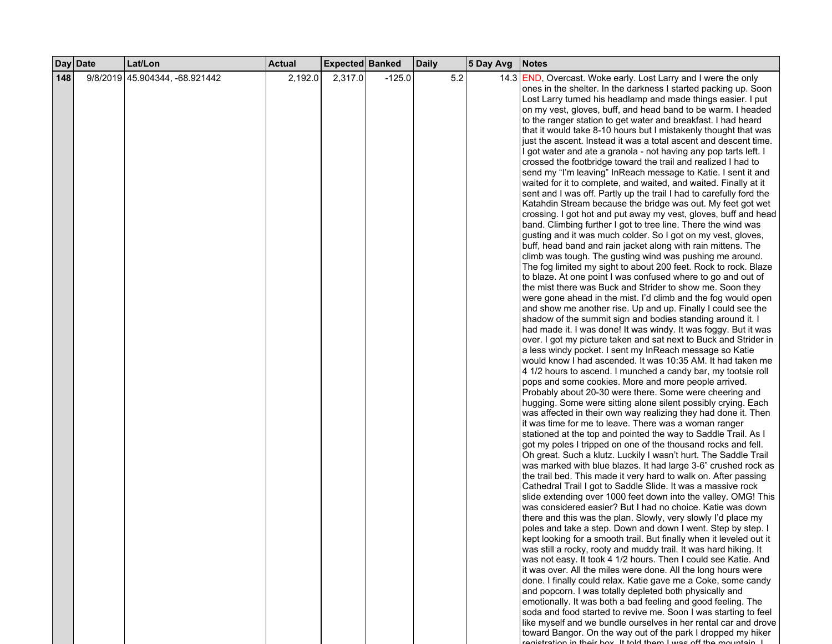|     | Day Date | Lat/Lon                        | <b>Actual</b> | Expected Banked |          | <b>Daily</b> | 5 Day Avg | <b>Notes</b>                                                                                                           |
|-----|----------|--------------------------------|---------------|-----------------|----------|--------------|-----------|------------------------------------------------------------------------------------------------------------------------|
| 148 |          | 9/8/2019 45.904344, -68.921442 | 2,192.0       | 2,317.0         | $-125.0$ | 5.2          |           | 14.3 <b>END</b> , Overcast. Woke early. Lost Larry and I were the only                                                 |
|     |          |                                |               |                 |          |              |           | ones in the shelter. In the darkness I started packing up. Soon                                                        |
|     |          |                                |               |                 |          |              |           | Lost Larry turned his headlamp and made things easier. I put                                                           |
|     |          |                                |               |                 |          |              |           | on my vest, gloves, buff, and head band to be warm. I headed                                                           |
|     |          |                                |               |                 |          |              |           | to the ranger station to get water and breakfast. I had heard                                                          |
|     |          |                                |               |                 |          |              |           | that it would take 8-10 hours but I mistakenly thought that was                                                        |
|     |          |                                |               |                 |          |              |           | just the ascent. Instead it was a total ascent and descent time.                                                       |
|     |          |                                |               |                 |          |              |           | I got water and ate a granola - not having any pop tarts left. I                                                       |
|     |          |                                |               |                 |          |              |           | crossed the footbridge toward the trail and realized I had to                                                          |
|     |          |                                |               |                 |          |              |           | send my "I'm leaving" InReach message to Katie. I sent it and                                                          |
|     |          |                                |               |                 |          |              |           | waited for it to complete, and waited, and waited. Finally at it                                                       |
|     |          |                                |               |                 |          |              |           | sent and I was off. Partly up the trail I had to carefully ford the                                                    |
|     |          |                                |               |                 |          |              |           | Katahdin Stream because the bridge was out. My feet got wet                                                            |
|     |          |                                |               |                 |          |              |           | crossing. I got hot and put away my vest, gloves, buff and head                                                        |
|     |          |                                |               |                 |          |              |           | band. Climbing further I got to tree line. There the wind was                                                          |
|     |          |                                |               |                 |          |              |           | gusting and it was much colder. So I got on my vest, gloves,                                                           |
|     |          |                                |               |                 |          |              |           | buff, head band and rain jacket along with rain mittens. The                                                           |
|     |          |                                |               |                 |          |              |           | climb was tough. The gusting wind was pushing me around.                                                               |
|     |          |                                |               |                 |          |              |           | The fog limited my sight to about 200 feet. Rock to rock. Blaze                                                        |
|     |          |                                |               |                 |          |              |           | to blaze. At one point I was confused where to go and out of                                                           |
|     |          |                                |               |                 |          |              |           | the mist there was Buck and Strider to show me. Soon they                                                              |
|     |          |                                |               |                 |          |              |           | were gone ahead in the mist. I'd climb and the fog would open                                                          |
|     |          |                                |               |                 |          |              |           | and show me another rise. Up and up. Finally I could see the                                                           |
|     |          |                                |               |                 |          |              |           | shadow of the summit sign and bodies standing around it. I                                                             |
|     |          |                                |               |                 |          |              |           | had made it. I was done! It was windy. It was foggy. But it was                                                        |
|     |          |                                |               |                 |          |              |           | over. I got my picture taken and sat next to Buck and Strider in                                                       |
|     |          |                                |               |                 |          |              |           | a less windy pocket. I sent my InReach message so Katie<br>would know I had ascended. It was 10:35 AM. It had taken me |
|     |          |                                |               |                 |          |              |           | 4 1/2 hours to ascend. I munched a candy bar, my tootsie roll                                                          |
|     |          |                                |               |                 |          |              |           | pops and some cookies. More and more people arrived.                                                                   |
|     |          |                                |               |                 |          |              |           | Probably about 20-30 were there. Some were cheering and                                                                |
|     |          |                                |               |                 |          |              |           | hugging. Some were sitting alone silent possibly crying. Each                                                          |
|     |          |                                |               |                 |          |              |           | was affected in their own way realizing they had done it. Then                                                         |
|     |          |                                |               |                 |          |              |           | it was time for me to leave. There was a woman ranger                                                                  |
|     |          |                                |               |                 |          |              |           | stationed at the top and pointed the way to Saddle Trail. As I                                                         |
|     |          |                                |               |                 |          |              |           | got my poles I tripped on one of the thousand rocks and fell.                                                          |
|     |          |                                |               |                 |          |              |           | Oh great. Such a klutz. Luckily I wasn't hurt. The Saddle Trail                                                        |
|     |          |                                |               |                 |          |              |           | was marked with blue blazes. It had large 3-6" crushed rock as                                                         |
|     |          |                                |               |                 |          |              |           | the trail bed. This made it very hard to walk on. After passing                                                        |
|     |          |                                |               |                 |          |              |           | Cathedral Trail I got to Saddle Slide. It was a massive rock                                                           |
|     |          |                                |               |                 |          |              |           | slide extending over 1000 feet down into the valley. OMG! This                                                         |
|     |          |                                |               |                 |          |              |           | was considered easier? But I had no choice. Katie was down                                                             |
|     |          |                                |               |                 |          |              |           | there and this was the plan. Slowly, very slowly I'd place my                                                          |
|     |          |                                |               |                 |          |              |           | poles and take a step. Down and down I went. Step by step. I                                                           |
|     |          |                                |               |                 |          |              |           | kept looking for a smooth trail. But finally when it leveled out it                                                    |
|     |          |                                |               |                 |          |              |           | was still a rocky, rooty and muddy trail. It was hard hiking. It                                                       |
|     |          |                                |               |                 |          |              |           | was not easy. It took 4 1/2 hours. Then I could see Katie. And                                                         |
|     |          |                                |               |                 |          |              |           | it was over. All the miles were done. All the long hours were                                                          |
|     |          |                                |               |                 |          |              |           | done. I finally could relax. Katie gave me a Coke, some candy                                                          |
|     |          |                                |               |                 |          |              |           | and popcorn. I was totally depleted both physically and                                                                |
|     |          |                                |               |                 |          |              |           | emotionally. It was both a bad feeling and good feeling. The                                                           |
|     |          |                                |               |                 |          |              |           | soda and food started to revive me. Soon I was starting to feel                                                        |
|     |          |                                |               |                 |          |              |           | like myself and we bundle ourselves in her rental car and drove                                                        |
|     |          |                                |               |                 |          |              |           | toward Bangor. On the way out of the park I dropped my hiker                                                           |
|     |          |                                |               |                 |          |              |           | paintention in thoir how It told thom I was off the mountain                                                           |